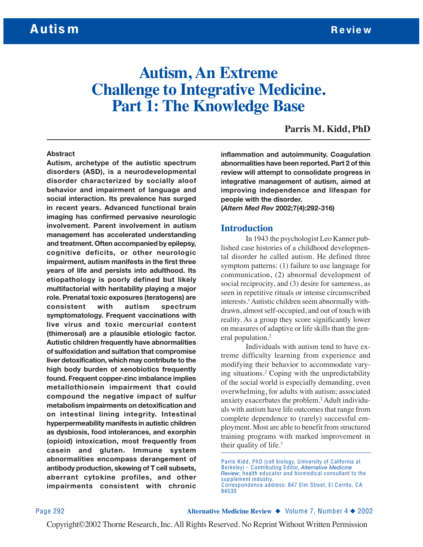# **Autism, An Extreme Challenge to Integrative Medicine. Part 1: The Knowledge Base**

### **Parris M. Kidd, PhD**

#### **Abstract**

**Autism, archetype of the autistic spectrum disorders (ASD), is a neurodevelopmental disorder characterized by socially aloof behavior and impairment of language and social interaction. Its prevalence has surged in recent years. Advanced functional brain imaging has confirmed pervasive neurologic involvement. Parent involvement in autism management has accelerated understanding and treatment. Often accompanied by epilepsy, cognitive deficits, or other neurologic impairment, autism manifests in the first three years of life and persists into adulthood. Its etiopathology is poorly defined but likely multifactorial with heritability playing a major role. Prenatal toxic exposures (teratogens) are consistent with autism spectrum symptomatology. Frequent vaccinations with live virus and toxic mercurial content (thimerosal) are a plausible etiologic factor. Autistic children frequently have abnormalities of sulfoxidation and sulfation that compromise liver detoxification, which may contribute to the high body burden of xenobiotics frequently found. Frequent copper-zinc imbalance implies metallothionein impairment that could compound the negative impact of sulfur metabolism impairments on detoxification and on intestinal lining integrity. Intestinal hyperpermeability manifests in autistic children as dysbiosis, food intolerances, and exorphin (opioid) intoxication, most frequently from casein and gluten. Immune system abnormalities encompass derangement of antibody production, skewing of T cell subsets, aberrant cytokine profiles, and other impairments consistent with chronic** **inflammation and autoimmunity. Coagulation abnormalities have been reported. Part 2 of this review will attempt to consolidate progress in integrative management of autism, aimed at improving independence and lifespan for people with the disorder. (***Altern Med Rev* **2002;7(4):292-316)**

#### **Introduction**

In 1943 the psychologist Leo Kanner published case histories of a childhood developmental disorder he called autism. He defined three symptom patterns: (1) failure to use language for communication, (2) abnormal development of social reciprocity, and (3) desire for sameness, as seen in repetitive rituals or intense circumscribed interests.<sup>1</sup> Autistic children seem abnormally withdrawn, almost self-occupied, and out of touch with reality. As a group they score significantly lower on measures of adaptive or life skills than the general population.<sup>2</sup>

Individuals with autism tend to have extreme difficulty learning from experience and modifying their behavior to accommodate varying situations.2 Coping with the unpredictability of the social world is especially demanding, even overwhelming, for adults with autism; associated anxiety exacerbates the problem.2 Adult individuals with autism have life outcomes that range from complete dependence to (rarely) successful employment. Most are able to benefit from structured training programs with marked improvement in their quality of life. $3$ 

Page 292 **Alternative Medicine Review** ◆ Volume 7, Number 4 ◆ 2002

Parris Kidd, PhD (cell biology, University of California at Berkeley) – Contributing Editor, *Alternative Medicine Review*; health educator and biomedical consultant to the supplement industry. Correspondence address: 847 Elm Street, El C errito, CA 94530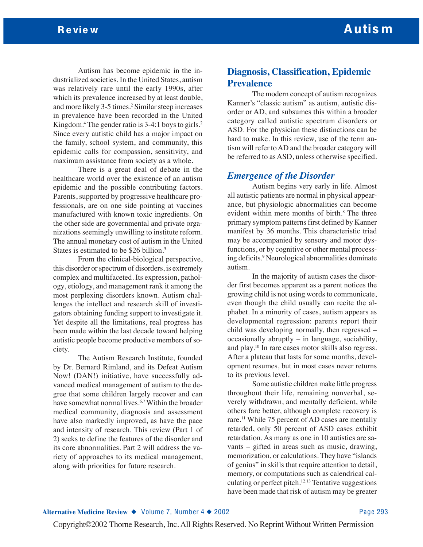Autism has become epidemic in the industrialized societies. In the United States, autism was relatively rare until the early 1990s, after which its prevalence increased by at least double, and more likely 3-5 times.2 Similar steep increases in prevalence have been recorded in the United Kingdom.<sup>4</sup> The gender ratio is  $3-4:1$  boys to girls.<sup>2</sup> Since every autistic child has a major impact on the family, school system, and community, this epidemic calls for compassion, sensitivity, and maximum assistance from society as a whole.

There is a great deal of debate in the healthcare world over the existence of an autism epidemic and the possible contributing factors. Parents, supported by progressive healthcare professionals, are on one side pointing at vaccines manufactured with known toxic ingredients. On the other side are governmental and private organizations seemingly unwilling to institute reform. The annual monetary cost of autism in the United States is estimated to be \$26 billion.<sup>5</sup>

From the clinical-biological perspective, this disorder or spectrum of disorders, is extremely complex and multifaceted. Its expression, pathology, etiology, and management rank it among the most perplexing disorders known. Autism challenges the intellect and research skill of investigators obtaining funding support to investigate it. Yet despite all the limitations, real progress has been made within the last decade toward helping autistic people become productive members of society.

The Autism Research Institute, founded by Dr. Bernard Rimland, and its Defeat Autism Now! (DAN!) initiative, have successfully advanced medical management of autism to the degree that some children largely recover and can have somewhat normal lives.<sup>6,7</sup> Within the broader medical community, diagnosis and assessment have also markedly improved, as have the pace and intensity of research. This review (Part 1 of 2) seeks to define the features of the disorder and its core abnormalities. Part 2 will address the variety of approaches to its medical management, along with priorities for future research.

# **Diagnosis, Classification, Epidemic Prevalence**

The modern concept of autism recognizes Kanner's "classic autism" as autism, autistic disorder or AD, and subsumes this within a broader category called autistic spectrum disorders or ASD. For the physician these distinctions can be hard to make. In this review, use of the term autism will refer to AD and the broader category will be referred to as ASD, unless otherwise specified.

### *Emergence of the Disorder*

Autism begins very early in life. Almost all autistic patients are normal in physical appearance, but physiologic abnormalities can become evident within mere months of birth.<sup>8</sup> The three primary symptom patterns first defined by Kanner manifest by 36 months. This characteristic triad may be accompanied by sensory and motor dysfunctions, or by cognitive or other mental processing deficits.<sup>9</sup> Neurological abnormalities dominate autism.

In the majority of autism cases the disorder first becomes apparent as a parent notices the growing child is not using words to communicate, even though the child usually can recite the alphabet. In a minority of cases, autism appears as developmental regression: parents report their child was developing normally, then regressed – occasionally abruptly – in language, sociability, and play.10 In rare cases motor skills also regress. After a plateau that lasts for some months, development resumes, but in most cases never returns to its previous level.

Some autistic children make little progress throughout their life, remaining nonverbal, severely withdrawn, and mentally deficient, while others fare better, although complete recovery is rare.<sup>11</sup> While 75 percent of AD cases are mentally retarded, only 50 percent of ASD cases exhibit retardation. As many as one in 10 autistics are savants – gifted in areas such as music, drawing, memorization, or calculations. They have "islands of genius" in skills that require attention to detail, memory, or computations such as calendrical calculating or perfect pitch.12,13 Tentative suggestions have been made that risk of autism may be greater

#### **Alternative Medicine Review ◆** Volume 7, Number 4 ◆ 2002 Page 293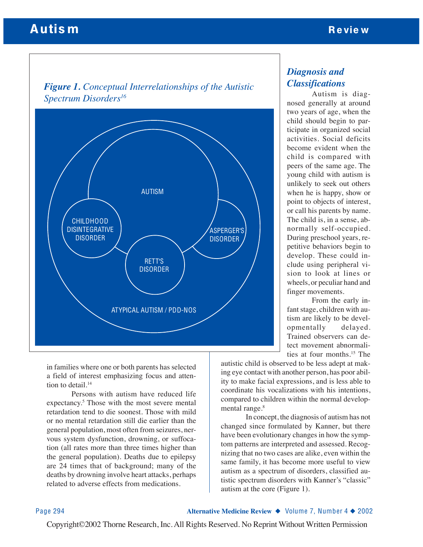# Autis m Review Autis many states with the contract of the contract of the contract of the contract of the contract of the contract of the contract of the contract of the contract of the contract of the contract of the cont





in families where one or both parents has selected a field of interest emphasizing focus and attention to detail.<sup>14</sup>

Persons with autism have reduced life expectancy.5 Those with the most severe mental retardation tend to die soonest. Those with mild or no mental retardation still die earlier than the general population, most often from seizures, nervous system dysfunction, drowning, or suffocation (all rates more than three times higher than the general population). Deaths due to epilepsy are 24 times that of background; many of the deaths by drowning involve heart attacks, perhaps related to adverse effects from medications.

# *Diagnosis and Classifications*

Autism is diagnosed generally at around two years of age, when the child should begin to participate in organized social activities. Social deficits become evident when the child is compared with peers of the same age. The young child with autism is unlikely to seek out others when he is happy, show or point to objects of interest, or call his parents by name. The child is, in a sense, abnormally self-occupied. During preschool years, repetitive behaviors begin to develop. These could include using peripheral vision to look at lines or wheels, or peculiar hand and finger movements.

From the early infant stage, children with autism are likely to be developmentally delayed. Trained observers can detect movement abnormalities at four months.15 The

autistic child is observed to be less adept at making eye contact with another person, has poor ability to make facial expressions, and is less able to coordinate his vocalizations with his intentions, compared to children within the normal developmental range.<sup>8</sup>

In concept, the diagnosis of autism has not changed since formulated by Kanner, but there have been evolutionary changes in how the symptom patterns are interpreted and assessed. Recognizing that no two cases are alike, even within the same family, it has become more useful to view autism as a spectrum of disorders, classified autistic spectrum disorders with Kanner's "classic" autism at the core (Figure 1).

Page 294 **Alternative Medicine Review** ◆ Volume 7, Number 4 ◆ 2002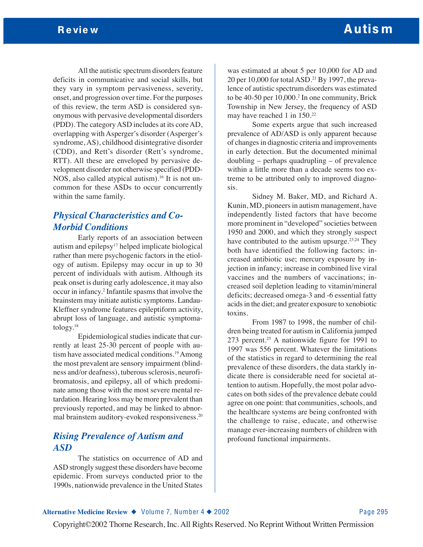All the autistic spectrum disorders feature deficits in communicative and social skills, but they vary in symptom pervasiveness, severity, onset, and progression over time. For the purposes of this review, the term ASD is considered synonymous with pervasive developmental disorders (PDD). The category ASD includes at its core AD, overlapping with Asperger's disorder (Asperger's syndrome, AS), childhood disintegrative disorder (CDD), and Rett's disorder (Rett's syndrome, RTT). All these are enveloped by pervasive development disorder not otherwise specified (PDD-NOS, also called atypical autism).<sup>16</sup> It is not uncommon for these ASDs to occur concurrently within the same family.

# *Physical Characteristics and Co-Morbid Conditions*

Early reports of an association between autism and epilepsy17 helped implicate biological rather than mere psychogenic factors in the etiology of autism. Epilepsy may occur in up to 30 percent of individuals with autism. Although its peak onset is during early adolescence, it may also occur in infancy.2 Infantile spasms that involve the brainstem may initiate autistic symptoms. Landau-Kleffner syndrome features epileptiform activity, abrupt loss of language, and autistic symptomatology.18

Epidemiological studies indicate that currently at least 25-30 percent of people with autism have associated medical conditions.19Among the most prevalent are sensory impairment (blindness and/or deafness), tuberous sclerosis, neurofibromatosis, and epilepsy, all of which predominate among those with the most severe mental retardation. Hearing loss may be more prevalent than previously reported, and may be linked to abnormal brainstem auditory-evoked responsiveness.20

# *Rising Prevalence of Autism and ASD*

The statistics on occurrence of AD and ASD strongly suggest these disorders have become epidemic. From surveys conducted prior to the 1990s, nationwide prevalence in the United States

was estimated at about 5 per 10,000 for AD and 20 per 10,000 for total ASD.21 By 1997, the prevalence of autistic spectrum disorders was estimated to be 40-50 per 10,000.<sup>2</sup> In one community, Brick Township in New Jersey, the frequency of ASD may have reached 1 in 150.<sup>22</sup>

Some experts argue that such increased prevalence of AD/ASD is only apparent because of changes in diagnostic criteria and improvements in early detection. But the documented minimal doubling – perhaps quadrupling – of prevalence within a little more than a decade seems too extreme to be attributed only to improved diagnosis.

Sidney M. Baker, MD, and Richard A. Kunin, MD, pioneers in autism management, have independently listed factors that have become more prominent in "developed" societies between 1950 and 2000, and which they strongly suspect have contributed to the autism upsurge.<sup>23,24</sup> They both have identified the following factors: increased antibiotic use; mercury exposure by injection in infancy; increase in combined live viral vaccines and the numbers of vaccinations; increased soil depletion leading to vitamin/mineral deficits; decreased omega-3 and -6 essential fatty acids in the diet; and greater exposure to xenobiotic toxins.

From 1987 to 1998, the number of children being treated for autism in California jumped 273 percent.<sup>25</sup> A nationwide figure for 1991 to 1997 was 556 percent. Whatever the limitations of the statistics in regard to determining the real prevalence of these disorders, the data starkly indicate there is considerable need for societal attention to autism. Hopefully, the most polar advocates on both sides of the prevalence debate could agree on one point: that communities, schools, and the healthcare systems are being confronted with the challenge to raise, educate, and otherwise manage ever-increasing numbers of children with profound functional impairments.

#### **Alternative Medicine Review ◆** Volume 7, Number 4 ◆ 2002 Page 295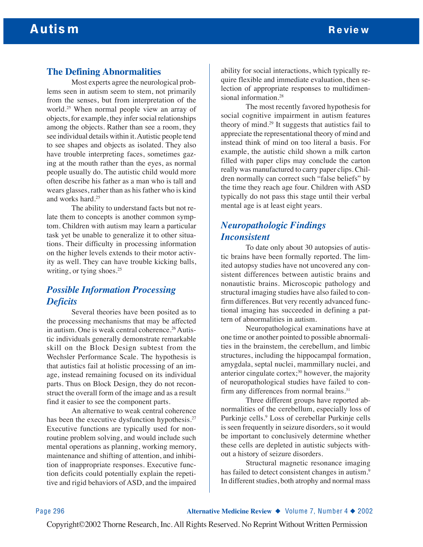## **The Defining Abnormalities**

Most experts agree the neurological problems seen in autism seem to stem, not primarily from the senses, but from interpretation of the world.25 When normal people view an array of objects, for example, they infer social relationships among the objects. Rather than see a room, they see individual details within it. Autistic people tend to see shapes and objects as isolated. They also have trouble interpreting faces, sometimes gazing at the mouth rather than the eyes, as normal people usually do. The autistic child would more often describe his father as a man who is tall and wears glasses, rather than as his father who is kind and works hard.25

The ability to understand facts but not relate them to concepts is another common symptom. Children with autism may learn a particular task yet be unable to generalize it to other situations. Their difficulty in processing information on the higher levels extends to their motor activity as well. They can have trouble kicking balls, writing, or tying shoes.<sup>25</sup>

# *Possible Information Processing Deficits*

Several theories have been posited as to the processing mechanisms that may be affected in autism. One is weak central coherence.<sup>26</sup> Autistic individuals generally demonstrate remarkable skill on the Block Design subtest from the Wechsler Performance Scale. The hypothesis is that autistics fail at holistic processing of an image, instead remaining focused on its individual parts. Thus on Block Design, they do not reconstruct the overall form of the image and as a result find it easier to see the component parts.

An alternative to weak central coherence has been the executive dysfunction hypothesis.<sup>27</sup> Executive functions are typically used for nonroutine problem solving, and would include such mental operations as planning, working memory, maintenance and shifting of attention, and inhibition of inappropriate responses. Executive function deficits could potentially explain the repetitive and rigid behaviors of ASD, and the impaired ability for social interactions, which typically require flexible and immediate evaluation, then selection of appropriate responses to multidimensional information.<sup>28</sup>

The most recently favored hypothesis for social cognitive impairment in autism features theory of mind.29 It suggests that autistics fail to appreciate the representational theory of mind and instead think of mind on too literal a basis. For example, the autistic child shown a milk carton filled with paper clips may conclude the carton really was manufactured to carry paper clips. Children normally can correct such "false beliefs" by the time they reach age four. Children with ASD typically do not pass this stage until their verbal mental age is at least eight years.

# *Neuropathologic Findings Inconsistent*

To date only about 30 autopsies of autistic brains have been formally reported. The limited autopsy studies have not uncovered any consistent differences between autistic brains and nonautistic brains. Microscopic pathology and structural imaging studies have also failed to confirm differences. But very recently advanced functional imaging has succeeded in defining a pattern of abnormalities in autism.

Neuropathological examinations have at one time or another pointed to possible abnormalities in the brainstem, the cerebellum, and limbic structures, including the hippocampal formation, amygdala, septal nuclei, mammillary nuclei, and anterior cingulate cortex; $30$  however, the majority of neuropathological studies have failed to confirm any differences from normal brains.<sup>31</sup>

Three different groups have reported abnormalities of the cerebellum, especially loss of Purkinje cells.9 Loss of cerebellar Purkinje cells is seen frequently in seizure disorders, so it would be important to conclusively determine whether these cells are depleted in autistic subjects without a history of seizure disorders.

Structural magnetic resonance imaging has failed to detect consistent changes in autism.<sup>9</sup> In different studies, both atrophy and normal mass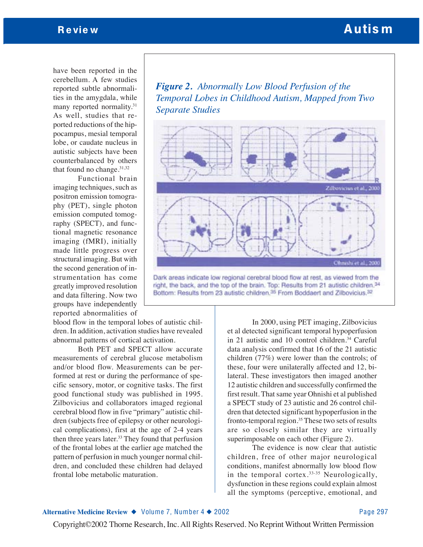have been reported in the cerebellum. A few studies reported subtle abnormalities in the amygdala, while many reported normality.31 As well, studies that reported reductions of the hippocampus, mesial temporal lobe, or caudate nucleus in autistic subjects have been counterbalanced by others that found no change. $31,32$ 

Functional brain imaging techniques, such as positron emission tomography (PET), single photon emission computed tomography (SPECT), and functional magnetic resonance imaging (fMRI), initially made little progress over structural imaging. But with the second generation of instrumentation has come greatly improved resolution and data filtering. Now two groups have independently reported abnormalities of

blood flow in the temporal lobes of autistic children. In addition, activation studies have revealed abnormal patterns of cortical activation.

Both PET and SPECT allow accurate measurements of cerebral glucose metabolism and/or blood flow. Measurements can be performed at rest or during the performance of specific sensory, motor, or cognitive tasks. The first good functional study was published in 1995. Zilbovicius and collaborators imaged regional cerebral blood flow in five "primary" autistic children (subjects free of epilepsy or other neurological complications), first at the age of 2-4 years then three years later. $33$  They found that perfusion of the frontal lobes at the earlier age matched the pattern of perfusion in much younger normal children, and concluded these children had delayed frontal lobe metabolic maturation.

*Figure 2. Abnormally Low Blood Perfusion of the Temporal Lobes in Childhood Autism, Mapped from Two Separate Studies*



Dark areas indicate low regional cerebral blood flow at rest, as viewed from the right, the back, and the top of the brain. Top: Results from 21 autistic children.<sup>34</sup> Bottom: Results from 23 autistic children.<sup>35</sup> From Boddaert and Zilbovicius.<sup>32</sup>

In 2000, using PET imaging, Zilbovicius et al detected significant temporal hypoperfusion in 21 autistic and 10 control children.<sup>34</sup> Careful data analysis confirmed that 16 of the 21 autistic children (77%) were lower than the controls; of these, four were unilaterally affected and 12, bilateral. These investigators then imaged another 12 autistic children and successfully confirmed the first result. That same year Ohnishi et al published a SPECT study of 23 autistic and 26 control children that detected significant hypoperfusion in the fronto-temporal region.<sup>35</sup> These two sets of results are so closely similar they are virtually superimposable on each other (Figure 2).

The evidence is now clear that autistic children, free of other major neurological conditions, manifest abnormally low blood flow in the temporal cortex.33-35 Neurologically, dysfunction in these regions could explain almost all the symptoms (perceptive, emotional, and

#### **Alternative Medicine Review ◆** Volume 7, Number 4 ◆ 2002 Page 297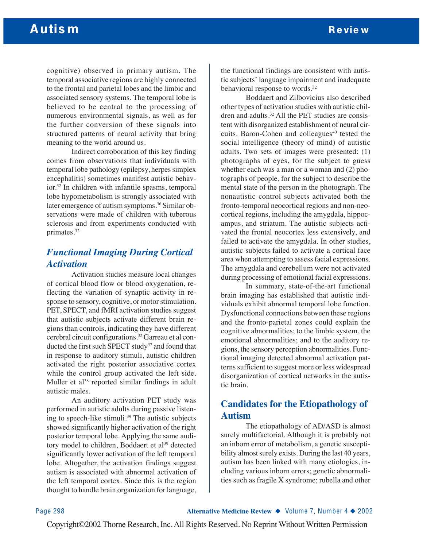cognitive) observed in primary autism. The temporal associative regions are highly connected to the frontal and parietal lobes and the limbic and associated sensory systems. The temporal lobe is believed to be central to the processing of numerous environmental signals, as well as for the further conversion of these signals into structured patterns of neural activity that bring meaning to the world around us.

Indirect corroboration of this key finding comes from observations that individuals with temporal lobe pathology (epilepsy, herpes simplex encephalitis) sometimes manifest autistic behavior.32 In children with infantile spasms, temporal lobe hypometabolism is strongly associated with later emergence of autism symptoms.<sup>36</sup> Similar observations were made of children with tuberous sclerosis and from experiments conducted with primates.32

# *Functional Imaging During Cortical Activation*

Activation studies measure local changes of cortical blood flow or blood oxygenation, reflecting the variation of synaptic activity in response to sensory, cognitive, or motor stimulation. PET, SPECT, and fMRI activation studies suggest that autistic subjects activate different brain regions than controls, indicating they have different cerebral circuit configurations.32 Garreau et al conducted the first such SPECT study<sup>37</sup> and found that in response to auditory stimuli, autistic children activated the right posterior associative cortex while the control group activated the left side. Muller et al<sup>38</sup> reported similar findings in adult autistic males.

An auditory activation PET study was performed in autistic adults during passive listening to speech-like stimuli.<sup>39</sup> The autistic subjects showed significantly higher activation of the right posterior temporal lobe. Applying the same auditory model to children, Boddaert et al<sup>39</sup> detected significantly lower activation of the left temporal lobe. Altogether, the activation findings suggest autism is associated with abnormal activation of the left temporal cortex. Since this is the region thought to handle brain organization for language,

the functional findings are consistent with autistic subjects' language impairment and inadequate behavioral response to words.<sup>32</sup>

Boddaert and Zilbovicius also described other types of activation studies with autistic children and adults.32 All the PET studies are consistent with disorganized establishment of neural circuits. Baron-Cohen and colleagues<sup>40</sup> tested the social intelligence (theory of mind) of autistic adults. Two sets of images were presented: (1) photographs of eyes, for the subject to guess whether each was a man or a woman and (2) photographs of people, for the subject to describe the mental state of the person in the photograph. The nonautistic control subjects activated both the fronto-temporal neocortical regions and non-neocortical regions, including the amygdala, hippocampus, and striatum. The autistic subjects activated the frontal neocortex less extensively, and failed to activate the amygdala. In other studies, autistic subjects failed to activate a cortical face area when attempting to assess facial expressions. The amygdala and cerebellum were not activated during processing of emotional facial expressions.

In summary, state-of-the-art functional brain imaging has established that autistic individuals exhibit abnormal temporal lobe function. Dysfunctional connections between these regions and the fronto-parietal zones could explain the cognitive abnormalities; to the limbic system, the emotional abnormalities; and to the auditory regions, the sensory perception abnormalities. Functional imaging detected abnormal activation patterns sufficient to suggest more or less widespread disorganization of cortical networks in the autistic brain.

# **Candidates for the Etiopathology of Autism**

The etiopathology of AD/ASD is almost surely multifactorial. Although it is probably not an inborn error of metabolism, a genetic susceptibility almost surely exists. During the last 40 years, autism has been linked with many etiologies, including various inborn errors; genetic abnormalities such as fragile X syndrome; rubella and other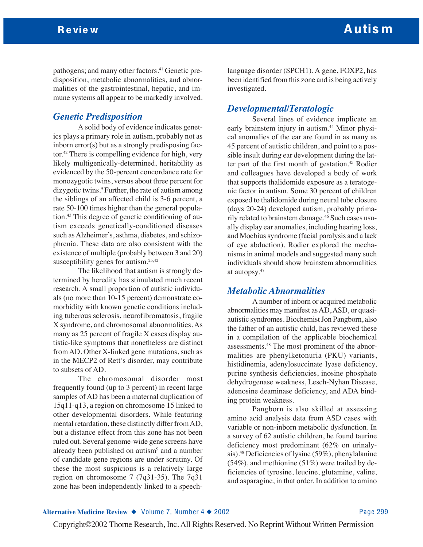pathogens; and many other factors.<sup>41</sup> Genetic predisposition, metabolic abnormalities, and abnormalities of the gastrointestinal, hepatic, and immune systems all appear to be markedly involved.

### *Genetic Predisposition*

A solid body of evidence indicates genetics plays a primary role in autism, probably not as inborn error(s) but as a strongly predisposing factor.42 There is compelling evidence for high, very likely multigenically-determined, heritability as evidenced by the 50-percent concordance rate for monozygotic twins, versus about three percent for dizygotic twins.<sup>9</sup> Further, the rate of autism among the siblings of an affected child is 3-6 percent, a rate 50-100 times higher than the general population.43 This degree of genetic conditioning of autism exceeds genetically-conditioned diseases such as Alzheimer's, asthma, diabetes, and schizophrenia. These data are also consistent with the existence of multiple (probably between 3 and 20) susceptibility genes for autism.<sup>25,42</sup>

The likelihood that autism is strongly determined by heredity has stimulated much recent research. A small proportion of autistic individuals (no more than 10-15 percent) demonstrate comorbidity with known genetic conditions including tuberous sclerosis, neurofibromatosis, fragile X syndrome, and chromosomal abnormalities. As many as 25 percent of fragile X cases display autistic-like symptoms that nonetheless are distinct from AD. Other X-linked gene mutations, such as in the MECP2 of Rett's disorder, may contribute to subsets of AD.

The chromosomal disorder most frequently found (up to 3 percent) in recent large samples of AD has been a maternal duplication of 15q11-q13, a region on chromosome 15 linked to other developmental disorders. While featuring mental retardation, these distinctly differ from AD, but a distance effect from this zone has not been ruled out. Several genome-wide gene screens have already been published on autism<sup>9</sup> and a number of candidate gene regions are under scrutiny. Of these the most suspicious is a relatively large region on chromosome 7 (7q31-35). The 7q31 zone has been independently linked to a speechlanguage disorder (SPCH1). A gene, FOXP2, has been identified from this zone and is being actively investigated.

### *Developmental/Teratologic*

Several lines of evidence implicate an early brainstem injury in autism.<sup>44</sup> Minor physical anomalies of the ear are found in as many as 45 percent of autistic children, and point to a possible insult during ear development during the latter part of the first month of gestation.<sup>45</sup> Rodier and colleagues have developed a body of work that supports thalidomide exposure as a teratogenic factor in autism. Some 30 percent of children exposed to thalidomide during neural tube closure (days 20-24) developed autism, probably primarily related to brainstem damage.<sup>46</sup> Such cases usually display ear anomalies, including hearing loss, and Moebius syndrome (facial paralysis and a lack of eye abduction). Rodier explored the mechanisms in animal models and suggested many such individuals should show brainstem abnormalities at autopsy.47

### *Metabolic Abnormalities*

A number of inborn or acquired metabolic abnormalities may manifest as AD, ASD, or quasiautistic syndromes. Biochemist Jon Pangborn, also the father of an autistic child, has reviewed these in a compilation of the applicable biochemical assessments.48 The most prominent of the abnormalities are phenylketonuria (PKU) variants, histidinemia, adenylosuccinate lyase deficiency, purine synthesis deficiencies, inosine phosphate dehydrogenase weakness, Lesch-Nyhan Disease, adenosine deaminase deficiency, and ADA binding protein weakness.

Pangborn is also skilled at assessing amino acid analysis data from ASD cases with variable or non-inborn metabolic dysfunction. In a survey of 62 autistic children, he found taurine deficiency most predominant (62% on urinalysis).48 Deficiencies of lysine (59%), phenylalanine  $(54\%)$ , and methionine  $(51\%)$  were trailed by deficiencies of tyrosine, leucine, glutamine, valine, and asparagine, in that order. In addition to amino

#### **Alternative Medicine Review ◆** Volume 7, Number 4 ◆ 2002 Page 299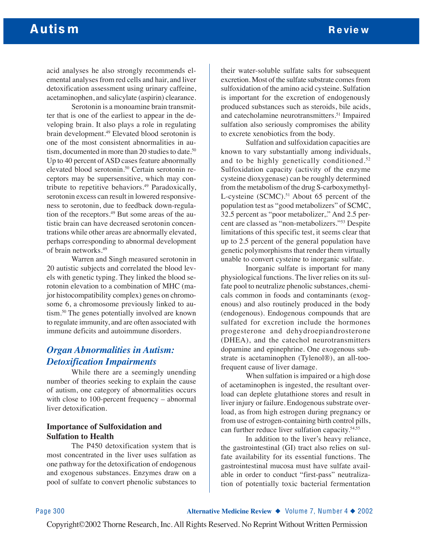acid analyses he also strongly recommends elemental analyses from red cells and hair, and liver detoxification assessment using urinary caffeine, acetaminophen, and salicylate (aspirin) clearance.

Serotonin is a monoamine brain transmitter that is one of the earliest to appear in the developing brain. It also plays a role in regulating brain development.49 Elevated blood serotonin is one of the most consistent abnormalities in autism, documented in more than 20 studies to date.<sup>50</sup> Up to 40 percent of ASD cases feature abnormally elevated blood serotonin.<sup>50</sup> Certain serotonin receptors may be supersensitive, which may contribute to repetitive behaviors.<sup>49</sup> Paradoxically, serotonin excess can result in lowered responsiveness to serotonin, due to feedback down-regulation of the receptors.<sup>49</sup> But some areas of the autistic brain can have decreased serotonin concentrations while other areas are abnormally elevated, perhaps corresponding to abnormal development of brain networks.49

Warren and Singh measured serotonin in 20 autistic subjects and correlated the blood levels with genetic typing. They linked the blood serotonin elevation to a combination of MHC (major histocompatibility complex) genes on chromosome 6, a chromosome previously linked to autism.50 The genes potentially involved are known to regulate immunity, and are often associated with immune deficits and autoimmune disorders.

# *Organ Abnormalities in Autism: Detoxification Impairments*

While there are a seemingly unending number of theories seeking to explain the cause of autism, one category of abnormalities occurs with close to 100-percent frequency – abnormal liver detoxification.

### **Importance of Sulfoxidation and Sulfation to Health**

The P450 detoxification system that is most concentrated in the liver uses sulfation as one pathway for the detoxification of endogenous and exogenous substances. Enzymes draw on a pool of sulfate to convert phenolic substances to

their water-soluble sulfate salts for subsequent excretion. Most of the sulfate substrate comes from sulfoxidation of the amino acid cysteine. Sulfation is important for the excretion of endogenously produced substances such as steroids, bile acids, and catecholamine neurotransmitters.51 Impaired sulfation also seriously compromises the ability to excrete xenobiotics from the body.

Sulfation and sulfoxidation capacities are known to vary substantially among individuals, and to be highly genetically conditioned.52 Sulfoxidation capacity (activity of the enzyme cysteine dioxygenase) can be roughly determined from the metabolism of the drug S-carboxymethyl-L-cysteine (SCMC).<sup>51</sup> About 65 percent of the population test as "good metabolizers" of SCMC, 32.5 percent as "poor metabolizer,." And 2.5 percent are classed as "non-metabolizers."53 Despite limitations of this specific test, it seems clear that up to 2.5 percent of the general population have genetic polymorphisms that render them virtually unable to convert cysteine to inorganic sulfate.

Inorganic sulfate is important for many physiological functions. The liver relies on its sulfate pool to neutralize phenolic substances, chemicals common in foods and contaminants (exogenous) and also routinely produced in the body (endogenous). Endogenous compounds that are sulfated for excretion include the hormones progesterone and dehydroepiandrosterone (DHEA), and the catechol neurotransmitters dopamine and epinephrine. One exogenous substrate is acetaminophen (Tylenol®), an all-toofrequent cause of liver damage.

When sulfation is impaired or a high dose of acetaminophen is ingested, the resultant overload can deplete glutathione stores and result in liver injury or failure. Endogenous substrate overload, as from high estrogen during pregnancy or from use of estrogen-containing birth control pills, can further reduce liver sulfation capacity.54,55

In addition to the liver's heavy reliance, the gastrointestinal (GI) tract also relies on sulfate availability for its essential functions. The gastrointestinal mucosa must have sulfate available in order to conduct "first-pass" neutralization of potentially toxic bacterial fermentation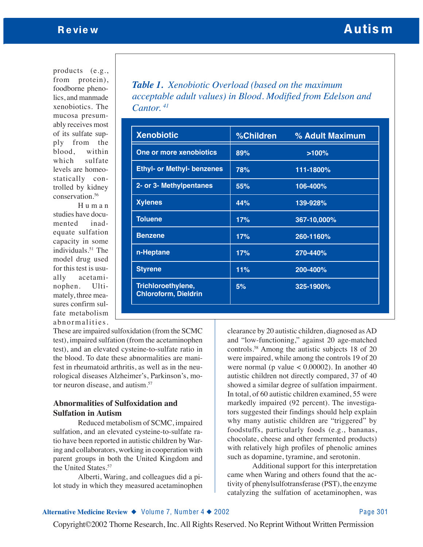products (e.g., from protein), foodborne phenolics, and manmade xenobiotics. The mucosa presumably receives most of its sulfate supply from the blood, within which sulfate levels are homeostatically controlled by kidney conservation.56

Human studies have documented inadequate sulfation capacity in some individuals.<sup>51</sup> The model drug used for this test is usually acetaminophen. Ultimately, three measures confirm sulfate metabolism abnormalities.

*Table 1. Xenobiotic Overload (based on the maximum acceptable adult values) in Blood. Modified from Edelson and Cantor. 41*

| <b>Xenobiotic</b>                                 | %Children | % Adult Maximum |
|---------------------------------------------------|-----------|-----------------|
| One or more xenobiotics                           | 89%       | >100%           |
| <b>Ethyl- or Methyl- benzenes</b>                 | 78%       | 111-1800%       |
| 2- or 3- Methylpentanes                           | 55%       | 106-400%        |
| <b>Xylenes</b>                                    | 44%       | 139-928%        |
| <b>Toluene</b>                                    | 17%       | 367-10,000%     |
| <b>Benzene</b>                                    | 17%       | 260-1160%       |
| n-Heptane                                         | 17%       | 270-440%        |
| <b>Styrene</b>                                    | 11%       | 200-400%        |
| Trichloroethylene,<br><b>Chloroform, Dieldrin</b> | 5%        | 325-1900%       |

These are impaired sulfoxidation (from the SCMC test), impaired sulfation (from the acetaminophen test), and an elevated cysteine-to-sulfate ratio in the blood. To date these abnormalities are manifest in rheumatoid arthritis, as well as in the neurological diseases Alzheimer's, Parkinson's, motor neuron disease, and autism.<sup>57</sup>

### **Abnormalities of Sulfoxidation and Sulfation in Autism**

Reduced metabolism of SCMC, impaired sulfation, and an elevated cysteine-to-sulfate ratio have been reported in autistic children by Waring and collaborators, working in cooperation with parent groups in both the United Kingdom and the United States.57

Alberti, Waring, and colleagues did a pilot study in which they measured acetaminophen clearance by 20 autistic children, diagnosed as AD and "low-functioning," against 20 age-matched controls.58 Among the autistic subjects 18 of 20 were impaired, while among the controls 19 of 20 were normal (p value  $< 0.00002$ ). In another 40 autistic children not directly compared, 37 of 40 showed a similar degree of sulfation impairment. In total, of 60 autistic children examined, 55 were markedly impaired (92 percent). The investigators suggested their findings should help explain why many autistic children are "triggered" by foodstuffs, particularly foods (e.g., bananas, chocolate, cheese and other fermented products) with relatively high profiles of phenolic amines such as dopamine, tyramine, and serotonin.

Additional support for this interpretation came when Waring and others found that the activity of phenylsulfotransferase (PST), the enzyme catalyzing the sulfation of acetaminophen, was

#### **Alternative Medicine Review ◆** Volume 7, Number 4 ◆ 2002 Page 301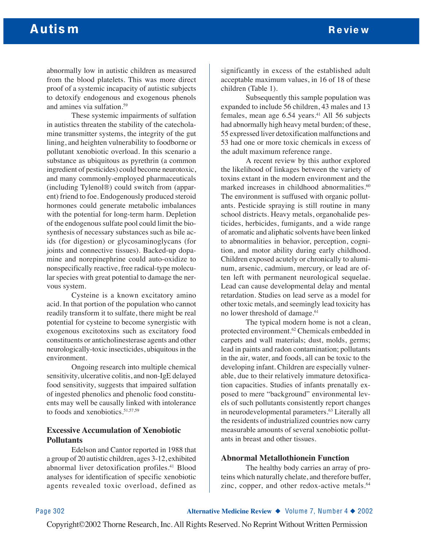abnormally low in autistic children as measured from the blood platelets. This was more direct proof of a systemic incapacity of autistic subjects to detoxify endogenous and exogenous phenols and amines via sulfation.59

These systemic impairments of sulfation in autistics threaten the stability of the catecholamine transmitter systems, the integrity of the gut lining, and heighten vulnerability to foodborne or pollutant xenobiotic overload. In this scenario a substance as ubiquitous as pyrethrin (a common ingredient of pesticides) could become neurotoxic, and many commonly-employed pharmaceuticals (including Tylenol®) could switch from (apparent) friend to foe. Endogenously produced steroid hormones could generate metabolic imbalances with the potential for long-term harm. Depletion of the endogenous sulfate pool could limit the biosynthesis of necessary substances such as bile acids (for digestion) or glycosaminoglycans (for joints and connective tissues). Backed-up dopamine and norepinephrine could auto-oxidize to nonspecifically reactive, free radical-type molecular species with great potential to damage the nervous system.

Cysteine is a known excitatory amino acid. In that portion of the population who cannot readily transform it to sulfate, there might be real potential for cysteine to become synergistic with exogenous excitotoxins such as excitatory food constituents or anticholinesterase agents and other neurologically-toxic insecticides, ubiquitous in the environment.

Ongoing research into multiple chemical sensitivity, ulcerative colitis, and non-IgE delayed food sensitivity, suggests that impaired sulfation of ingested phenolics and phenolic food constituents may well be causally linked with intolerance to foods and xenobiotics.51,57,59

### **Excessive Accumulation of Xenobiotic Pollutants**

Edelson and Cantor reported in 1988 that a group of 20 autistic children, ages 3-12, exhibited abnormal liver detoxification profiles.<sup>41</sup> Blood analyses for identification of specific xenobiotic agents revealed toxic overload, defined as

significantly in excess of the established adult acceptable maximum values, in 16 of 18 of these children (Table 1).

Subsequently this sample population was expanded to include 56 children, 43 males and 13 females, mean age  $6.54$  years.<sup>41</sup> All 56 subjects had abnormally high heavy metal burden; of these, 55 expressed liver detoxification malfunctions and 53 had one or more toxic chemicals in excess of the adult maximum reference range.

A recent review by this author explored the likelihood of linkages between the variety of toxins extant in the modern environment and the marked increases in childhood abnormalities.<sup>60</sup> The environment is suffused with organic pollutants. Pesticide spraying is still routine in many school districts. Heavy metals, organohalide pesticides, herbicides, fumigants, and a wide range of aromatic and aliphatic solvents have been linked to abnormalities in behavior, perception, cognition, and motor ability during early childhood. Children exposed acutely or chronically to aluminum, arsenic, cadmium, mercury, or lead are often left with permanent neurological sequelae. Lead can cause developmental delay and mental retardation. Studies on lead serve as a model for other toxic metals, and seemingly lead toxicity has no lower threshold of damage.<sup>61</sup>

The typical modern home is not a clean, protected environment.62 Chemicals embedded in carpets and wall materials; dust, molds, germs; lead in paints and radon contamination; pollutants in the air, water, and foods, all can be toxic to the developing infant. Children are especially vulnerable, due to their relatively immature detoxification capacities. Studies of infants prenatally exposed to mere "background" environmental levels of such pollutants consistently report changes in neurodevelopmental parameters.<sup>63</sup> Literally all the residents of industrialized countries now carry measurable amounts of several xenobiotic pollutants in breast and other tissues.

#### **Abnormal Metallothionein Function**

The healthy body carries an array of proteins which naturally chelate, and therefore buffer, zinc, copper, and other redox-active metals.<sup>64</sup>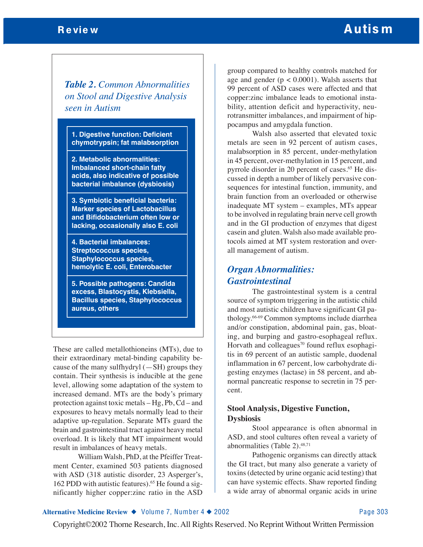# Review **Autism**

*Table 2. Common Abnormalities on Stool and Digestive Analysis seen in Autism*

**1. Digestive function: Deficient chymotrypsin; fat malabsorption**

**2. Metabolic abnormalities: Imbalanced short-chain fatty acids, also indicative of possible bacterial imbalance (dysbiosis)**

**3. Symbiotic beneficial bacteria: Marker species of Lactobacillus and Bifidobacterium often low or lacking, occasionally also E. coli**

**4. Bacterial imbalances: Streptococcus species, Staphylococcus species, hemolytic E. coli, Enterobacter** 

**5. Possible pathogens: Candida excess, Blastocystis, Klebsiella, Bacillus species, Staphylococcus aureus, others**

These are called metallothioneins (MTs), due to their extraordinary metal-binding capability because of the many sulfhydryl  $(-SH)$  groups they contain. Their synthesis is inducible at the gene level, allowing some adaptation of the system to increased demand. MTs are the body's primary protection against toxic metals – Hg, Pb, Cd – and exposures to heavy metals normally lead to their adaptive up-regulation. Separate MTs guard the brain and gastrointestinal tract against heavy metal overload. It is likely that MT impairment would result in imbalances of heavy metals.

William Walsh, PhD, at the Pfeiffer Treatment Center, examined 503 patients diagnosed with ASD (318 autistic disorder, 23 Asperger's, 162 PDD with autistic features).<sup>65</sup> He found a significantly higher copper:zinc ratio in the ASD

group compared to healthy controls matched for age and gender  $(p < 0.0001)$ . Walsh asserts that 99 percent of ASD cases were affected and that copper:zinc imbalance leads to emotional instability, attention deficit and hyperactivity, neurotransmitter imbalances, and impairment of hippocampus and amygdala function.

Walsh also asserted that elevated toxic metals are seen in 92 percent of autism cases, malabsorption in 85 percent, under-methylation in 45 percent, over-methylation in 15 percent, and pyrrole disorder in 20 percent of cases.<sup>65</sup> He discussed in depth a number of likely pervasive consequences for intestinal function, immunity, and brain function from an overloaded or otherwise inadequate MT system – examples, MTs appear to be involved in regulating brain nerve cell growth and in the GI production of enzymes that digest casein and gluten. Walsh also made available protocols aimed at MT system restoration and overall management of autism.

# *Organ Abnormalities: Gastrointestinal*

The gastrointestinal system is a central source of symptom triggering in the autistic child and most autistic children have significant GI pathology.66-69 Common symptoms include diarrhea and/or constipation, abdominal pain, gas, bloating, and burping and gastro-esophageal reflux. Horvath and colleagues<sup>70</sup> found reflux esophagitis in 69 percent of an autistic sample, duodenal inflammation in 67 percent, low carbohydrate digesting enzymes (lactase) in 58 percent, and abnormal pancreatic response to secretin in 75 percent.

### **Stool Analysis, Digestive Function, Dysbiosis**

Stool appearance is often abnormal in ASD, and stool cultures often reveal a variety of abnormalities (Table 2).48,71

Pathogenic organisms can directly attack the GI tract, but many also generate a variety of toxins (detected by urine organic acid testing) that can have systemic effects. Shaw reported finding a wide array of abnormal organic acids in urine

#### **Alternative Medicine Review ◆** Volume 7, Number 4 ◆ 2002 Page 303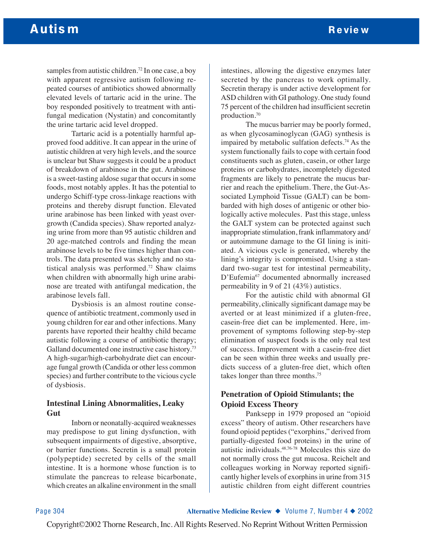samples from autistic children.<sup>72</sup> In one case, a boy with apparent regressive autism following repeated courses of antibiotics showed abnormally elevated levels of tartaric acid in the urine. The boy responded positively to treatment with antifungal medication (Nystatin) and concomitantly the urine tartaric acid level dropped.

Tartaric acid is a potentially harmful approved food additive. It can appear in the urine of autistic children at very high levels, and the source is unclear but Shaw suggests it could be a product of breakdown of arabinose in the gut. Arabinose is a sweet-tasting aldose sugar that occurs in some foods, most notably apples. It has the potential to undergo Schiff-type cross-linkage reactions with proteins and thereby disrupt function. Elevated urine arabinose has been linked with yeast overgrowth (Candida species). Shaw reported analyzing urine from more than 95 autistic children and 20 age-matched controls and finding the mean arabinose levels to be five times higher than controls. The data presented was sketchy and no statistical analysis was performed.72 Shaw claims when children with abnormally high urine arabinose are treated with antifungal medication, the arabinose levels fall.

Dysbiosis is an almost routine consequence of antibiotic treatment, commonly used in young children for ear and other infections. Many parents have reported their healthy child became autistic following a course of antibiotic therapy; Galland documented one instructive case history.<sup>73</sup> A high-sugar/high-carbohydrate diet can encourage fungal growth (Candida or other less common species) and further contribute to the vicious cycle of dysbiosis.

#### **Intestinal Lining Abnormalities, Leaky Gut**

Inborn or neonatally-acquired weaknesses may predispose to gut lining dysfunction, with subsequent impairments of digestive, absorptive, or barrier functions. Secretin is a small protein (polypeptide) secreted by cells of the small intestine. It is a hormone whose function is to stimulate the pancreas to release bicarbonate, which creates an alkaline environment in the small

intestines, allowing the digestive enzymes later secreted by the pancreas to work optimally. Secretin therapy is under active development for ASD children with GI pathology. One study found 75 percent of the children had insufficient secretin production.70

The mucus barrier may be poorly formed, as when glycosaminoglycan (GAG) synthesis is impaired by metabolic sulfation defects.<sup>74</sup> As the system functionally fails to cope with certain food constituents such as gluten, casein, or other large proteins or carbohydrates, incompletely digested fragments are likely to penetrate the mucus barrier and reach the epithelium. There, the Gut-Associated Lymphoid Tissue (GALT) can be bombarded with high doses of antigenic or other biologically active molecules. Past this stage, unless the GALT system can be protected against such inappropriate stimulation, frank inflammatory and/ or autoimmune damage to the GI lining is initiated. A vicious cycle is generated, whereby the lining's integrity is compromised. Using a standard two-sugar test for intestinal permeability, D'Eufemia<sup>67</sup> documented abnormally increased permeability in 9 of 21 (43%) autistics.

For the autistic child with abnormal GI permeability, clinically significant damage may be averted or at least minimized if a gluten-free, casein-free diet can be implemented. Here, improvement of symptoms following step-by-step elimination of suspect foods is the only real test of success. Improvement with a casein-free diet can be seen within three weeks and usually predicts success of a gluten-free diet, which often takes longer than three months.75

### **Penetration of Opioid Stimulants; the Opioid Excess Theory**

Panksepp in 1979 proposed an "opioid excess" theory of autism. Other researchers have found opioid peptides ("exorphins," derived from partially-digested food proteins) in the urine of autistic individuals.48,76-78 Molecules this size do not normally cross the gut mucosa. Reichelt and colleagues working in Norway reported significantly higher levels of exorphins in urine from 315 autistic children from eight different countries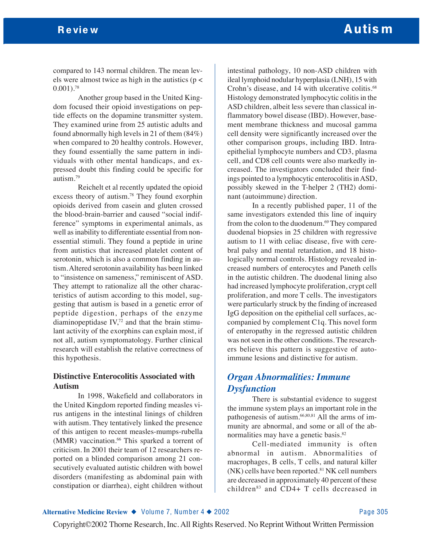compared to 143 normal children. The mean levels were almost twice as high in the autistics ( $p$  <  $0.001$ .<sup>78</sup>

Another group based in the United Kingdom focused their opioid investigations on peptide effects on the dopamine transmitter system. They examined urine from 25 autistic adults and found abnormally high levels in 21 of them (84%) when compared to 20 healthy controls. However, they found essentially the same pattern in individuals with other mental handicaps, and expressed doubt this finding could be specific for autism.79

Reichelt et al recently updated the opioid excess theory of autism.78 They found exorphin opioids derived from casein and gluten crossed the blood-brain-barrier and caused "social indifference" symptoms in experimental animals, as well as inability to differentiate essential from nonessential stimuli. They found a peptide in urine from autistics that increased platelet content of serotonin, which is also a common finding in autism. Altered serotonin availability has been linked to "insistence on sameness," reminiscent of ASD. They attempt to rationalize all the other characteristics of autism according to this model, suggesting that autism is based in a genetic error of peptide digestion, perhaps of the enzyme diaminopeptidase IV,72 and that the brain stimulant activity of the exorphins can explain most, if not all, autism symptomatology. Further clinical research will establish the relative correctness of this hypothesis.

#### **Distinctive Enterocolitis Associated with Autism**

In 1998, Wakefield and collaborators in the United Kingdom reported finding measles virus antigens in the intestinal linings of children with autism. They tentatively linked the presence of this antigen to recent measles-mumps-rubella (MMR) vaccination.<sup>66</sup> This sparked a torrent of criticism. In 2001 their team of 12 researchers reported on a blinded comparison among 21 consecutively evaluated autistic children with bowel disorders (manifesting as abdominal pain with constipation or diarrhea), eight children without

intestinal pathology, 10 non-ASD children with ileal lymphoid nodular hyperplasia (LNH), 15 with Crohn's disease, and 14 with ulcerative colitis.<sup>68</sup> Histology demonstrated lymphocytic colitis in the ASD children, albeit less severe than classical inflammatory bowel disease (IBD). However, basement membrane thickness and mucosal gamma cell density were significantly increased over the other comparison groups, including IBD. Intraepithelial lymphocyte numbers and CD3, plasma cell, and CD8 cell counts were also markedly increased. The investigators concluded their findings pointed to a lymphocytic enterocolitis in ASD, possibly skewed in the T-helper 2 (TH2) dominant (autoimmune) direction.

In a recently published paper, 11 of the same investigators extended this line of inquiry from the colon to the duodenum.<sup>69</sup> They compared duodenal biopsies in 25 children with regressive autism to 11 with celiac disease, five with cerebral palsy and mental retardation, and 18 histologically normal controls. Histology revealed increased numbers of enterocytes and Paneth cells in the autistic children. The duodenal lining also had increased lymphocyte proliferation, crypt cell proliferation, and more T cells. The investigators were particularly struck by the finding of increased IgG deposition on the epithelial cell surfaces, accompanied by complement C1q. This novel form of enteropathy in the regressed autistic children was not seen in the other conditions. The researchers believe this pattern is suggestive of autoimmune lesions and distinctive for autism.

# *Organ Abnormalities: Immune Dysfunction*

There is substantial evidence to suggest the immune system plays an important role in the pathogenesis of autism.66,80,81 All the arms of immunity are abnormal, and some or all of the abnormalities may have a genetic basis.<sup>82</sup>

Cell-mediated immunity is often abnormal in autism. Abnormalities of macrophages, B cells, T cells, and natural killer  $(NK)$  cells have been reported.<sup>81</sup> NK cell numbers are decreased in approximately 40 percent of these children $83$  and CD4+ T cells decreased in

#### **Alternative Medicine Review ◆** Volume 7, Number 4 ◆ 2002 Page 305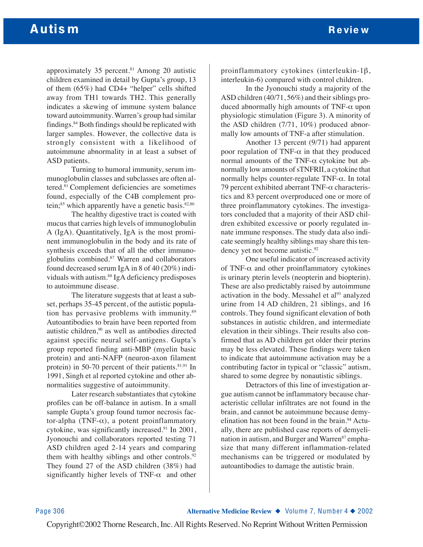approximately 35 percent. $81$  Among 20 autistic children examined in detail by Gupta's group, 13 of them (65%) had CD4+ "helper" cells shifted away from TH1 towards TH2. This generally indicates a skewing of immune system balance toward autoimmunity. Warren's group had similar findings.84 Both findings should be replicated with larger samples. However, the collective data is strongly consistent with a likelihood of autoimmune abnormality in at least a subset of ASD patients.

Turning to humoral immunity, serum immunoglobulin classes and subclasses are often altered.81 Complement deficiencies are sometimes found, especially of the C4B complement protein;<sup>85</sup> which apparently have a genetic basis.<sup>82,86</sup>

The healthy digestive tract is coated with mucus that carries high levels of immunoglobulin A (IgA). Quantitatively, IgA is the most prominent immunoglobulin in the body and its rate of synthesis exceeds that of all the other immunoglobulins combined.87 Warren and collaborators found decreased serum IgA in 8 of 40 (20%) individuals with autism.<sup>88</sup> IgA deficiency predisposes to autoimmune disease.

The literature suggests that at least a subset, perhaps 35-45 percent, of the autistic population has pervasive problems with immunity.<sup>89</sup> Autoantibodies to brain have been reported from autistic children,<sup>90</sup> as well as antibodies directed against specific neural self-antigens. Gupta's group reported finding anti-MBP (myelin basic protein) and anti-NAFP (neuron-axon filament protein) in 50-70 percent of their patients. $81,91$  In 1991, Singh et al reported cytokine and other abnormalities suggestive of autoimmunity.

Later research substantiates that cytokine profiles can be off-balance in autism. In a small sample Gupta's group found tumor necrosis factor-alpha (TNF-α), a potent proinflammatory cytokine, was significantly increased.91 In 2001, Jyonouchi and collaborators reported testing 71 ASD children aged 2-14 years and comparing them with healthy siblings and other controls.<sup>92</sup> They found 27 of the ASD children (38%) had significantly higher levels of TNF- $\alpha$  and other

proinflammatory cytokines (interleukin-1β, interleukin-6) compared with control children.

In the Jyonouchi study a majority of the ASD children (40/71, 56%) and their siblings produced abnormally high amounts of TNF- $\alpha$  upon physiologic stimulation (Figure 3). A minority of the ASD children (7/71, 10%) produced abnormally low amounts of TNF-a after stimulation.

Another 13 percent (9/71) had apparent poor regulation of TNF- $α$  in that they produced normal amounts of the TNF- $α$  cytokine but abnormally low amounts of sTNFRII, a cytokine that normally helps counter-regulate TNF-α. In total 79 percent exhibited aberrant TNF- $\alpha$  characteristics and 83 percent overproduced one or more of three proinflammatory cytokines. The investigators concluded that a majority of their ASD children exhibited excessive or poorly regulated innate immune responses. The study data also indicate seemingly healthy siblings may share this tendency yet not become autistic.<sup>92</sup>

One useful indicator of increased activity of TNF- $\alpha$  and other proinflammatory cytokines is urinary pterin levels (neopterin and biopterin). These are also predictably raised by autoimmune activation in the body. Messahel et al<sup>93</sup> analyzed urine from 14 AD children, 21 siblings, and 16 controls. They found significant elevation of both substances in autistic children, and intermediate elevation in their siblings. Their results also confirmed that as AD children get older their pterins may be less elevated. These findings were taken to indicate that autoimmune activation may be a contributing factor in typical or "classic" autism, shared to some degree by nonautistic siblings.

Detractors of this line of investigation argue autism cannot be inflammatory because characteristic cellular infiltrates are not found in the brain, and cannot be autoimmune because demyelination has not been found in the brain.<sup>94</sup> Actually, there are published case reports of demyelination in autism, and Burger and Warren<sup>87</sup> emphasize that many different inflammation-related mechanisms can be triggered or modulated by autoantibodies to damage the autistic brain.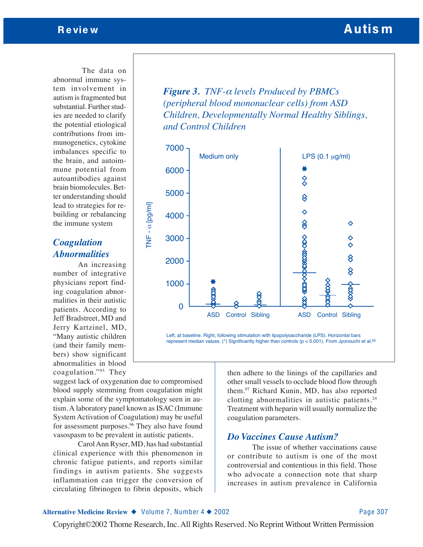The data on abnormal immune system involvement in autism is fragmented but substantial. Further studies are needed to clarify the potential etiological contributions from immunogenetics, cytokine imbalances specific to the brain, and autoimmune potential from autoantibodies against brain biomolecules. Better understanding should lead to strategies for rebuilding or rebalancing the immune system

# *Coagulation Abnormalities*

An increasing number of integrative physicians report finding coagulation abnormalities in their autistic patients. According to Jeff Bradstreet, MD and Jerry Kartzinel, MD, "Many autistic children (and their family members) show significant abnormalities in blood coagulation."95 They

suggest lack of oxygenation due to compromised blood supply stemming from coagulation might explain some of the symptomatology seen in autism. A laboratory panel known as ISAC (Immune System Activation of Coagulation) may be useful for assessment purposes.<sup>96</sup> They also have found vasospasm to be prevalent in autistic patients.

Carol Ann Ryser, MD, has had substantial clinical experience with this phenomenon in chronic fatigue patients, and reports similar findings in autism patients. She suggests inflammation can trigger the conversion of circulating fibrinogen to fibrin deposits, which

*Figure 3. TNF-*<sup>α</sup> *levels Produced by PBMCs (peripheral blood mononuclear cells) from ASD Children, Developmentally Normal Healthy Siblings, and Control Children*



Left, at baseline. Right, following stimulation with lipopolysaccharide (LPS). Horizontal bars represent median values. (\*) Significantly higher than controls ( $p < 0.001$ ). From Jyonouchi et al.<sup>92</sup>

> then adhere to the linings of the capillaries and other small vessels to occlude blood flow through them.97 Richard Kunin, MD, has also reported clotting abnormalities in autistic patients.24 Treatment with heparin will usually normalize the coagulation parameters.

## *Do Vaccines Cause Autism?*

The issue of whether vaccinations cause or contribute to autism is one of the most controversial and contentious in this field. Those who advocate a connection note that sharp increases in autism prevalence in California

#### **Alternative Medicine Review ◆** Volume 7, Number 4 ◆ 2002 Page 307

Review **Review Review Review Autism**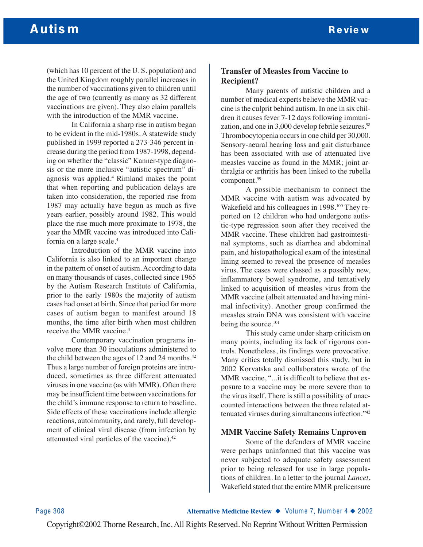(which has 10 percent of the U. S. population) and the United Kingdom roughly parallel increases in the number of vaccinations given to children until the age of two (currently as many as 32 different vaccinations are given). They also claim parallels with the introduction of the MMR vaccine.

In California a sharp rise in autism began to be evident in the mid-1980s. A statewide study published in 1999 reported a 273-346 percent increase during the period from 1987-1998, depending on whether the "classic" Kanner-type diagnosis or the more inclusive "autistic spectrum" diagnosis was applied.4 Rimland makes the point that when reporting and publication delays are taken into consideration, the reported rise from 1987 may actually have begun as much as five years earlier, possibly around 1982. This would place the rise much more proximate to 1978, the year the MMR vaccine was introduced into California on a large scale.4

Introduction of the MMR vaccine into California is also linked to an important change in the pattern of onset of autism. According to data on many thousands of cases, collected since 1965 by the Autism Research Institute of California, prior to the early 1980s the majority of autism cases had onset at birth. Since that period far more cases of autism began to manifest around 18 months, the time after birth when most children receive the MMR vaccine.4

Contemporary vaccination programs involve more than 30 inoculations administered to the child between the ages of 12 and 24 months. $42$ Thus a large number of foreign proteins are introduced, sometimes as three different attenuated viruses in one vaccine (as with MMR). Often there may be insufficient time between vaccinations for the child's immune response to return to baseline. Side effects of these vaccinations include allergic reactions, autoimmunity, and rarely, full development of clinical viral disease (from infection by attenuated viral particles of the vaccine).42

### **Transfer of Measles from Vaccine to Recipient?**

Many parents of autistic children and a number of medical experts believe the MMR vaccine is the culprit behind autism. In one in six children it causes fever 7-12 days following immunization, and one in 3,000 develop febrile seizures.<sup>98</sup> Thrombocytopenia occurs in one child per 30,000. Sensory-neural hearing loss and gait disturbance has been associated with use of attenuated live measles vaccine as found in the MMR; joint arthralgia or arthritis has been linked to the rubella component.<sup>99</sup>

A possible mechanism to connect the MMR vaccine with autism was advocated by Wakefield and his colleagues in 1998.<sup>100</sup> They reported on 12 children who had undergone autistic-type regression soon after they received the MMR vaccine. These children had gastrointestinal symptoms, such as diarrhea and abdominal pain, and histopathological exam of the intestinal lining seemed to reveal the presence of measles virus. The cases were classed as a possibly new, inflammatory bowel syndrome, and tentatively linked to acquisition of measles virus from the MMR vaccine (albeit attenuated and having minimal infectivity). Another group confirmed the measles strain DNA was consistent with vaccine being the source.<sup>101</sup>

This study came under sharp criticism on many points, including its lack of rigorous controls. Nonetheless, its findings were provocative. Many critics totally dismissed this study, but in 2002 Korvatska and collaborators wrote of the MMR vaccine, "...it is difficult to believe that exposure to a vaccine may be more severe than to the virus itself. There is still a possibility of unaccounted interactions between the three related attenuated viruses during simultaneous infection."42

### **MMR Vaccine Safety Remains Unproven**

Some of the defenders of MMR vaccine were perhaps uninformed that this vaccine was never subjected to adequate safety assessment prior to being released for use in large populations of children. In a letter to the journal *Lancet*, Wakefield stated that the entire MMR prelicensure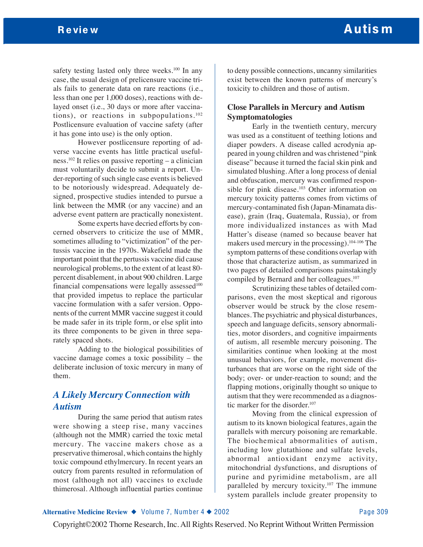safety testing lasted only three weeks.<sup>100</sup> In any case, the usual design of prelicensure vaccine trials fails to generate data on rare reactions (i.e., less than one per 1,000 doses), reactions with delayed onset (i.e., 30 days or more after vaccinations), or reactions in subpopulations. $102$ Postlicensure evaluation of vaccine safety (after it has gone into use) is the only option.

However postlicensure reporting of adverse vaccine events has little practical usefulness.102 It relies on passive reporting – a clinician must voluntarily decide to submit a report. Under-reporting of such single case events is believed to be notoriously widespread. Adequately designed, prospective studies intended to pursue a link between the MMR (or any vaccine) and an adverse event pattern are practically nonexistent.

Some experts have decried efforts by concerned observers to criticize the use of MMR, sometimes alluding to "victimization" of the pertussis vaccine in the 1970s. Wakefield made the important point that the pertussis vaccine did cause neurological problems, to the extent of at least 80 percent disablement, in about 900 children. Large financial compensations were legally assessed $100$ that provided impetus to replace the particular vaccine formulation with a safer version. Opponents of the current MMR vaccine suggest it could be made safer in its triple form, or else split into its three components to be given in three separately spaced shots.

Adding to the biological possibilities of vaccine damage comes a toxic possibility – the deliberate inclusion of toxic mercury in many of them.

# *A Likely Mercury Connection with Autism*

During the same period that autism rates were showing a steep rise, many vaccines (although not the MMR) carried the toxic metal mercury. The vaccine makers chose as a preservative thimerosal, which contains the highly toxic compound ethylmercury. In recent years an outcry from parents resulted in reformulation of most (although not all) vaccines to exclude thimerosal. Although influential parties continue

to deny possible connections, uncanny similarities exist between the known patterns of mercury's toxicity to children and those of autism.

### **Close Parallels in Mercury and Autism Symptomatologies**

Early in the twentieth century, mercury was used as a constituent of teething lotions and diaper powders. A disease called acrodynia appeared in young children and was christened "pink disease" because it turned the facial skin pink and simulated blushing. After a long process of denial and obfuscation, mercury was confirmed responsible for pink disease.103 Other information on mercury toxicity patterns comes from victims of mercury-contaminated fish (Japan-Minamata disease), grain (Iraq, Guatemala, Russia), or from more individualized instances as with Mad Hatter's disease (named so because beaver hat makers used mercury in the processing).104-106 The symptom patterns of these conditions overlap with those that characterize autism, as summarized in two pages of detailed comparisons painstakingly compiled by Bernard and her colleagues.<sup>107</sup>

Scrutinizing these tables of detailed comparisons, even the most skeptical and rigorous observer would be struck by the close resemblances. The psychiatric and physical disturbances, speech and language deficits, sensory abnormalities, motor disorders, and cognitive impairments of autism, all resemble mercury poisoning. The similarities continue when looking at the most unusual behaviors, for example, movement disturbances that are worse on the right side of the body; over- or under-reaction to sound; and the flapping motions, originally thought so unique to autism that they were recommended as a diagnostic marker for the disorder.<sup>107</sup>

Moving from the clinical expression of autism to its known biological features, again the parallels with mercury poisoning are remarkable. The biochemical abnormalities of autism, including low glutathione and sulfate levels, abnormal antioxidant enzyme activity, mitochondrial dysfunctions, and disruptions of purine and pyrimidine metabolism, are all paralleled by mercury toxicity.107 The immune system parallels include greater propensity to

#### **Alternative Medicine Review ◆** Volume 7, Number 4 ◆ 2002 Page 309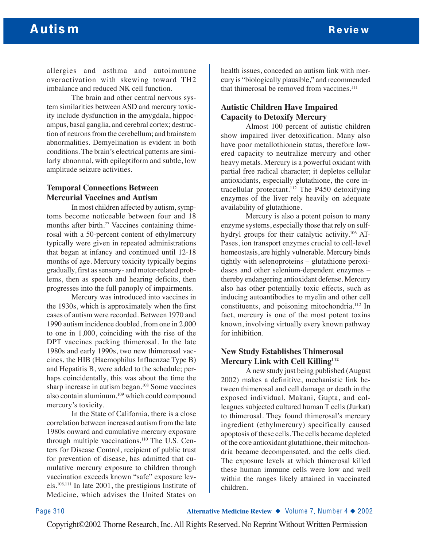allergies and asthma and autoimmune overactivation with skewing toward TH2 imbalance and reduced NK cell function.

The brain and other central nervous system similarities between ASD and mercury toxicity include dysfunction in the amygdala, hippocampus, basal ganglia, and cerebral cortex; destruction of neurons from the cerebellum; and brainstem abnormalities. Demyelination is evident in both conditions. The brain's electrical patterns are similarly abnormal, with epileptiform and subtle, low amplitude seizure activities.

### **Temporal Connections Between Mercurial Vaccines and Autism**

In most children affected by autism, symptoms become noticeable between four and 18 months after birth.<sup>77</sup> Vaccines containing thimerosal with a 50-percent content of ethylmercury typically were given in repeated administrations that began at infancy and continued until 12-18 months of age. Mercury toxicity typically begins gradually, first as sensory- and motor-related problems, then as speech and hearing deficits, then progresses into the full panoply of impairments.

Mercury was introduced into vaccines in the 1930s, which is approximately when the first cases of autism were recorded. Between 1970 and 1990 autism incidence doubled, from one in 2,000 to one in 1,000, coinciding with the rise of the DPT vaccines packing thimerosal. In the late 1980s and early 1990s, two new thimerosal vaccines, the HIB (Haemophilus Influenzae Type B) and Hepatitis B, were added to the schedule; perhaps coincidentally, this was about the time the sharp increase in autism began.<sup>108</sup> Some vaccines also contain aluminum,<sup>109</sup> which could compound mercury's toxicity.

In the State of California, there is a close correlation between increased autism from the late 1980s onward and cumulative mercury exposure through multiple vaccinations.<sup>110</sup> The U.S. Centers for Disease Control, recipient of public trust for prevention of disease, has admitted that cumulative mercury exposure to children through vaccination exceeds known "safe" exposure levels.108,111 In late 2001, the prestigious Institute of Medicine, which advises the United States on

health issues, conceded an autism link with mercury is "biologically plausible," and recommended that thimerosal be removed from vaccines. $111$ 

### **Autistic Children Have Impaired Capacity to Detoxify Mercury**

Almost 100 percent of autistic children show impaired liver detoxification. Many also have poor metallothionein status, therefore lowered capacity to neutralize mercury and other heavy metals. Mercury is a powerful oxidant with partial free radical character; it depletes cellular antioxidants, especially glutathione, the core intracellular protectant.<sup>112</sup> The P450 detoxifying enzymes of the liver rely heavily on adequate availability of glutathione.

Mercury is also a potent poison to many enzyme systems, especially those that rely on sulfhydryl groups for their catalytic activity.106 AT-Pases, ion transport enzymes crucial to cell-level homeostasis, are highly vulnerable. Mercury binds tightly with selenoproteins – glutathione peroxidases and other selenium-dependent enzymes – thereby endangering antioxidant defense. Mercury also has other potentially toxic effects, such as inducing autoantibodies to myelin and other cell constituents, and poisoning mitochondria.112 In fact, mercury is one of the most potent toxins known, involving virtually every known pathway for inhibition.

# **New Study Establishes Thimerosal Mercury Link with Cell Killing112**

A new study just being published (August 2002) makes a definitive, mechanistic link between thimerosal and cell damage or death in the exposed individual. Makani, Gupta, and colleagues subjected cultured human T cells (Jurkat) to thimerosal. They found thimerosal's mercury ingredient (ethylmercury) specifically caused apoptosis of these cells. The cells became depleted of the core antioxidant glutathione, their mitochondria became decompensated, and the cells died. The exposure levels at which thimerosal killed these human immune cells were low and well within the ranges likely attained in vaccinated children.

Page 310 **Alternative Medicine Review** ◆ Volume 7, Number 4 ◆ 2002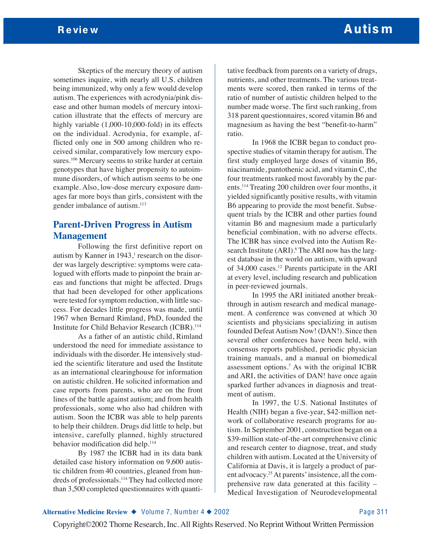Skeptics of the mercury theory of autism sometimes inquire, with nearly all U.S. children being immunized, why only a few would develop autism. The experiences with acrodynia/pink disease and other human models of mercury intoxication illustrate that the effects of mercury are highly variable  $(1,000-10,000-fold)$  in its effects on the individual. Acrodynia, for example, afflicted only one in 500 among children who received similar, comparatively low mercury exposures.<sup>106</sup> Mercury seems to strike harder at certain genotypes that have higher propensity to autoimmune disorders, of which autism seems to be one example. Also, low-dose mercury exposure damages far more boys than girls, consistent with the gender imbalance of autism.113

# **Parent-Driven Progress in Autism Management**

Following the first definitive report on autism by Kanner in  $1943$ ,<sup>1</sup> research on the disorder was largely descriptive: symptoms were catalogued with efforts made to pinpoint the brain areas and functions that might be affected. Drugs that had been developed for other applications were tested for symptom reduction, with little success. For decades little progress was made, until 1967 when Bernard Rimland, PhD, founded the Institute for Child Behavior Research (ICBR).<sup>114</sup>

As a father of an autistic child, Rimland understood the need for immediate assistance to individuals with the disorder. He intensively studied the scientific literature and used the Institute as an international clearinghouse for information on autistic children. He solicited information and case reports from parents, who are on the front lines of the battle against autism; and from health professionals, some who also had children with autism. Soon the ICBR was able to help parents to help their children. Drugs did little to help, but intensive, carefully planned, highly structured behavior modification did help.<sup>114</sup>

By 1987 the ICBR had in its data bank detailed case history information on 9,600 autistic children from 40 countries, gleaned from hundreds of professionals.<sup>114</sup> They had collected more than 3,500 completed questionnaires with quantitative feedback from parents on a variety of drugs, nutrients, and other treatments. The various treatments were scored, then ranked in terms of the ratio of number of autistic children helped to the number made worse. The first such ranking, from 318 parent questionnaires, scored vitamin B6 and magnesium as having the best "benefit-to-harm" ratio.

In 1968 the ICBR began to conduct prospective studies of vitamin therapy for autism. The first study employed large doses of vitamin B6, niacinamide, pantothenic acid, and vitamin C, the four treatments ranked most favorably by the parents.114 Treating 200 children over four months, it yielded significantly positive results, with vitamin B6 appearing to provide the most benefit. Subsequent trials by the ICBR and other parties found vitamin B6 and magnesium made a particularly beneficial combination, with no adverse effects. The ICBR has since evolved into the Autism Research Institute (ARI).<sup>6</sup> The ARI now has the largest database in the world on autism, with upward of 34,000 cases.12 Parents participate in the ARI at every level, including research and publication in peer-reviewed journals.

In 1995 the ARI initiated another breakthrough in autism research and medical management. A conference was convened at which 30 scientists and physicians specializing in autism founded Defeat Autism Now! (DAN!). Since then several other conferences have been held, with consensus reports published, periodic physician training manuals, and a manual on biomedical assessment options.7 As with the original ICBR and ARI, the activities of DAN! have once again sparked further advances in diagnosis and treatment of autism.

In 1997, the U.S. National Institutes of Health (NIH) began a five-year, \$42-million network of collaborative research programs for autism. In September 2001, construction began on a \$39-million state-of-the-art comprehensive clinic and research center to diagnose, treat, and study children with autism. Located at the University of California at Davis, it is largely a product of parent advocacy.25At parents' insistence, all the comprehensive raw data generated at this facility – Medical Investigation of Neurodevelopmental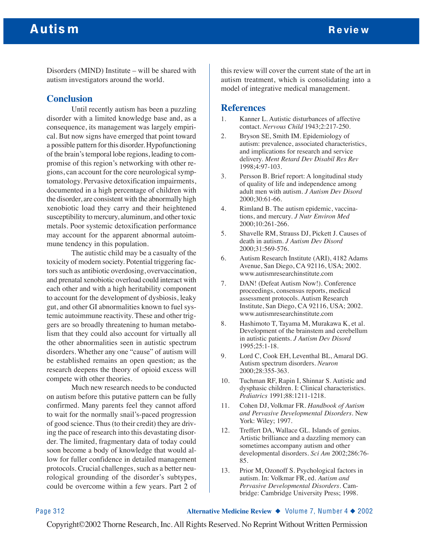# Autis m Review Autis many states with the contract of the contract of the contract of the contract of the contract of the contract of the contract of the contract of the contract of the contract of the contract of the cont

Disorders (MIND) Institute – will be shared with autism investigators around the world.

### **Conclusion**

Until recently autism has been a puzzling disorder with a limited knowledge base and, as a consequence, its management was largely empirical. But now signs have emerged that point toward a possible pattern for this disorder. Hypofunctioning of the brain's temporal lobe regions, leading to compromise of this region's networking with other regions, can account for the core neurological symptomatology. Pervasive detoxification impairments, documented in a high percentage of children with the disorder, are consistent with the abnormally high xenobiotic load they carry and their heightened susceptibility to mercury, aluminum, and other toxic metals. Poor systemic detoxification performance may account for the apparent abnormal autoimmune tendency in this population.

The autistic child may be a casualty of the toxicity of modern society. Potential triggering factors such as antibiotic overdosing, overvaccination, and prenatal xenobiotic overload could interact with each other and with a high heritability component to account for the development of dysbiosis, leaky gut, and other GI abnormalities known to fuel systemic autoimmune reactivity. These and other triggers are so broadly threatening to human metabolism that they could also account for virtually all the other abnormalities seen in autistic spectrum disorders. Whether any one "cause" of autism will be established remains an open question; as the research deepens the theory of opioid excess will compete with other theories.

Much new research needs to be conducted on autism before this putative pattern can be fully confirmed. Many parents feel they cannot afford to wait for the normally snail's-paced progression of good science. Thus (to their credit) they are driving the pace of research into this devastating disorder. The limited, fragmentary data of today could soon become a body of knowledge that would allow for fuller confidence in detailed management protocols. Crucial challenges, such as a better neurological grounding of the disorder's subtypes, could be overcome within a few years. Part 2 of

this review will cover the current state of the art in autism treatment, which is consolidating into a model of integrative medical management.

### **References**

- 1. Kanner L. Autistic disturbances of affective contact. *Nervous Child* 1943;2:217-250.
- 2. Bryson SE, Smith IM. Epidemiology of autism: prevalence, associated characteristics, and implications for research and service delivery. *Ment Retard Dev Disabil Res Rev* 1998;4:97-103.
- 3. Persson B. Brief report: A longitudinal study of quality of life and independence among adult men with autism. *J Autism Dev Disord* 2000;30:61-66.
- 4. Rimland B. The autism epidemic, vaccinations, and mercury. *J Nutr Environ Med* 2000;10:261-266.
- 5. Shavelle RM, Strauss DJ, Pickett J. Causes of death in autism. *J Autism Dev Disord* 2000;31:569-576.
- 6. Autism Research Institute (ARI), 4182 Adams Avenue, San Diego, CA 92116, USA; 2002. www.autismresearchinstitute.com
- 7. DAN! (Defeat Autism Now!). Conference proceedings, consensus reports, medical assessment protocols. Autism Research Institute, San Diego, CA 92116, USA; 2002. www.autismresearchinstitute.com
- 8. Hashimoto T, Tayama M, Murakawa K, et al. Development of the brainstem and cerebellum in autistic patients. *J Autism Dev Disord* 1995;25:1-18.
- 9. Lord C, Cook EH, Leventhal BL, Amaral DG. Autism spectrum disorders. *Neuron* 2000;28:355-363.
- 10. Tuchman RF, Rapin I, Shinnar S. Autistic and dysphasic children. I: Clinical characteristics. *Pediatrics* 1991;88:1211-1218.
- 11. Cohen DJ, Volkmar FR. *Handbook of Autism and Pervasive Developmental Disorders*. New York: Wiley; 1997.
- 12. Treffert DA, Wallace GL. Islands of genius. Artistic brilliance and a dazzling memory can sometimes accompany autism and other developmental disorders. *Sci Am* 2002;286:76- 85.
- 13. Prior M, Ozonoff S. Psychological factors in autism. In: Volkmar FR, ed. *Autism and Pervasive Developmental Disorders*. Cambridge: Cambridge University Press; 1998.

Page 312 **Alternative Medicine Review** ◆ Volume 7, Number 4 ◆ 2002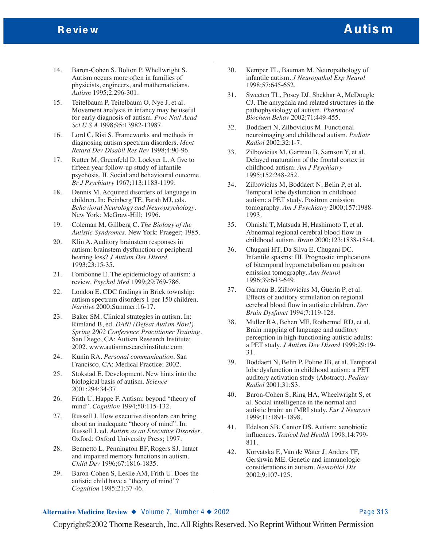- 14. Baron-Cohen S, Bolton P, Whellwright S. Autism occurs more often in families of physicists, engineers, and mathematicians. *Autism* 1995;2:296-301.
- 15. Teitelbaum P, Teitelbaum O, Nye J, et al. Movement analysis in infancy may be useful for early diagnosis of autism. *Proc Natl Acad Sci U S A* 1998;95:13982-13987.
- 16. Lord C, Risi S. Frameworks and methods in diagnosing autism spectrum disorders. *Ment Retard Dev Disabil Res Rev* 1998;4:90-96.
- 17. Rutter M, Greenfeld D, Lockyer L. A five to fifteen year follow-up study of infantile psychosis. II. Social and behavioural outcome. *Br J Psychiatry* 1967;113:1183-1199.
- 18. Dennis M. Acquired disorders of language in children. In: Feinberg TE, Farah MJ, eds. *Behavioral Neurology and Neuropsychology*. New York: McGraw-Hill; 1996.
- 19. Coleman M, Gillberg C. *The Biology of the Autistic Syndromes*. New York: Praeger; 1985.
- 20. Klin A. Auditory brainstem responses in autism: brainstem dysfunction or peripheral hearing loss? *J Autism Dev Disord* 1993;23:15-35.
- 21. Fombonne E. The epidemiology of autism: a review. *Psychol Med* 1999;29:769-786.
- 22. London E. CDC findings in Brick township: autism spectrum disorders 1 per 150 children. *Naritive* 2000;Summer:16-17.
- 23. Baker SM. Clinical strategies in autism. In: Rimland B, ed. *DAN! (Defeat Autism Now!) Spring 2002 Conference Practitioner Training*. San Diego, CA: Autism Research Institute; 2002. www.autismresearchinstitute.com
- 24. Kunin RA. *Personal communication*. San Francisco, CA: Medical Practice; 2002.
- 25. Stokstad E. Development. New hints into the biological basis of autism. *Science* 2001;294:34-37.
- 26. Frith U, Happe F. Autism: beyond "theory of mind". *Cognition* 1994;50:115-132.
- 27. Russell J. How executive disorders can bring about an inadequate "theory of mind". In: Russell J, ed. *Autism as an Executive Disorder*. Oxford: Oxford University Press; 1997.
- 28. Bennetto L, Pennington BF, Rogers SJ. Intact and impaired memory functions in autism. *Child Dev* 1996;67:1816-1835.
- 29. Baron-Cohen S, Leslie AM, Frith U. Does the autistic child have a "theory of mind"? *Cognition* 1985;21:37-46.
- 30. Kemper TL, Bauman M. Neuropathology of infantile autism. *J Neuropathol Exp Neurol* 1998;57:645-652.
- 31. Sweeten TL, Posey DJ, Shekhar A, McDougle CJ. The amygdala and related structures in the pathophysiology of autism. *Pharmacol Biochem Behav* 2002;71:449-455.
- 32. Boddaert N, Zilbovicius M. Functional neuroimaging and childhood autism. *Pediatr Radiol* 2002;32:1-7.
- 33. Zilbovicius M, Garreau B, Samson Y, et al. Delayed maturation of the frontal cortex in childhood autism. *Am J Psychiatry* 1995;152:248-252.
- 34. Zilbovicius M, Boddaert N, Belin P, et al. Temporal lobe dysfunction in childhood autism: a PET study. Positron emission tomography. *Am J Psychiatry* 2000;157:1988- 1993.
- 35. Ohnishi T, Matsuda H, Hashimoto T, et al. Abnormal regional cerebral blood flow in childhood autism. *Brain* 2000;123:1838-1844.
- 36. Chugani HT, Da Silva E, Chugani DC. Infantile spasms: III. Prognostic implications of bitemporal hypometabolism on positron emission tomography. *Ann Neurol* 1996;39:643-649.
- 37. Garreau B, Zilbovicius M, Guerin P, et al. Effects of auditory stimulation on regional cerebral blood flow in autistic children. *Dev Brain Dysfunct* 1994;7:119-128.
- 38. Muller RA, Behen ME, Rothermel RD, et al. Brain mapping of language and auditory perception in high-functioning autistic adults: a PET study. *J Autism Dev Disord* 1999;29:19- 31.
- 39. Boddaert N, Belin P, Poline JB, et al. Temporal lobe dysfunction in childhood autism: a PET auditory activation study (Abstract). *Pediatr Radiol* 2001;31:S3.
- 40. Baron-Cohen S, Ring HA, Wheelwright S, et al. Social intelligence in the normal and autistic brain: an fMRI study. *Eur J Neurosci* 1999;11:1891-1898.
- 41. Edelson SB, Cantor DS. Autism: xenobiotic influences. *Toxicol Ind Health* 1998;14:799- 811.
- 42. Korvatska E, Van de Water J, Anders TF, Gershwin ME. Genetic and immunologic considerations in autism. *Neurobiol Dis* 2002;9:107-125.

#### **Alternative Medicine Review ◆** Volume 7, Number 4 ◆ 2002 Page 313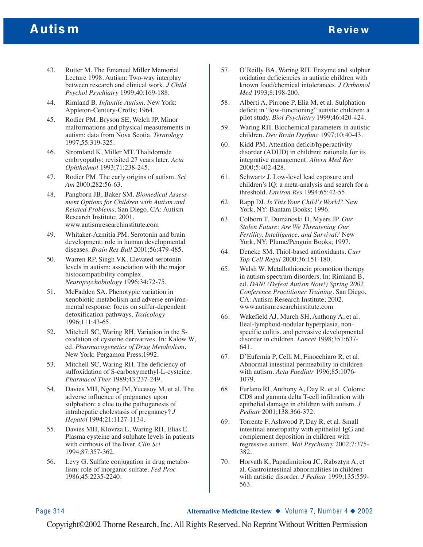# Autis m Review Autis many states with the contract of the contract of the contract of the contract of the contract of the contract of the contract of the contract of the contract of the contract of the contract of the cont

- 43. Rutter M. The Emanuel Miller Memorial Lecture 1998. Autism: Two-way interplay between research and clinical work. *J Child Psychol Psychiatry* 1999;40:169-188.
- 44. Rimland B. *Infantile Autism*. New York: Appleton-Century-Crofts; 1964.
- 45. Rodier PM, Bryson SE, Welch JP. Minor malformations and physical measurements in autism: data from Nova Scotia. *Teratology* 1997;55:319-325.
- 46. Stromland K, Miller MT. Thalidomide embryopathy: revisited 27 years later. *Acta Ophthalmol* 1993;71:238-245.
- 47. Rodier PM. The early origins of autism. *Sci Am* 2000;282:56-63.
- 48. Pangborn JB, Baker SM. *Biomedical Assessment Options for Children with Autism and Related Problems*. San Diego, CA: Autism Research Institute; 2001. www.autismresearchinstitute.com
- 49. Whitaker-Azmitia PM. Serotonin and brain development: role in human developmental diseases. *Brain Res Bull* 2001;56:479-485.
- 50. Warren RP, Singh VK. Elevated serotonin levels in autism: association with the major histocompatibility complex. *Neuropsychobiology* 1996;34:72-75.
- 51. McFadden SA. Phenotypic variation in xenobiotic metabolism and adverse environmental response: focus on sulfur-dependent detoxification pathways. *Toxicology* 1996;111:43-65.
- 52. Mitchell SC, Waring RH. Variation in the Soxidation of cysteine derivatives. In: Kalow W, ed. *Pharmacogenetics of Drug Metabolism*. New York: Pergamon Press;1992.
- 53. Mitchell SC, Waring RH. The deficiency of sulfoxidation of S-carboxymethyl-L-cysteine. *Pharmacol Ther* 1989;43:237-249.
- 54. Davies MH, Ngong JM, Yucesoy M, et al. The adverse influence of pregnancy upon sulphation: a clue to the pathogenesis of intrahepatic cholestasis of pregnancy? *J Hepatol* 1994;21:1127-1134.
- 55. Davies MH, Klovrza L, Waring RH, Elias E. Plasma cysteine and sulphate levels in patients with cirrhosis of the liver. *Clin Sci* 1994;87:357-362.
- 56. Levy G. Sulfate conjugation in drug metabolism: role of inorganic sulfate. *Fed Proc* 1986;45:2235-2240.
- 57. O'Reilly BA, Waring RH. Enzyme and sulphur oxidation deficiencies in autistic children with known food/chemical intolerances. *J Orthomol Med* 1993;8:198-200.
- 58. Alberti A, Pirrone P, Elia M, et al. Sulphation deficit in "low-functioning" autistic children: a pilot study. *Biol Psychiatry* 1999;46:420-424.
- 59. Waring RH. Biochemical parameters in autistic children. *Dev Brain Dysfunc* 1997;10:40-43.
- 60. Kidd PM. Attention deficit/hyperactivity disorder (ADHD) in children: rationale for its integrative management. *Altern Med Rev* 2000;5:402-428.
- 61. Schwartz J. Low-level lead exposure and children's IQ: a meta-analysis and search for a threshold. *Environ Res* 1994;65:42-55.
- 62. Rapp DJ. *Is This Your Child's World?* New York, NY: Bantam Books; 1996.
- 63. Colborn T, Dumanoski D, Myers JP. *Our Stolen Future: Are We Threatening Our Fertility, Intelligence, and Survival?* New York, NY: Plume/Penguin Books; 1997.
- 64. Deneke SM. Thiol-based antioxidants. *Curr Top Cell Regul* 2000;36:151-180.
- 65. Walsh W. Metallothionein promotion therapy in autism spectrum disorders. In: Rimland B, ed. *DAN! (Defeat Autism Now!) Spring 2002 Conference Practitioner Training*. San Diego, CA: Autism Research Institute; 2002. www.autismresearchinstitute.com
- 66. Wakefield AJ, Murch SH, Anthony A, et al. Ileal-lymphoid-nodular hyperplasia, nonspecific colitis, and pervasive developmental disorder in children. *Lancet* 1998;351:637- 641.
- 67. D'Eufemia P, Celli M, Finocchiaro R, et al. Abnormal intestinal permeability in children with autism. *Acta Paediatr* 1996;85:1076- 1079.
- 68. Furlano RI, Anthony A, Day R, et al. Colonic CD8 and gamma delta T-cell infiltration with epithelial damage in children with autism. *J Pediatr* 2001;138:366-372.
- 69. Torrente F, Ashwood P, Day R, et al. Small intestinal enteropathy with epithelial IgG and complement deposition in children with regressive autism. *Mol Psychiatry* 2002;7:375- 382.
- 70. Horvath K, Papadimitriou JC, Rabsztyn A, et al. Gastrointestinal abnormalities in children with autistic disorder. *J Pediatr* 1999;135:559- 563.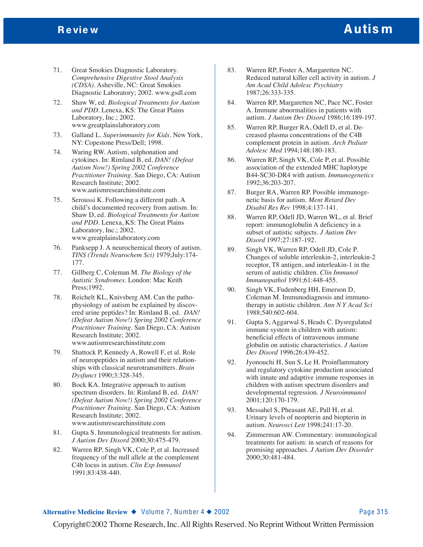# Review **Autism**

- 71. Great Smokies Diagnostic Laboratory. *Comprehensive Digestive Stool Analysis (CDSA)*. Asheville, NC: Great Smokies Diagnostic Laboratory; 2002. www.gsdl.com
- 72. Shaw W, ed. *Biological Treatments for Autism and PDD*. Lenexa, KS: The Great Plains Laboratory, Inc.; 2002. www.greatplainslaboratory.com
- 73. Galland L. *Superimmunity for Kids*. New York, NY: Copestone Press/Dell; 1998.
- 74. Waring RW. Autism, sulphonation and cytokines. In: Rimland B, ed. *DAN! (Defeat Autism Now!) Spring 2002 Conference Practitioner Training*. San Diego, CA: Autism Research Institute; 2002. www.autismresearchinstitute.com
- 75. Seroussi K. Following a different path. A child's documented recovery from autism. In: Shaw D, ed. *Biological Treatments for Autism and PDD*. Lenexa, KS: The Great Plains Laboratory, Inc.; 2002. www.greatplainslaboratory.com
- 76. Panksepp J. A neurochemical theory of autism. *TINS (Trends Neurochem Sci)* 1979;July:174- 177.
- 77. Gillberg C, Coleman M. *The Biology of the Autistic Syndromes*. London: Mac Keith Press;1992.
- 78. Reichelt KL, Knivsberg AM. Can the pathophysiology of autism be explained by discovered urine peptides? In: Rimland B, ed. *DAN! (Defeat Autism Now!) Spring 2002 Conference Practitioner Training*. San Diego, CA: Autism Research Institute; 2002. www.autismresearchinstitute.com
- 79. Shattock P, Kennedy A, Rowell F, et al. Role of neuropeptides in autism and their relationships with classical neurotransmitters. *Brain Dysfunct* 1990;3:328-345.
- 80. Bock KA. Integrative approach to autism spectrum disorders. In: Rimland B, ed. *DAN! (Defeat Autism Now!) Spring 2002 Conference Practitioner Training*. San Diego, CA: Autism Research Institute; 2002. www.autismresearchinstitute.com
- 81. Gupta S. Immunological treatments for autism. *J Autism Dev Disord* 2000;30:475-479.
- 82. Warren RP, Singh VK, Cole P, et al. Increased frequency of the null allele at the complement C4b locus in autism. *Clin Exp Immunol* 1991;83:438-440.
- 83. Warren RP, Foster A, Margaretten NC. Reduced natural killer cell activity in autism. *J Am Acad Child Adolesc Psychiatry* 1987;26:333-335.
- 84. Warren RP, Margaretten NC, Pace NC, Foster A. Immune abnormalities in patients with autism. *J Autism Dev Disord* 1986;16:189-197.
- 85. Warren RP, Burger RA, Odell D, et al. Decreased plasma concentrations of the C4B complement protein in autism. *Arch Pediatr Adolesc Med* 1994;148:180-183.
- 86. Warren RP, Singh VK, Cole P, et al. Possible association of the extended MHC haplotype B44-SC30-DR4 with autism. *Immunogenetics* 1992;36:203-207.
- 87. Burger RA, Warren RP. Possible immunogenetic basis for autism. *Ment Retard Dev Disabil Res Rev* 1998;4:137-141.
- 88. Warren RP, Odell JD, Warren WL, et al. Brief report: immunoglobulin A deficiency in a subset of autistic subjects. *J Autism Dev Disord* 1997;27:187-192.
- 89. Singh VK, Warren RP, Odell JD, Cole P. Changes of soluble interleukin-2, interleukin-2 receptor, T8 antigen, and interleukin-1 in the serum of autistic children. *Clin Immunol Immunopathol* 1991;61:448-455.
- 90. Singh VK, Fudenberg HH, Emerson D, Coleman M. Immunodiagnosis and immunotherapy in autistic children. *Ann N Y Acad Sci* 1988;540:602-604.
- 91. Gupta S, Aggarwal S, Heads C. Dysregulated immune system in children with autism: beneficial effects of intravenous immune globulin on autistic characteristics. *J Autism Dev Disord* 1996;26:439-452.
- 92. Jyonouchi H, Sun S, Le H. Proinflammatory and regulatory cytokine production associated with innate and adaptive immune responses in children with autism spectrum disorders and developmental regression. *J Neuroimmunol* 2001;120:170-179.
- 93. Messahel S, Pheasant AE, Pall H, et al. Urinary levels of neopterin and biopterin in autism. *Neurosci Lett* 1998;241:17-20.
- 94. Zimmerman AW. Commentary: immunological treatments for autism: in search of reasons for promising approaches. *J Autism Dev Disorder* 2000;30:481-484.

#### **Alternative Medicine Review ◆** Volume 7, Number 4 ◆ 2002 Page 315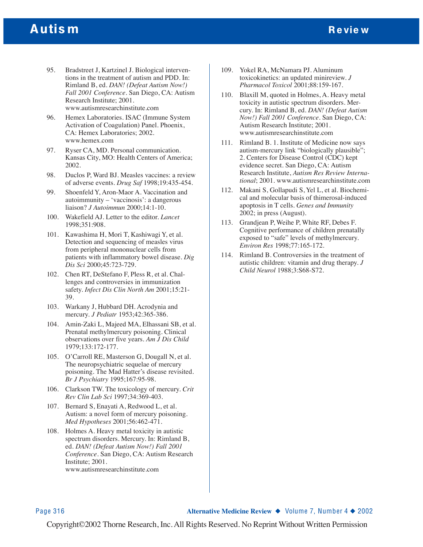# Autis m Review Autis many states with the contract of the contract of the contract of the contract of the contract of the contract of the contract of the contract of the contract of the contract of the contract of the cont

- 95. Bradstreet J, Kartzinel J. Biological interventions in the treatment of autism and PDD. In: Rimland B, ed. *DAN! (Defeat Autism Now!) Fall 2001 Conference*. San Diego, CA: Autism Research Institute; 2001. www.autismresearchinstitute.com
- 96. Hemex Laboratories. ISAC (Immune System Activation of Coagulation) Panel. Phoenix, CA: Hemex Laboratories; 2002. www.hemex.com
- 97. Ryser CA, MD. Personal communication. Kansas City, MO: Health Centers of America; 2002.
- 98. Duclos P, Ward BJ. Measles vaccines: a review of adverse events. *Drug Saf* 1998;19:435-454.
- 99. Shoenfeld Y, Aron-Maor A. Vaccination and autoimmunity – 'vaccinosis': a dangerous liaison? *J Autoimmun* 2000;14:1-10.
- 100. Wakefield AJ. Letter to the editor. *Lancet* 1998;351:908.
- 101. Kawashima H, Mori T, Kashiwagi Y, et al. Detection and sequencing of measles virus from peripheral mononuclear cells from patients with inflammatory bowel disease. *Dig Dis Sci* 2000;45:723-729.
- 102. Chen RT, DeStefano F, Pless R, et al. Challenges and controversies in immunization safety. *Infect Dis Clin North Am* 2001;15:21- 39.
- 103. Warkany J, Hubbard DH. Acrodynia and mercury. *J Pediatr* 1953;42:365-386.
- 104. Amin-Zaki L, Majeed MA, Elhassani SB, et al. Prenatal methylmercury poisoning. Clinical observations over five years. *Am J Dis Child* 1979;133:172-177.
- 105. O'Carroll RE, Masterson G, Dougall N, et al. The neuropsychiatric sequelae of mercury poisoning. The Mad Hatter's disease revisited. *Br J Psychiatry* 1995;167:95-98.
- 106. Clarkson TW. The toxicology of mercury. *Crit Rev Clin Lab Sci* 1997;34:369-403.
- 107. Bernard S, Enayati A, Redwood L, et al. Autism: a novel form of mercury poisoning. *Med Hypotheses* 2001;56:462-471.
- 108. Holmes A. Heavy metal toxicity in autistic spectrum disorders. Mercury. In: Rimland B, ed. *DAN! (Defeat Autism Now!) Fall 2001 Conference*. San Diego, CA: Autism Research Institute; 2001. www.autismresearchinstitute.com
- 109. Yokel RA, McNamara PJ. Aluminum toxicokinetics: an updated minireview. *J Pharmacol Toxicol* 2001;88:159-167.
- 110. Blaxill M, quoted in Holmes, A. Heavy metal toxicity in autistic spectrum disorders. Mercury. In: Rimland B, ed. *DAN! (Defeat Autism Now!) Fall 2001 Conference*. San Diego, CA: Autism Research Institute; 2001. www.autismresearchinstitute.com
- 111. Rimland B. 1. Institute of Medicine now says autism-mercury link "biologically plausible"; 2. Centers for Disease Control (CDC) kept evidence secret. San Diego, CA: Autism Research Institute, *Autism Res Review International*; 2001. www.autismresearchinstitute.com
- 112. Makani S, Gollapudi S, Yel L, et al. Biochemical and molecular basis of thimerosal-induced apoptosis in T cells. *Genes and Immunity* 2002; in press (August).
- 113. Grandjean P, Weihe P, White RF, Debes F. Cognitive performance of children prenatally exposed to "safe" levels of methylmercury. *Environ Res* 1998;77:165-172.
- 114. Rimland B. Controversies in the treatment of autistic children: vitamin and drug therapy. *J Child Neurol* 1988;3:S68-S72.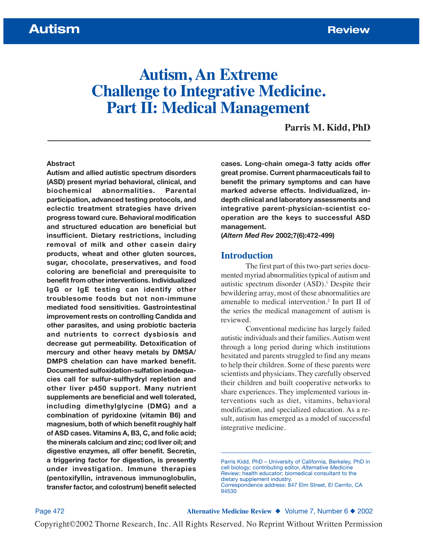# **Autism, An Extreme Challenge to Integrative Medicine. Part II: Medical Management**

**Parris M. Kidd, PhD**

#### **Abstract**

**Autism and allied autistic spectrum disorders (ASD) present myriad behavioral, clinical, and biochemical abnormalities. Parental participation, advanced testing protocols, and eclectic treatment strategies have driven progress toward cure. Behavioral modification and structured education are beneficial but insufficient. Dietary restrictions, including removal of milk and other casein dairy products, wheat and other gluten sources, sugar, chocolate, preservatives, and food coloring are beneficial and prerequisite to benefit from other interventions. Individualized IgG or IgE testing can identify other troublesome foods but not non-immune mediated food sensitivities. Gastrointestinal improvement rests on controlling Candida and other parasites, and using probiotic bacteria and nutrients to correct dysbiosis and decrease gut permeability. Detoxification of mercury and other heavy metals by DMSA/ DMPS chelation can have marked benefit. Documented sulfoxidation-sulfation inadequacies call for sulfur-sulfhydryl repletion and other liver p450 support. Many nutrient supplements are beneficial and well tolerated, including dimethylglycine (DMG) and a combination of pyridoxine (vitamin B6) and magnesium, both of which benefit roughly half of ASD cases. Vitamins A, B3, C, and folic acid; the minerals calcium and zinc; cod liver oil; and digestive enzymes, all offer benefit. Secretin, a triggering factor for digestion, is presently under investigation. Immune therapies (pentoxifyllin, intravenous immunoglobulin, transfer factor, and colostrum) benefit selected**

**cases. Long-chain omega-3 fatty acids offer great promise. Current pharmaceuticals fail to benefit the primary symptoms and can have marked adverse effects. Individualized, indepth clinical and laboratory assessments and integrative parent-physician-scientist cooperation are the keys to successful ASD management.**

**(***Altern Med Rev* **2002;7(6):472-499)**

#### **Introduction**

The first part of this two-part series documented myriad abnormalities typical of autism and autistic spectrum disorder  $(ASD)^1$ . Despite their bewildering array, most of these abnormalities are amenable to medical intervention.2 In part II of the series the medical management of autism is reviewed.

Conventional medicine has largely failed autistic individuals and their families. Autism went through a long period during which institutions hesitated and parents struggled to find any means to help their children. Some of these parents were scientists and physicians. They carefully observed their children and built cooperative networks to share experiences. They implemented various interventions such as diet, vitamins, behavioral modification, and specialized education. As a result, autism has emerged as a model of successful integrative medicine.

Page 472 **Alternative Medicine Review** ◆ Volume 7, Number 6 ◆ 2002

Parris Kidd, PhD – University of California, Berkeley, PhD in cell biology; contributing editor, *Alternative Medicine Review*; health educator; biomedical consultant to the dietary supplement industry. Correspondence address: 847 Elm Street, El Cerrito, CA 94530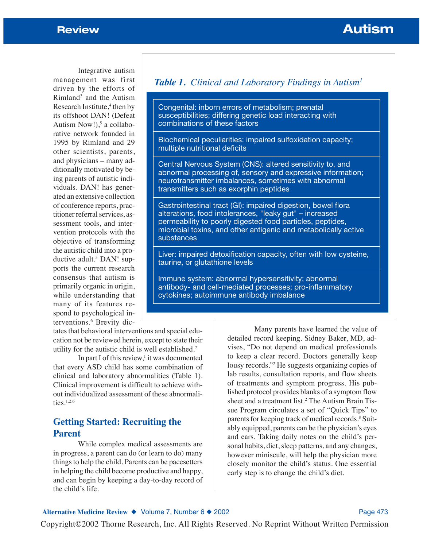Integrative autism management was first driven by the efforts of Rimland3 and the Autism Research Institute,<sup>4</sup> then by its offshoot DAN! (Defeat Autism Now! $)$ ,<sup>5</sup> a collaborative network founded in 1995 by Rimland and 29 other scientists, parents, and physicians – many additionally motivated by being parents of autistic individuals. DAN! has generated an extensive collection of conference reports, practitioner referral services, assessment tools, and intervention protocols with the objective of transforming the autistic child into a productive adult.<sup>5</sup> DAN! supports the current research consensus that autism is primarily organic in origin, while understanding that many of its features respond to psychological interventions.6 Brevity dic-

tates that behavioral interventions and special education not be reviewed herein, except to state their utility for the autistic child is well established.7

In part I of this review, $\frac{1}{1}$  it was documented that every ASD child has some combination of clinical and laboratory abnormalities (Table 1). Clinical improvement is difficult to achieve without individualized assessment of these abnormalities.1,2,6

# **Getting Started: Recruiting the Parent**

While complex medical assessments are in progress, a parent can do (or learn to do) many things to help the child. Parents can be pacesetters in helping the child become productive and happy, and can begin by keeping a day-to-day record of the child's life.

# *Table 1. Clinical and Laboratory Findings in Autism1*

Congenital: inborn errors of metabolism; prenatal susceptibilities; differing genetic load interacting with combinations of these factors

Biochemical peculiarities: impaired sulfoxidation capacity; multiple nutritional deficits

Central Nervous System (CNS): altered sensitivity to, and abnormal processing of, sensory and expressive information; neurotransmitter imbalances, sometimes with abnormal transmitters such as exorphin peptides

Gastrointestinal tract (GI): impaired digestion, bowel flora alterations, food intolerances, "leaky gut" – increased permeability to poorly digested food particles, peptides, microbial toxins, and other antigenic and metabolically active substances

Liver: impaired detoxification capacity, often with low cysteine, taurine, or glutathione levels

Immune system: abnormal hypersensitivity; abnormal antibody- and cell-mediated processes; pro-inflammatory cytokines; autoimmune antibody imbalance

> Many parents have learned the value of detailed record keeping. Sidney Baker, MD, advises, "Do not depend on medical professionals to keep a clear record. Doctors generally keep lousy records."2 He suggests organizing copies of lab results, consultation reports, and flow sheets of treatments and symptom progress. His published protocol provides blanks of a symptom flow sheet and a treatment list.2 The Autism Brain Tissue Program circulates a set of "Quick Tips" to parents for keeping track of medical records.<sup>8</sup> Suitably equipped, parents can be the physician's eyes and ears. Taking daily notes on the child's personal habits, diet, sleep patterns, and any changes, however miniscule, will help the physician more closely monitor the child's status. One essential early step is to change the child's diet.

#### Alternative Medicine Review ◆ Volume 7, Number 6 ◆ 2002 **Page 473** Page 473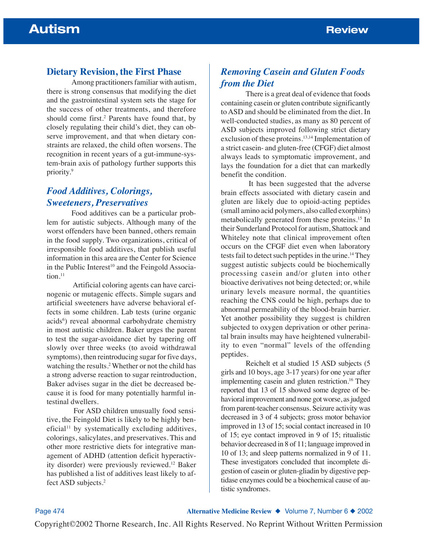### **Dietary Revision, the First Phase**

Among practitioners familiar with autism, there is strong consensus that modifying the diet and the gastrointestinal system sets the stage for the success of other treatments, and therefore should come first.<sup>2</sup> Parents have found that, by closely regulating their child's diet, they can observe improvement, and that when dietary constraints are relaxed, the child often worsens. The recognition in recent years of a gut-immune-system-brain axis of pathology further supports this priority.9

# *Food Additives, Colorings, Sweeteners, Preservatives*

Food additives can be a particular problem for autistic subjects. Although many of the worst offenders have been banned, others remain in the food supply. Two organizations, critical of irresponsible food additives, that publish useful information in this area are the Center for Science in the Public Interest<sup>10</sup> and the Feingold Associa $tion$ <sup>11</sup>

Artificial coloring agents can have carcinogenic or mutagenic effects. Simple sugars and artificial sweeteners have adverse behavioral effects in some children. Lab tests (urine organic acids<sup>6</sup>) reveal abnormal carbohydrate chemistry in most autistic children. Baker urges the parent to test the sugar-avoidance diet by tapering off slowly over three weeks (to avoid withdrawal symptoms), then reintroducing sugar for five days, watching the results.2Whether or not the child has a strong adverse reaction to sugar reintroduction, Baker advises sugar in the diet be decreased because it is food for many potentially harmful intestinal dwellers.

For ASD children unusually food sensitive, the Feingold Diet is likely to be highly ben $e$ ficial<sup>11</sup> by systematically excluding additives, colorings, salicylates, and preservatives. This and other more restrictive diets for integrative management of ADHD (attention deficit hyperactivity disorder) were previously reviewed.12 Baker has published a list of additives least likely to affect ASD subjects.2

# *Removing Casein and Gluten Foods from the Diet*

There is a great deal of evidence that foods containing casein or gluten contribute significantly to ASD and should be eliminated from the diet. In well-conducted studies, as many as 80 percent of ASD subjects improved following strict dietary exclusion of these proteins.<sup>13,14</sup> Implementation of a strict casein- and gluten-free (CFGF) diet almost always leads to symptomatic improvement, and lays the foundation for a diet that can markedly benefit the condition.

It has been suggested that the adverse brain effects associated with dietary casein and gluten are likely due to opioid-acting peptides (small amino acid polymers, also called exorphins) metabolically generated from these proteins.15 In their Sunderland Protocol for autism, Shattock and Whiteley note that clinical improvement often occurs on the CFGF diet even when laboratory tests fail to detect such peptides in the urine.14 They suggest autistic subjects could be biochemically processing casein and/or gluten into other bioactive derivatives not being detected; or, while urinary levels measure normal, the quantities reaching the CNS could be high, perhaps due to abnormal permeability of the blood-brain barrier. Yet another possibility they suggest is children subjected to oxygen deprivation or other perinatal brain insults may have heightened vulnerability to even "normal" levels of the offending peptides.

Reichelt et al studied 15 ASD subjects (5 girls and 10 boys, age 3-17 years) for one year after implementing casein and gluten restriction.<sup>16</sup> They reported that 13 of 15 showed some degree of behavioral improvement and none got worse, as judged from parent-teacher consensus. Seizure activity was decreased in 3 of 4 subjects; gross motor behavior improved in 13 of 15; social contact increased in 10 of 15; eye contact improved in 9 of 15; ritualistic behavior decreased in 8 of 11; language improved in 10 of 13; and sleep patterns normalized in 9 of 11. These investigators concluded that incomplete digestion of casein or gluten-gliadin by digestive peptidase enzymes could be a biochemical cause of autistic syndromes.

Page 474 **Alternative Medicine Review** ◆ Volume 7, Number 6 ◆ 2002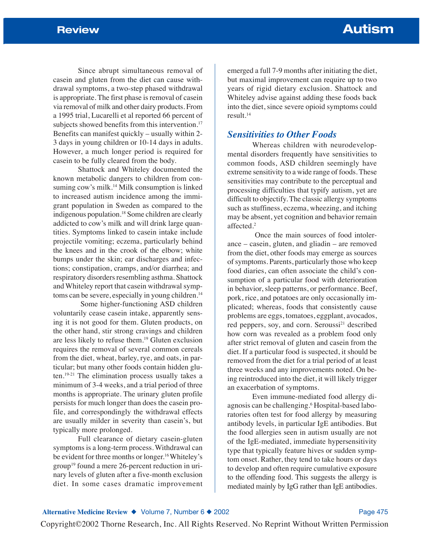Since abrupt simultaneous removal of casein and gluten from the diet can cause withdrawal symptoms, a two-step phased withdrawal is appropriate. The first phase is removal of casein via removal of milk and other dairy products. From a 1995 trial, Lucarelli et al reported 66 percent of subjects showed benefits from this intervention.<sup>17</sup> Benefits can manifest quickly – usually within 2- 3 days in young children or 10-14 days in adults. However, a much longer period is required for casein to be fully cleared from the body.

Shattock and Whiteley documented the known metabolic dangers to children from consuming cow's milk.<sup>14</sup> Milk consumption is linked to increased autism incidence among the immigrant population in Sweden as compared to the indigenous population.18 Some children are clearly addicted to cow's milk and will drink large quantities. Symptoms linked to casein intake include projectile vomiting; eczema, particularly behind the knees and in the crook of the elbow; white bumps under the skin; ear discharges and infections; constipation, cramps, and/or diarrhea; and respiratory disorders resembling asthma. Shattock and Whiteley report that casein withdrawal symptoms can be severe, especially in young children.<sup>14</sup>

Some higher-functioning ASD children voluntarily cease casein intake, apparently sensing it is not good for them. Gluten products, on the other hand, stir strong cravings and children are less likely to refuse them.19 Gluten exclusion requires the removal of several common cereals from the diet, wheat, barley, rye, and oats, in particular; but many other foods contain hidden gluten.19-21 The elimination process usually takes a minimum of 3-4 weeks, and a trial period of three months is appropriate. The urinary gluten profile persists for much longer than does the casein profile, and correspondingly the withdrawal effects are usually milder in severity than casein's, but typically more prolonged.

Full clearance of dietary casein-gluten symptoms is a long-term process. Withdrawal can be evident for three months or longer.<sup>16</sup> Whiteley's group<sup>19</sup> found a mere 26-percent reduction in urinary levels of gluten after a five-month exclusion diet. In some cases dramatic improvement

emerged a full 7-9 months after initiating the diet, but maximal improvement can require up to two years of rigid dietary exclusion. Shattock and Whiteley advise against adding these foods back into the diet, since severe opioid symptoms could result.14

### *Sensitivities to Other Foods*

Whereas children with neurodevelopmental disorders frequently have sensitivities to common foods, ASD children seemingly have extreme sensitivity to a wide range of foods. These sensitivities may contribute to the perceptual and processing difficulties that typify autism, yet are difficult to objectify. The classic allergy symptoms such as stuffiness, eczema, wheezing, and itching may be absent, yet cognition and behavior remain affected.2

Once the main sources of food intolerance – casein, gluten, and gliadin – are removed from the diet, other foods may emerge as sources of symptoms. Parents, particularly those who keep food diaries, can often associate the child's consumption of a particular food with deterioration in behavior, sleep patterns, or performance. Beef, pork, rice, and potatoes are only occasionally implicated; whereas, foods that consistently cause problems are eggs, tomatoes, eggplant, avocados, red peppers, soy, and corn. Seroussi<sup>21</sup> described how corn was revealed as a problem food only after strict removal of gluten and casein from the diet. If a particular food is suspected, it should be removed from the diet for a trial period of at least three weeks and any improvements noted. On being reintroduced into the diet, it will likely trigger an exacerbation of symptoms.

Even immune-mediated food allergy diagnosis can be challenging.6 Hospital-based laboratories often test for food allergy by measuring antibody levels, in particular IgE antibodies. But the food allergies seen in autism usually are not of the IgE-mediated, immediate hypersensitivity type that typically feature hives or sudden symptom onset. Rather, they tend to take hours or days to develop and often require cumulative exposure to the offending food. This suggests the allergy is mediated mainly by IgG rather than IgE antibodies.

Alternative Medicine Review ◆ Volume 7, Number 6 ◆ 2002 **Page 475**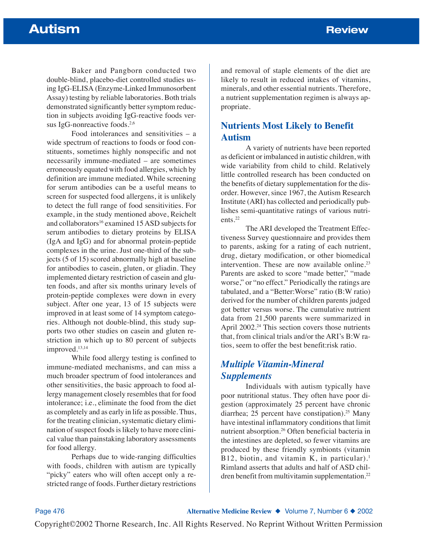Baker and Pangborn conducted two double-blind, placebo-diet controlled studies using IgG-ELISA (Enzyme-Linked Immunosorbent Assay) testing by reliable laboratories. Both trials demonstrated significantly better symptom reduction in subjects avoiding IgG-reactive foods versus IgG-nonreactive foods.<sup>2,6</sup>

Food intolerances and sensitivities – a wide spectrum of reactions to foods or food constituents, sometimes highly nonspecific and not necessarily immune-mediated – are sometimes erroneously equated with food allergies, which by definition are immune mediated. While screening for serum antibodies can be a useful means to screen for suspected food allergens, it is unlikely to detect the full range of food sensitivities. For example, in the study mentioned above, Reichelt and collaborators<sup>16</sup> examined 15 ASD subjects for serum antibodies to dietary proteins by ELISA (IgA and IgG) and for abnormal protein-peptide complexes in the urine. Just one-third of the subjects (5 of 15) scored abnormally high at baseline for antibodies to casein, gluten, or gliadin. They implemented dietary restriction of casein and gluten foods, and after six months urinary levels of protein-peptide complexes were down in every subject. After one year, 13 of 15 subjects were improved in at least some of 14 symptom categories. Although not double-blind, this study supports two other studies on casein and gluten restriction in which up to 80 percent of subjects improved.13,14

While food allergy testing is confined to immune-mediated mechanisms, and can miss a much broader spectrum of food intolerances and other sensitivities, the basic approach to food allergy management closely resembles that for food intolerance; i.e., eliminate the food from the diet as completely and as early in life as possible. Thus, for the treating clinician, systematic dietary elimination of suspect foods is likely to have more clinical value than painstaking laboratory assessments for food allergy.

Perhaps due to wide-ranging difficulties with foods, children with autism are typically "picky" eaters who will often accept only a restricted range of foods. Further dietary restrictions

and removal of staple elements of the diet are likely to result in reduced intakes of vitamins, minerals, and other essential nutrients. Therefore, a nutrient supplementation regimen is always appropriate.

# **Nutrients Most Likely to Benefit Autism**

A variety of nutrients have been reported as deficient or imbalanced in autistic children, with wide variability from child to child. Relatively little controlled research has been conducted on the benefits of dietary supplementation for the disorder. However, since 1967, the Autism Research Institute (ARI) has collected and periodically publishes semi-quantitative ratings of various nutrients.22

The ARI developed the Treatment Effectiveness Survey questionnaire and provides them to parents, asking for a rating of each nutrient, drug, dietary modification, or other biomedical intervention. These are now available online.<sup>23</sup> Parents are asked to score "made better," "made worse," or "no effect." Periodically the ratings are tabulated, and a "Better:Worse" ratio (B:W ratio) derived for the number of children parents judged got better versus worse. The cumulative nutrient data from 21,500 parents were summarized in April 2002.<sup>24</sup> This section covers those nutrients that, from clinical trials and/or the ARI's B:W ratios, seem to offer the best benefit:risk ratio.

# *Multiple Vitamin-Mineral Supplements*

Individuals with autism typically have poor nutritional status. They often have poor digestion (approximately 25 percent have chronic diarrhea; 25 percent have constipation).<sup>25</sup> Many have intestinal inflammatory conditions that limit nutrient absorption.26 Often beneficial bacteria in the intestines are depleted, so fewer vitamins are produced by these friendly symbionts (vitamin B12, biotin, and vitamin K, in particular).<sup>1</sup> Rimland asserts that adults and half of ASD children benefit from multivitamin supplementation.<sup>22</sup>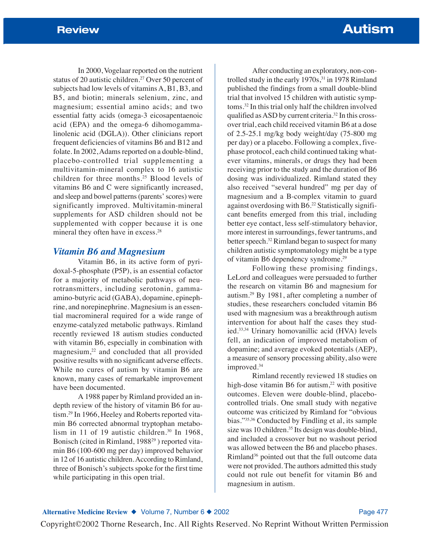In 2000, Vogelaar reported on the nutrient status of 20 autistic children.27 Over 50 percent of subjects had low levels of vitamins A, B1, B3, and B5, and biotin; minerals selenium, zinc, and magnesium; essential amino acids; and two essential fatty acids (omega-3 eicosapentaenoic acid (EPA) and the omega-6 dihomogammalinolenic acid (DGLA)). Other clinicians report frequent deficiencies of vitamins B6 and B12 and folate. In 2002, Adams reported on a double-blind, placebo-controlled trial supplementing a multivitamin-mineral complex to 16 autistic children for three months.25 Blood levels of vitamins B6 and C were significantly increased, and sleep and bowel patterns (parents' scores) were significantly improved. Multivitamin-mineral supplements for ASD children should not be supplemented with copper because it is one mineral they often have in excess.<sup>28</sup>

### *Vitamin B6 and Magnesium*

Vitamin B6, in its active form of pyridoxal-5-phosphate (P5P), is an essential cofactor for a majority of metabolic pathways of neurotransmitters, including serotonin, gammaamino-butyric acid (GABA), dopamine, epinephrine, and norepinephrine. Magnesium is an essential macromineral required for a wide range of enzyme-catalyzed metabolic pathways. Rimland recently reviewed 18 autism studies conducted with vitamin B6, especially in combination with magnesium,22 and concluded that all provided positive results with no significant adverse effects. While no cures of autism by vitamin B6 are known, many cases of remarkable improvement have been documented.

A 1988 paper by Rimland provided an indepth review of the history of vitamin B6 for autism.<sup>29</sup> In 1966, Heeley and Roberts reported vitamin B6 corrected abnormal tryptophan metabolism in 11 of 19 autistic children.<sup>30</sup> In 1968, Bonisch (cited in Rimland, 1988<sup>29</sup>) reported vitamin B6 (100-600 mg per day) improved behavior in 12 of 16 autistic children. According to Rimland, three of Bonisch's subjects spoke for the first time while participating in this open trial.

After conducting an exploratory, non-controlled study in the early 1970s,<sup>31</sup> in 1978 Rimland published the findings from a small double-blind trial that involved 15 children with autistic symptoms.32 In this trial only half the children involved qualified as ASD by current criteria.32 In this crossover trial, each child received vitamin B6 at a dose of 2.5-25.1 mg/kg body weight/day (75-800 mg per day) or a placebo. Following a complex, fivephase protocol, each child continued taking whatever vitamins, minerals, or drugs they had been receiving prior to the study and the duration of B6 dosing was individualized. Rimland stated they also received "several hundred" mg per day of magnesium and a B-complex vitamin to guard against overdosing with B6.22 Statistically significant benefits emerged from this trial, including better eye contact, less self-stimulatory behavior, more interest in surroundings, fewer tantrums, and better speech.32 Rimland began to suspect for many children autistic symptomatology might be a type of vitamin B6 dependency syndrome.29

Following these promising findings, LeLord and colleagues were persuaded to further the research on vitamin B6 and magnesium for autism.29 By 1981, after completing a number of studies, these researchers concluded vitamin B6 used with magnesium was a breakthrough autism intervention for about half the cases they studied.33,34 Urinary homovanillic acid (HVA) levels fell, an indication of improved metabolism of dopamine; and average evoked potentials (AEP), a measure of sensory processing ability, also were improved.<sup>34</sup>

Rimland recently reviewed 18 studies on high-dose vitamin B6 for autism, $22$  with positive outcomes. Eleven were double-blind, placebocontrolled trials. One small study with negative outcome was criticized by Rimland for "obvious bias."35,36 Conducted by Findling et al, its sample size was 10 children.<sup>35</sup> Its design was double-blind, and included a crossover but no washout period was allowed between the B6 and placebo phases. Rimland36 pointed out that the full outcome data were not provided. The authors admitted this study could not rule out benefit for vitamin B6 and magnesium in autism.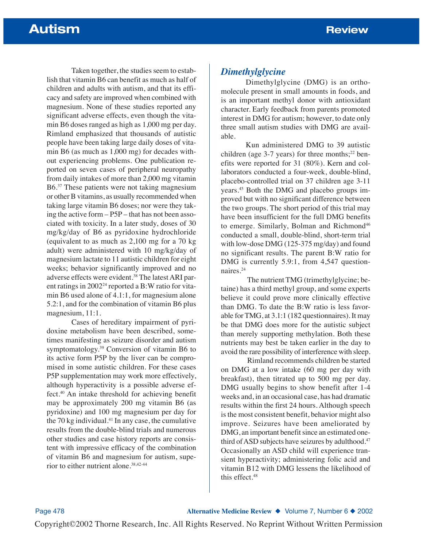Taken together, the studies seem to establish that vitamin B6 can benefit as much as half of children and adults with autism, and that its efficacy and safety are improved when combined with magnesium. None of these studies reported any significant adverse effects, even though the vitamin B6 doses ranged as high as 1,000 mg per day. Rimland emphasized that thousands of autistic people have been taking large daily doses of vitamin B6 (as much as 1,000 mg) for decades without experiencing problems. One publication reported on seven cases of peripheral neuropathy from daily intakes of more than 2,000 mg vitamin B6.37 These patients were not taking magnesium or other B vitamins, as usually recommended when taking large vitamin B6 doses; nor were they taking the active form – P5P – that has not been associated with toxicity. In a later study, doses of 30 mg/kg/day of B6 as pyridoxine hydrochloride (equivalent to as much as 2,100 mg for a 70 kg adult) were administered with 10 mg/kg/day of magnesium lactate to 11 autistic children for eight weeks; behavior significantly improved and no adverse effects were evident.<sup>38</sup> The latest ARI parent ratings in  $2002<sup>24</sup>$  reported a B:W ratio for vitamin B6 used alone of 4.1:1, for magnesium alone 5.2:1, and for the combination of vitamin B6 plus magnesium, 11:1.

Cases of hereditary impairment of pyridoxine metabolism have been described, sometimes manifesting as seizure disorder and autism symptomatology.39 Conversion of vitamin B6 to its active form P5P by the liver can be compromised in some autistic children. For these cases P5P supplementation may work more effectively, although hyperactivity is a possible adverse effect.40 An intake threshold for achieving benefit may be approximately 200 mg vitamin B6 (as pyridoxine) and 100 mg magnesium per day for the 70 kg individual. $41$  In any case, the cumulative results from the double-blind trials and numerous other studies and case history reports are consistent with impressive efficacy of the combination of vitamin B6 and magnesium for autism, superior to either nutrient alone.38,42-44

# *Dimethylglycine*

Dimethylglycine (DMG) is an orthomolecule present in small amounts in foods, and is an important methyl donor with antioxidant character. Early feedback from parents promoted interest in DMG for autism; however, to date only three small autism studies with DMG are available.

Kun administered DMG to 39 autistic children (age  $3-7$  years) for three months;<sup>22</sup> benefits were reported for 31 (80%). Kern and collaborators conducted a four-week, double-blind, placebo-controlled trial on 37 children age 3-11 years.45 Both the DMG and placebo groups improved but with no significant difference between the two groups. The short period of this trial may have been insufficient for the full DMG benefits to emerge. Similarly, Bolman and Richmond<sup>46</sup> conducted a small, double-blind, short-term trial with low-dose DMG (125-375 mg/day) and found no significant results. The parent B:W ratio for DMG is currently 5.9:1, from 4,547 questionnaires.24

The nutrient TMG (trimethylglycine; betaine) has a third methyl group, and some experts believe it could prove more clinically effective than DMG. To date the B:W ratio is less favorable for TMG, at 3.1:1 (182 questionnaires). It may be that DMG does more for the autistic subject than merely supporting methylation. Both these nutrients may best be taken earlier in the day to avoid the rare possibility of interference with sleep.

Rimland recommends children be started on DMG at a low intake (60 mg per day with breakfast), then titrated up to 500 mg per day. DMG usually begins to show benefit after 1-4 weeks and, in an occasional case, has had dramatic results within the first 24 hours. Although speech is the most consistent benefit, behavior might also improve. Seizures have been ameliorated by DMG, an important benefit since an estimated onethird of ASD subjects have seizures by adulthood.<sup>47</sup> Occasionally an ASD child will experience transient hyperactivity; administering folic acid and vitamin B12 with DMG lessens the likelihood of this effect.<sup>48</sup>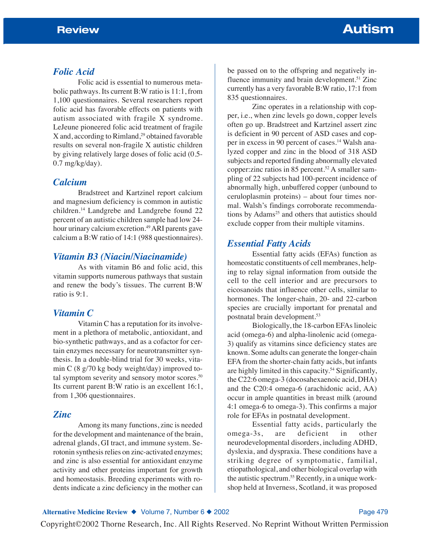### *Folic Acid*

Folic acid is essential to numerous metabolic pathways. Its current B:W ratio is 11:1, from 1,100 questionnaires. Several researchers report folic acid has favorable effects on patients with autism associated with fragile X syndrome. LeJeune pioneered folic acid treatment of fragile  $X$  and, according to Rimland,<sup>29</sup> obtained favorable results on several non-fragile X autistic children by giving relatively large doses of folic acid (0.5- 0.7 mg/kg/day).

### *Calcium*

Bradstreet and Kartzinel report calcium and magnesium deficiency is common in autistic children.14 Landgrebe and Landgrebe found 22 percent of an autistic children sample had low 24 hour urinary calcium excretion.<sup>49</sup> ARI parents gave calcium a B:W ratio of 14:1 (988 questionnaires).

### *Vitamin B3 (Niacin/Niacinamide)*

As with vitamin B6 and folic acid, this vitamin supports numerous pathways that sustain and renew the body's tissues. The current B:W ratio is 9:1.

## *Vitamin C*

Vitamin C has a reputation for its involvement in a plethora of metabolic, antioxidant, and bio-synthetic pathways, and as a cofactor for certain enzymes necessary for neurotransmitter synthesis. In a double-blind trial for 30 weeks, vitamin C (8 g/70 kg body weight/day) improved total symptom severity and sensory motor scores.<sup>50</sup> Its current parent B:W ratio is an excellent 16:1, from 1,306 questionnaires.

### *Zinc*

Among its many functions, zinc is needed for the development and maintenance of the brain, adrenal glands, GI tract, and immune system. Serotonin synthesis relies on zinc-activated enzymes; and zinc is also essential for antioxidant enzyme activity and other proteins important for growth and homeostasis. Breeding experiments with rodents indicate a zinc deficiency in the mother can

be passed on to the offspring and negatively influence immunity and brain development.<sup>51</sup> Zinc currently has a very favorable B:W ratio, 17:1 from 835 questionnaires.

Zinc operates in a relationship with copper, i.e., when zinc levels go down, copper levels often go up. Bradstreet and Kartzinel assert zinc is deficient in 90 percent of ASD cases and copper in excess in 90 percent of cases.<sup>14</sup> Walsh analyzed copper and zinc in the blood of 318 ASD subjects and reported finding abnormally elevated copper: zinc ratios in 85 percent.<sup>52</sup> A smaller sampling of 22 subjects had 100-percent incidence of abnormally high, unbuffered copper (unbound to ceruloplasmin proteins) – about four times normal. Walsh's findings corroborate recommendations by Adams<sup>25</sup> and others that autistics should exclude copper from their multiple vitamins.

## *Essential Fatty Acids*

Essential fatty acids (EFAs) function as homeostatic constituents of cell membranes, helping to relay signal information from outside the cell to the cell interior and are precursors to eicosanoids that influence other cells, similar to hormones. The longer-chain, 20- and 22-carbon species are crucially important for prenatal and postnatal brain development.53

Biologically, the 18-carbon EFAs linoleic acid (omega-6) and alpha-linolenic acid (omega-3) qualify as vitamins since deficiency states are known. Some adults can generate the longer-chain EFA from the shorter-chain fatty acids, but infants are highly limited in this capacity.<sup>54</sup> Significantly, the C22:6 omega-3 (docosahexaenoic acid, DHA) and the C20:4 omega-6 (arachidonic acid, AA) occur in ample quantities in breast milk (around 4:1 omega-6 to omega-3). This confirms a major role for EFAs in postnatal development.

Essential fatty acids, particularly the omega-3s, are deficient in other neurodevelopmental disorders, including ADHD, dyslexia, and dyspraxia. These conditions have a striking degree of symptomatic, familial, etiopathological, and other biological overlap with the autistic spectrum.<sup>55</sup> Recently, in a unique workshop held at Inverness, Scotland, it was proposed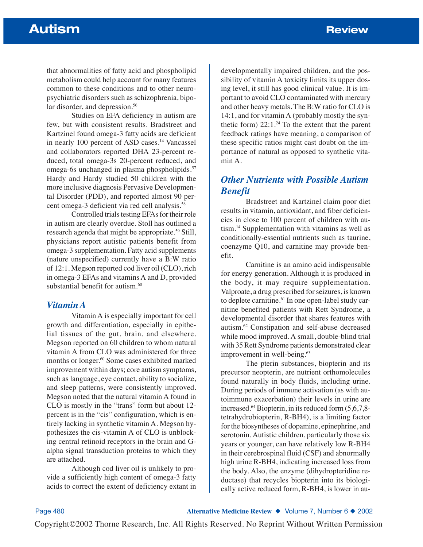that abnormalities of fatty acid and phospholipid metabolism could help account for many features common to these conditions and to other neuropsychiatric disorders such as schizophrenia, bipolar disorder, and depression.<sup>56</sup>

Studies on EFA deficiency in autism are few, but with consistent results. Bradstreet and Kartzinel found omega-3 fatty acids are deficient in nearly 100 percent of ASD cases.<sup>14</sup> Vancassel and collaborators reported DHA 23-percent reduced, total omega-3s 20-percent reduced, and omega-6s unchanged in plasma phospholipids.<sup>57</sup> Hardy and Hardy studied 50 children with the more inclusive diagnosis Pervasive Developmental Disorder (PDD), and reported almost 90 percent omega-3 deficient via red cell analysis.<sup>58</sup>

Controlled trials testing EFAs for their role in autism are clearly overdue. Stoll has outlined a research agenda that might be appropriate.<sup>59</sup> Still, physicians report autistic patients benefit from omega-3 supplementation. Fatty acid supplements (nature unspecified) currently have a B:W ratio of 12:1. Megson reported cod liver oil (CLO), rich in omega-3 EFAs and vitamins A and D, provided substantial benefit for autism. $60$ 

### *Vitamin A*

Vitamin A is especially important for cell growth and differentiation, especially in epithelial tissues of the gut, brain, and elsewhere. Megson reported on 60 children to whom natural vitamin A from CLO was administered for three months or longer.<sup>60</sup> Some cases exhibited marked improvement within days; core autism symptoms, such as language, eye contact, ability to socialize, and sleep patterns, were consistently improved. Megson noted that the natural vitamin A found in CLO is mostly in the "trans" form but about 12 percent is in the "cis" configuration, which is entirely lacking in synthetic vitamin A. Megson hypothesizes the cis-vitamin A of CLO is unblocking central retinoid receptors in the brain and Galpha signal transduction proteins to which they are attached.

Although cod liver oil is unlikely to provide a sufficiently high content of omega-3 fatty acids to correct the extent of deficiency extant in

developmentally impaired children, and the possibility of vitamin A toxicity limits its upper dosing level, it still has good clinical value. It is important to avoid CLO contaminated with mercury and other heavy metals. The B:W ratio for CLO is 14:1, and for vitamin A (probably mostly the synthetic form)  $22:1.^{24}$  To the extent that the parent feedback ratings have meaning, a comparison of these specific ratios might cast doubt on the importance of natural as opposed to synthetic vitamin A.

# *Other Nutrients with Possible Autism Benefit*

Bradstreet and Kartzinel claim poor diet results in vitamin, antioxidant, and fiber deficiencies in close to 100 percent of children with autism.14 Supplementation with vitamins as well as conditionally-essential nutrients such as taurine, coenzyme Q10, and carnitine may provide benefit.

Carnitine is an amino acid indispensable for energy generation. Although it is produced in the body, it may require supplementation. Valproate, a drug prescribed for seizures, is known to deplete carnitine.<sup>61</sup> In one open-label study carnitine benefited patients with Rett Syndrome, a developmental disorder that shares features with autism.62 Constipation and self-abuse decreased while mood improved. A small, double-blind trial with 35 Rett Syndrome patients demonstrated clear improvement in well-being.<sup>63</sup>

The pterin substances, biopterin and its precursor neopterin, are nutrient orthomolecules found naturally in body fluids, including urine. During periods of immune activation (as with autoimmune exacerbation) their levels in urine are increased. $64$  Biopterin, in its reduced form  $(5,6,7,8$ tetrahydrobiopterin, R-BH4), is a limiting factor for the biosyntheses of dopamine, epinephrine, and serotonin. Autistic children, particularly those six years or younger, can have relatively low R-BH4 in their cerebrospinal fluid (CSF) and abnormally high urine R-BH4, indicating increased loss from the body. Also, the enzyme (dihydropteridine reductase) that recycles biopterin into its biologically active reduced form, R-BH4, is lower in au-

Page 480 **Alternative Medicine Review** ◆ Volume 7, Number 6 ◆ 2002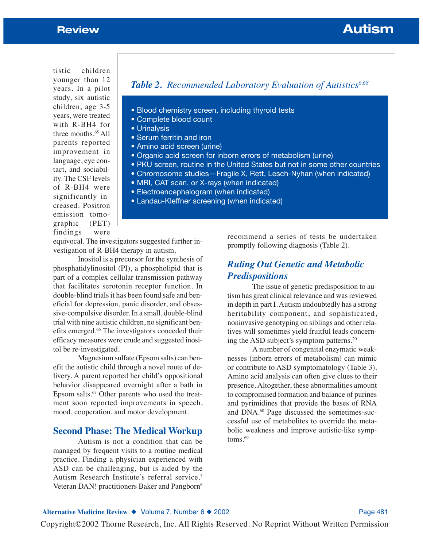# **Review Autism**

tistic children younger than 12 years. In a pilot study, six autistic children, age 3-5 years, were treated with R-BH4 for three months.65 All parents reported improvement in language, eye contact, and sociability. The CSF levels of R-BH4 were significantly increased. Positron emission tomographic (PET) findings were

# **Table 2.** Recommended Laboratory Evaluation of Autistics<sup>6,68</sup>

- Blood chemistry screen, including thyroid tests
- Complete blood count
- Urinalysis
- Serum ferritin and iron
- Amino acid screen (urine)
- Organic acid screen for inborn errors of metabolism (urine)
- PKU screen, routine in the United States but not in some other countries
- Chromosome studies—Fragile X, Rett, Lesch-Nyhan (when indicated)
- MRI, CAT scan, or X-rays (when indicated)
- Electroencephalogram (when indicated)
- Landau-Kleffner screening (when indicated)

equivocal. The investigators suggested further investigation of R-BH4 therapy in autism.

Inositol is a precursor for the synthesis of phosphatidylinositol (PI), a phospholipid that is part of a complex cellular transmission pathway that facilitates serotonin receptor function. In double-blind trials it has been found safe and beneficial for depression, panic disorder, and obsessive-compulsive disorder. In a small, double-blind trial with nine autistic children, no significant benefits emerged.66 The investigators conceded their efficacy measures were crude and suggested inositol be re-investigated.

Magnesium sulfate (Epsom salts) can benefit the autistic child through a novel route of delivery. A parent reported her child's oppositional behavior disappeared overnight after a bath in Epsom salts.67 Other parents who used the treatment soon reported improvements in speech, mood, cooperation, and motor development.

### **Second Phase: The Medical Workup**

Autism is not a condition that can be managed by frequent visits to a routine medical practice. Finding a physician experienced with ASD can be challenging, but is aided by the Autism Research Institute's referral service.4 Veteran DAN! practitioners Baker and Pangborn<sup>6</sup>

recommend a series of tests be undertaken promptly following diagnosis (Table 2).

# *Ruling Out Genetic and Metabolic Predispositions*

The issue of genetic predisposition to autism has great clinical relevance and was reviewed in depth in part I. Autism undoubtedly has a strong heritability component, and sophisticated, noninvasive genotyping on siblings and other relatives will sometimes yield fruitful leads concerning the ASD subject's symptom patterns.20

A number of congenital enzymatic weaknesses (inborn errors of metabolism) can mimic or contribute to ASD symptomatology (Table 3). Amino acid analysis can often give clues to their presence. Altogether, these abnormalities amount to compromised formation and balance of purines and pyrimidines that provide the bases of RNA and DNA.68 Page discussed the sometimes-successful use of metabolites to override the metabolic weakness and improve autistic-like symp $t$ oms. $69$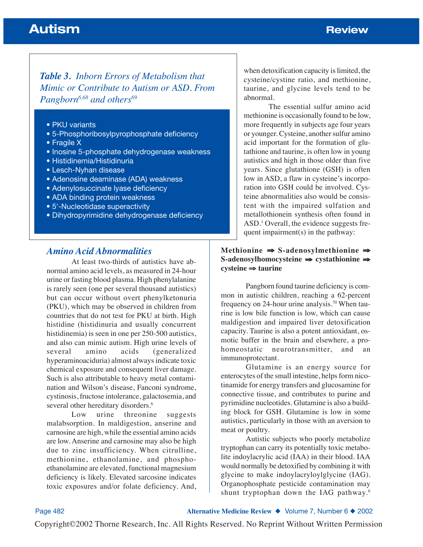# *Table 3. Inborn Errors of Metabolism that Mimic or Contribute to Autism or ASD. From Pangborn*<sup>6,68</sup> and others<sup>69</sup>

- PKU variants
- 5-Phosphoribosylpyrophosphate deficiency
- Fragile X
- Inosine 5-phosphate dehydrogenase weakness
- Histidinemia/Histidinuria
- Lesch-Nyhan disease
- Adenosine deaminase (ADA) weakness
- Adenylosuccinate lyase deficiency
- ADA binding protein weakness
- 5'-Nucleotidase superactivity
- Dihydropyrimidine dehydrogenase deficiency

## *Amino Acid Abnormalities*

At least two-thirds of autistics have abnormal amino acid levels, as measured in 24-hour urine or fasting blood plasma. High phenylalanine is rarely seen (one per several thousand autistics) but can occur without overt phenylketonuria (PKU), which may be observed in children from countries that do not test for PKU at birth. High histidine (histidinuria and usually concurrent histidinemia) is seen in one per 250-500 autistics, and also can mimic autism. High urine levels of several amino acids (generalized hyperaminoaciduria) almost always indicate toxic chemical exposure and consequent liver damage. Such is also attributable to heavy metal contamination and Wilson's disease, Fanconi syndrome, cystinosis, fructose intolerance, galactosemia, and several other hereditary disorders.<sup>6</sup>

Low urine threonine suggests malabsorption. In maldigestion, anserine and carnosine are high, while the essential amino acids are low. Anserine and carnosine may also be high due to zinc insufficiency. When citrulline, methionine, ethanolamine, and phosphoethanolamine are elevated, functional magnesium deficiency is likely. Elevated sarcosine indicates toxic exposures and/or folate deficiency. And, when detoxification capacity is limited, the cysteine/cystine ratio, and methionine, taurine, and glycine levels tend to be abnormal.

The essential sulfur amino acid methionine is occasionally found to be low, more frequently in subjects age four years or younger. Cysteine, another sulfur amino acid important for the formation of glutathione and taurine, is often low in young autistics and high in those older than five years. Since glutathione (GSH) is often low in ASD, a flaw in cysteine's incorporation into GSH could be involved. Cysteine abnormalities also would be consistent with the impaired sulfation and metallothionein synthesis often found in ASD.<sup>1</sup> Overall, the evidence suggests frequent impairment(s) in the pathway:

#### **Methionine S-adenosylmethionine**  S-adenosylhomocysteine  $\Rightarrow$  cystathionine  $\Rightarrow$ **cysteine taurine**

Pangborn found taurine deficiency is common in autistic children, reaching a 62-percent frequency on 24-hour urine analysis.<sup>70</sup> When taurine is low bile function is low, which can cause maldigestion and impaired liver detoxification capacity. Taurine is also a potent antioxidant, osmotic buffer in the brain and elsewhere, a prohomeostatic neurotransmitter, and an immunoprotectant.

Glutamine is an energy source for enterocytes of the small intestine, helps form nicotinamide for energy transfers and glucosamine for connective tissue, and contributes to purine and pyrimidine nucleotides. Glutamine is also a building block for GSH. Glutamine is low in some autistics, particularly in those with an aversion to meat or poultry.

Autistic subjects who poorly metabolize tryptophan can carry its potentially toxic metabolite indoylacrylic acid (IAA) in their blood. IAA would normally be detoxified by combining it with glycine to make indoylacryloylglycine (IAG). Organophosphate pesticide contamination may shunt tryptophan down the IAG pathway.<sup>6</sup>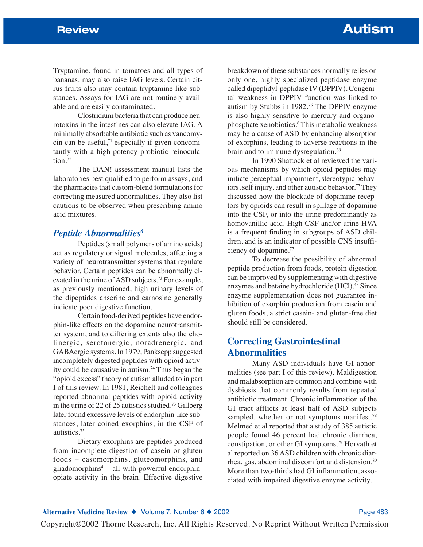Tryptamine, found in tomatoes and all types of bananas, may also raise IAG levels. Certain citrus fruits also may contain tryptamine-like substances. Assays for IAG are not routinely available and are easily contaminated.

Clostridium bacteria that can produce neurotoxins in the intestines can also elevate IAG. A minimally absorbable antibiotic such as vancomycin can be useful, $71$  especially if given concomitantly with a high-potency probiotic reinoculation.<sup>72</sup>

The DAN! assessment manual lists the laboratories best qualified to perform assays, and the pharmacies that custom-blend formulations for correcting measured abnormalities. They also list cautions to be observed when prescribing amino acid mixtures.

## *Peptide Abnormalities6*

Peptides (small polymers of amino acids) act as regulatory or signal molecules, affecting a variety of neurotransmitter systems that regulate behavior. Certain peptides can be abnormally elevated in the urine of ASD subjects.73 For example, as previously mentioned, high urinary levels of the dipeptides anserine and carnosine generally indicate poor digestive function.

Certain food-derived peptides have endorphin-like effects on the dopamine neurotransmitter system, and to differing extents also the cholinergic, serotonergic, noradrenergic, and GABAergic systems. In 1979, Panksepp suggested incompletely digested peptides with opioid activity could be causative in autism.74 Thus began the "opioid excess" theory of autism alluded to in part I of this review. In 1981, Reichelt and colleagues reported abnormal peptides with opioid activity in the urine of 22 of 25 autistics studied.<sup>73</sup> Gillberg later found excessive levels of endorphin-like substances, later coined exorphins, in the CSF of autistics.75

Dietary exorphins are peptides produced from incomplete digestion of casein or gluten foods – casomorphins, gluteomorphins, and gliadomorphins<sup>4</sup> – all with powerful endorphinopiate activity in the brain. Effective digestive

breakdown of these substances normally relies on only one, highly specialized peptidase enzyme called dipeptidyl-peptidase IV (DPPIV). Congenital weakness in DPPIV function was linked to autism by Stubbs in 1982.76 The DPPIV enzyme is also highly sensitive to mercury and organophosphate xenobiotics.6 This metabolic weakness may be a cause of ASD by enhancing absorption of exorphins, leading to adverse reactions in the brain and to immune dysregulation.<sup>68</sup>

In 1990 Shattock et al reviewed the various mechanisms by which opioid peptides may initiate perceptual impairment, stereotypic behaviors, self injury, and other autistic behavior.<sup>77</sup> They discussed how the blockade of dopamine receptors by opioids can result in spillage of dopamine into the CSF, or into the urine predominantly as homovanillic acid. High CSF and/or urine HVA is a frequent finding in subgroups of ASD children, and is an indicator of possible CNS insufficiency of dopamine.77

To decrease the possibility of abnormal peptide production from foods, protein digestion can be improved by supplementing with digestive enzymes and betaine hydrochloride (HCl).<sup>48</sup> Since enzyme supplementation does not guarantee inhibition of exorphin production from casein and gluten foods, a strict casein- and gluten-free diet should still be considered.

# **Correcting Gastrointestinal Abnormalities**

Many ASD individuals have GI abnormalities (see part I of this review). Maldigestion and malabsorption are common and combine with dysbiosis that commonly results from repeated antibiotic treatment. Chronic inflammation of the GI tract afflicts at least half of ASD subjects sampled, whether or not symptoms manifest.<sup>78</sup> Melmed et al reported that a study of 385 autistic people found 46 percent had chronic diarrhea, constipation, or other GI symptoms.79 Horvath et al reported on 36 ASD children with chronic diarrhea, gas, abdominal discomfort and distension.<sup>80</sup> More than two-thirds had GI inflammation, associated with impaired digestive enzyme activity.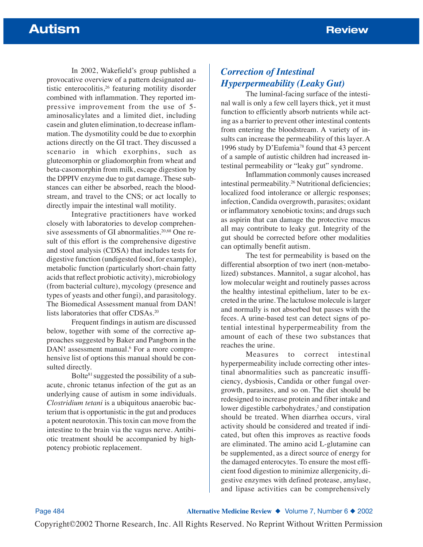In 2002, Wakefield's group published a provocative overview of a pattern designated autistic enterocolitis,<sup>26</sup> featuring motility disorder combined with inflammation. They reported impressive improvement from the use of 5 aminosalicylates and a limited diet, including casein and gluten elimination, to decrease inflammation. The dysmotility could be due to exorphin actions directly on the GI tract. They discussed a scenario in which exorphins, such as gluteomorphin or gliadomorphin from wheat and beta-casomorphin from milk, escape digestion by the DPPIV enzyme due to gut damage. These substances can either be absorbed, reach the bloodstream, and travel to the CNS; or act locally to directly impair the intestinal wall motility.

Integrative practitioners have worked closely with laboratories to develop comprehensive assessments of GI abnormalities.<sup>20,68</sup> One result of this effort is the comprehensive digestive and stool analysis (CDSA) that includes tests for digestive function (undigested food, for example), metabolic function (particularly short-chain fatty acids that reflect probiotic activity), microbiology (from bacterial culture), mycology (presence and types of yeasts and other fungi), and parasitology. The Biomedical Assessment manual from DAN! lists laboratories that offer CDSAs.<sup>20</sup>

Frequent findings in autism are discussed below, together with some of the corrective approaches suggested by Baker and Pangborn in the DAN! assessment manual.<sup>6</sup> For a more comprehensive list of options this manual should be consulted directly.

Bolte81 suggested the possibility of a subacute, chronic tetanus infection of the gut as an underlying cause of autism in some individuals. *Clostridium tetani* is a ubiquitous anaerobic bacterium that is opportunistic in the gut and produces a potent neurotoxin. This toxin can move from the intestine to the brain via the vagus nerve. Antibiotic treatment should be accompanied by highpotency probiotic replacement.

# *Correction of Intestinal Hyperpermeability (Leaky Gut)*

The luminal-facing surface of the intestinal wall is only a few cell layers thick, yet it must function to efficiently absorb nutrients while acting as a barrier to prevent other intestinal contents from entering the bloodstream. A variety of insults can increase the permeability of this layer. A 1996 study by D'Eufemia78 found that 43 percent of a sample of autistic children had increased intestinal permeability or "leaky gut" syndrome.

Inflammation commonly causes increased intestinal permeability.<sup>26</sup> Nutritional deficiencies; localized food intolerance or allergic responses; infection, Candida overgrowth, parasites; oxidant or inflammatory xenobiotic toxins; and drugs such as aspirin that can damage the protective mucus all may contribute to leaky gut. Integrity of the gut should be corrected before other modalities can optimally benefit autism.

The test for permeability is based on the differential absorption of two inert (non-metabolized) substances. Mannitol, a sugar alcohol, has low molecular weight and routinely passes across the healthy intestinal epithelium, later to be excreted in the urine. The lactulose molecule is larger and normally is not absorbed but passes with the feces. A urine-based test can detect signs of potential intestinal hyperpermeability from the amount of each of these two substances that reaches the urine.

Measures to correct intestinal hyperpermeability include correcting other intestinal abnormalities such as pancreatic insufficiency, dysbiosis, Candida or other fungal overgrowth, parasites, and so on. The diet should be redesigned to increase protein and fiber intake and lower digestible carbohydrates, $<sup>2</sup>$  and constipation</sup> should be treated. When diarrhea occurs, viral activity should be considered and treated if indicated, but often this improves as reactive foods are eliminated. The amino acid L-glutamine can be supplemented, as a direct source of energy for the damaged enterocytes. To ensure the most efficient food digestion to minimize allergenicity, digestive enzymes with defined protease, amylase, and lipase activities can be comprehensively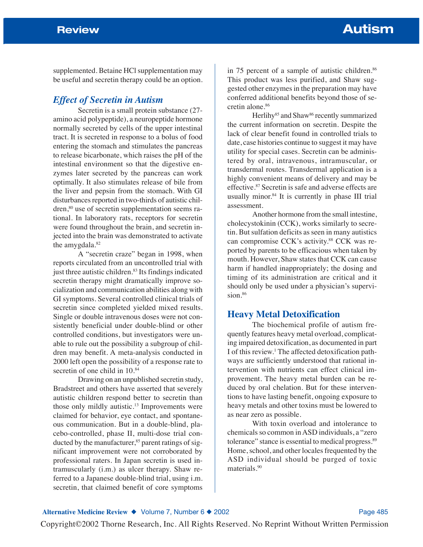supplemented. Betaine HCl supplementation may be useful and secretin therapy could be an option.

# *Effect of Secretin in Autism*

Secretin is a small protein substance (27 amino acid polypeptide), a neuropeptide hormone normally secreted by cells of the upper intestinal tract. It is secreted in response to a bolus of food entering the stomach and stimulates the pancreas to release bicarbonate, which raises the pH of the intestinal environment so that the digestive enzymes later secreted by the pancreas can work optimally. It also stimulates release of bile from the liver and pepsin from the stomach. With GI disturbances reported in two-thirds of autistic children,<sup>80</sup> use of secretin supplementation seems rational. In laboratory rats, receptors for secretin were found throughout the brain, and secretin injected into the brain was demonstrated to activate the amygdala.<sup>82</sup>

A "secretin craze" began in 1998, when reports circulated from an uncontrolled trial with just three autistic children.<sup>83</sup> Its findings indicated secretin therapy might dramatically improve socialization and communication abilities along with GI symptoms. Several controlled clinical trials of secretin since completed yielded mixed results. Single or double intravenous doses were not consistently beneficial under double-blind or other controlled conditions, but investigators were unable to rule out the possibility a subgroup of children may benefit. A meta-analysis conducted in 2000 left open the possibility of a response rate to secretin of one child in 10.84

Drawing on an unpublished secretin study, Bradstreet and others have asserted that severely autistic children respond better to secretin than those only mildly autistic.<sup>13</sup> Improvements were claimed for behavior, eye contact, and spontaneous communication. But in a double-blind, placebo-controlled, phase II, multi-dose trial conducted by the manufacturer, $85$  parent ratings of significant improvement were not corroborated by professional raters. In Japan secretin is used intramuscularly (i.m.) as ulcer therapy. Shaw referred to a Japanese double-blind trial, using i.m. secretin, that claimed benefit of core symptoms

in 75 percent of a sample of autistic children.<sup>86</sup> This product was less purified, and Shaw suggested other enzymes in the preparation may have conferred additional benefits beyond those of secretin alone.86

Herlihy<sup>85</sup> and Shaw<sup>86</sup> recently summarized the current information on secretin. Despite the lack of clear benefit found in controlled trials to date, case histories continue to suggest it may have utility for special cases. Secretin can be administered by oral, intravenous, intramuscular, or transdermal routes. Transdermal application is a highly convenient means of delivery and may be effective.87 Secretin is safe and adverse effects are usually minor.<sup>84</sup> It is currently in phase III trial assessment.

Another hormone from the small intestine, cholecystokinin (CCK), works similarly to secretin. But sulfation deficits as seen in many autistics can compromise CCK's activity.<sup>88</sup> CCK was reported by parents to be efficacious when taken by mouth. However, Shaw states that CCK can cause harm if handled inappropriately; the dosing and timing of its administration are critical and it should only be used under a physician's supervision.<sup>86</sup>

### **Heavy Metal Detoxification**

The biochemical profile of autism frequently features heavy metal overload, complicating impaired detoxification, as documented in part I of this review.1 The affected detoxification pathways are sufficiently understood that rational intervention with nutrients can effect clinical improvement. The heavy metal burden can be reduced by oral chelation. But for these interventions to have lasting benefit, ongoing exposure to heavy metals and other toxins must be lowered to as near zero as possible.

With toxin overload and intolerance to chemicals so common in ASD individuals, a "zero tolerance" stance is essential to medical progress.<sup>89</sup> Home, school, and other locales frequented by the ASD individual should be purged of toxic materials.90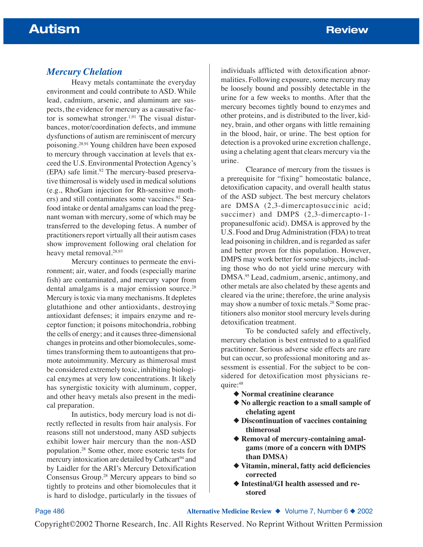## *Mercury Chelation*

Heavy metals contaminate the everyday environment and could contribute to ASD. While lead, cadmium, arsenic, and aluminum are suspects, the evidence for mercury as a causative factor is somewhat stronger.<sup>1,91</sup> The visual disturbances, motor/coordination defects, and immune dysfunctions of autism are reminiscent of mercury poisoning.28,91 Young children have been exposed to mercury through vaccination at levels that exceed the U.S. Environmental Protection Agency's  $(EPA)$  safe limit.<sup>92</sup> The mercury-based preservative thimerosal is widely used in medical solutions (e.g., RhoGam injection for Rh-sensitive mothers) and still contaminates some vaccines.<sup>92</sup> Seafood intake or dental amalgams can load the pregnant woman with mercury, some of which may be transferred to the developing fetus. A number of practitioners report virtually all their autism cases show improvement following oral chelation for heavy metal removal.28,93

Mercury continues to permeate the environment; air, water, and foods (especially marine fish) are contaminated, and mercury vapor from dental amalgams is a major emission source.<sup>28</sup> Mercury is toxic via many mechanisms. It depletes glutathione and other antioxidants, destroying antioxidant defenses; it impairs enzyme and receptor function; it poisons mitochondria, robbing the cells of energy; and it causes three-dimensional changes in proteins and other biomolecules, sometimes transforming them to autoantigens that promote autoimmunity. Mercury as thimerosal must be considered extremely toxic, inhibiting biological enzymes at very low concentrations. It likely has synergistic toxicity with aluminum, copper, and other heavy metals also present in the medical preparation.

In autistics, body mercury load is not directly reflected in results from hair analysis. For reasons still not understood, many ASD subjects exhibit lower hair mercury than the non-ASD population.28 Some other, more esoteric tests for mercury intoxication are detailed by Cathcart<sup>94</sup> and by Laidler for the ARI's Mercury Detoxification Consensus Group.28 Mercury appears to bind so tightly to proteins and other biomolecules that it is hard to dislodge, particularly in the tissues of

individuals afflicted with detoxification abnormalities. Following exposure, some mercury may be loosely bound and possibly detectable in the urine for a few weeks to months. After that the mercury becomes tightly bound to enzymes and other proteins, and is distributed to the liver, kidney, brain, and other organs with little remaining in the blood, hair, or urine. The best option for detection is a provoked urine excretion challenge, using a chelating agent that clears mercury via the urine.

Clearance of mercury from the tissues is a prerequisite for "fixing" homeostatic balance, detoxification capacity, and overall health status of the ASD subject. The best mercury chelators are DMSA (2,3-dimercaptosuccinic acid; succimer) and DMPS (2,3-dimercapto-1propanesulfonic acid). DMSA is approved by the U.S. Food and Drug Administration (FDA) to treat lead poisoning in children, and is regarded as safer and better proven for this population. However, DMPS may work better for some subjects, including those who do not yield urine mercury with DMSA.95 Lead, cadmium, arsenic, antimony, and other metals are also chelated by these agents and cleared via the urine; therefore, the urine analysis may show a number of toxic metals.28 Some practitioners also monitor stool mercury levels during detoxification treatment.

To be conducted safely and effectively, mercury chelation is best entrusted to a qualified practitioner. Serious adverse side effects are rare but can occur, so professional monitoring and assessment is essential. For the subject to be considered for detoxification most physicians require: 48

- ◆ **Normal creatinine clearance**
- ◆ **No allergic reaction to a small sample of chelating agent**
- ◆ **Discontinuation of vaccines containing thimerosal**
- ◆ **Removal of mercury-containing amalgams (more of a concern with DMPS than DMSA)**
- ◆ **Vitamin, mineral, fatty acid deficiencies corrected**
- ◆ **Intestinal/GI health assessed and restored**

Page 486 **Alternative Medicine Review** ◆ Volume 7, Number 6 ◆ 2002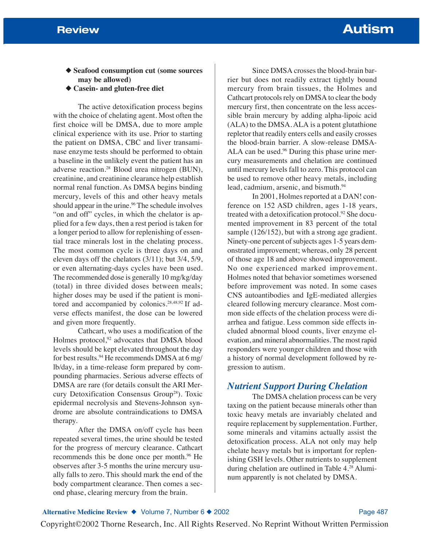◆ **Seafood consumption cut (some sources may be allowed)**

◆ **Casein- and gluten-free diet**

The active detoxification process begins with the choice of chelating agent. Most often the first choice will be DMSA, due to more ample clinical experience with its use. Prior to starting the patient on DMSA, CBC and liver transaminase enzyme tests should be performed to obtain a baseline in the unlikely event the patient has an adverse reaction.28 Blood urea nitrogen (BUN), creatinine, and creatinine clearance help establish normal renal function. As DMSA begins binding mercury, levels of this and other heavy metals should appear in the urine.<sup>96</sup> The schedule involves "on and off" cycles, in which the chelator is applied for a few days, then a rest period is taken for a longer period to allow for replenishing of essential trace minerals lost in the chelating process. The most common cycle is three days on and eleven days off the chelators (3/11); but 3/4, 5/9, or even alternating-days cycles have been used. The recommended dose is generally 10 mg/kg/day (total) in three divided doses between meals; higher doses may be used if the patient is monitored and accompanied by colonics.28,48,92 If adverse effects manifest, the dose can be lowered and given more frequently.

Cathcart, who uses a modification of the Holmes protocol,<sup>92</sup> advocates that DMSA blood levels should be kept elevated throughout the day for best results.94 He recommends DMSA at 6 mg/ lb/day, in a time-release form prepared by compounding pharmacies. Serious adverse effects of DMSA are rare (for details consult the ARI Mercury Detoxification Consensus Group28). Toxic epidermal necrolysis and Stevens-Johnson syndrome are absolute contraindications to DMSA therapy.

After the DMSA on/off cycle has been repeated several times, the urine should be tested for the progress of mercury clearance. Cathcart recommends this be done once per month.<sup>96</sup> He observes after 3-5 months the urine mercury usually falls to zero. This should mark the end of the body compartment clearance. Then comes a second phase, clearing mercury from the brain.

Since DMSA crosses the blood-brain barrier but does not readily extract tightly bound mercury from brain tissues, the Holmes and Cathcart protocols rely on DMSA to clear the body mercury first, then concentrate on the less accessible brain mercury by adding alpha-lipoic acid (ALA) to the DMSA. ALA is a potent glutathione repletor that readily enters cells and easily crosses the blood-brain barrier. A slow-release DMSA-ALA can be used.<sup>96</sup> During this phase urine mercury measurements and chelation are continued until mercury levels fall to zero. This protocol can be used to remove other heavy metals, including lead, cadmium, arsenic, and bismuth.<sup>94</sup>

In 2001, Holmes reported at a DAN! conference on 152 ASD children, ages 1-18 years, treated with a detoxification protocol.92 She documented improvement in 83 percent of the total sample (126/152), but with a strong age gradient. Ninety-one percent of subjects ages 1-5 years demonstrated improvement; whereas, only 28 percent of those age 18 and above showed improvement. No one experienced marked improvement. Holmes noted that behavior sometimes worsened before improvement was noted. In some cases CNS autoantibodies and IgE-mediated allergies cleared following mercury clearance. Most common side effects of the chelation process were diarrhea and fatigue. Less common side effects included abnormal blood counts, liver enzyme elevation, and mineral abnormalities. The most rapid responders were younger children and those with a history of normal development followed by regression to autism.

# *Nutrient Support During Chelation*

The DMSA chelation process can be very taxing on the patient because minerals other than toxic heavy metals are invariably chelated and require replacement by supplementation. Further, some minerals and vitamins actually assist the detoxification process. ALA not only may help chelate heavy metals but is important for replenishing GSH levels. Other nutrients to supplement during chelation are outlined in Table 4.28 Aluminum apparently is not chelated by DMSA.

#### Alternative Medicine Review ◆ Volume 7, Number 6 ◆ 2002 **Page 487** Page 487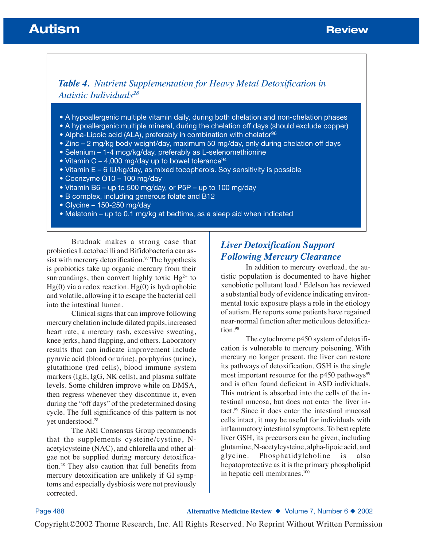# **Autism Burger Community Community Community Community Community Community Community Community Community Community**

# *Table 4. Nutrient Supplementation for Heavy Metal Detoxification in Autistic Individuals28*

- A hypoallergenic multiple vitamin daily, during both chelation and non-chelation phases
- A hypoallergenic multiple mineral, during the chelation off days (should exclude copper)
- Alpha-Lipoic acid (ALA), preferably in combination with chelator<sup>96</sup>
- Zinc 2 mg/kg body weight/day, maximum 50 mg/day, only during chelation off days
- Selenium 1-4 mcg/kg/day, preferably as L-selenomethionine
- Vitamin C 4,000 mg/day up to bowel tolerance<sup>94</sup>
- Vitamin E 6 IU/kg/day, as mixed tocopherols. Soy sensitivity is possible
- Coenzyme Q10 100 mg/day
- Vitamin B6 up to 500 mg/day, or P5P up to 100 mg/day
- B complex, including generous folate and B12
- Glycine 150-250 mg/day
- Melatonin up to 0.1 mg/kg at bedtime, as a sleep aid when indicated

Brudnak makes a strong case that probiotics Lactobacilli and Bifidobacteria can assist with mercury detoxification.<sup>97</sup> The hypothesis is probiotics take up organic mercury from their surroundings, then convert highly toxic  $Hg^{2+}$  to  $Hg(0)$  via a redox reaction.  $Hg(0)$  is hydrophobic and volatile, allowing it to escape the bacterial cell into the intestinal lumen.

Clinical signs that can improve following mercury chelation include dilated pupils, increased heart rate, a mercury rash, excessive sweating, knee jerks, hand flapping, and others. Laboratory results that can indicate improvement include pyruvic acid (blood or urine), porphyrins (urine), glutathione (red cells), blood immune system markers (IgE, IgG, NK cells), and plasma sulfate levels. Some children improve while on DMSA, then regress whenever they discontinue it, even during the "off days" of the predetermined dosing cycle. The full significance of this pattern is not yet understood.28

The ARI Consensus Group recommends that the supplements cysteine/cystine, Nacetylcysteine (NAC), and chlorella and other algae not be supplied during mercury detoxification.28 They also caution that full benefits from mercury detoxification are unlikely if GI symptoms and especially dysbiosis were not previously corrected.

# *Liver Detoxification Support Following Mercury Clearance*

In addition to mercury overload, the autistic population is documented to have higher xenobiotic pollutant load.<sup>1</sup> Edelson has reviewed a substantial body of evidence indicating environmental toxic exposure plays a role in the etiology of autism. He reports some patients have regained near-normal function after meticulous detoxification.98

The cytochrome p450 system of detoxification is vulnerable to mercury poisoning. With mercury no longer present, the liver can restore its pathways of detoxification. GSH is the single most important resource for the  $p450$  pathways<sup>99</sup> and is often found deficient in ASD individuals. This nutrient is absorbed into the cells of the intestinal mucosa, but does not enter the liver intact.99 Since it does enter the intestinal mucosal cells intact, it may be useful for individuals with inflammatory intestinal symptoms. To best replete liver GSH, its precursors can be given, including glutamine, N-acetylcysteine, alpha-lipoic acid, and glycine. Phosphatidylcholine is also hepatoprotective as it is the primary phospholipid in hepatic cell membranes.100

Page 488 **Alternative Medicine Review** ◆ Volume 7, Number 6 ◆ 2002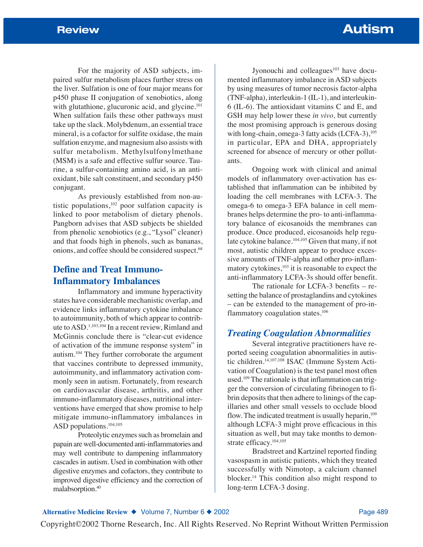For the majority of ASD subjects, impaired sulfur metabolism places further stress on the liver. Sulfation is one of four major means for p450 phase II conjugation of xenobiotics, along with glutathione, glucuronic acid, and glycine.<sup>101</sup> When sulfation fails these other pathways must take up the slack. Molybdenum, an essential trace mineral, is a cofactor for sulfite oxidase, the main sulfation enzyme, and magnesium also assists with sulfur metabolism. Methylsulfonylmethane (MSM) is a safe and effective sulfur source. Taurine, a sulfur-containing amino acid, is an antioxidant, bile salt constituent, and secondary p450 conjugant.

As previously established from non-autistic populations, $102$  poor sulfation capacity is linked to poor metabolism of dietary phenols. Pangborn advises that ASD subjects be shielded from phenolic xenobiotics (e.g., "Lysol" cleaner) and that foods high in phenols, such as bananas, onions, and coffee should be considered suspect.<sup>68</sup>

# **Define and Treat Immuno-Inflammatory Imbalances**

Inflammatory and immune hyperactivity states have considerable mechanistic overlap, and evidence links inflammatory cytokine imbalance to autoimmunity, both of which appear to contribute to ASD.1,103,104 In a recent review, Rimland and McGinnis conclude there is "clear-cut evidence of activation of the immune response system" in autism.104 They further corroborate the argument that vaccines contribute to depressed immunity, autoimmunity, and inflammatory activation commonly seen in autism. Fortunately, from research on cardiovascular disease, arthritis, and other immuno-inflammatory diseases, nutritional interventions have emerged that show promise to help mitigate immuno-inflammatory imbalances in ASD populations.104,105

Proteolytic enzymes such as bromelain and papain are well-documented anti-inflammatories and may well contribute to dampening inflammatory cascades in autism. Used in combination with other digestive enzymes and cofactors, they contribute to improved digestive efficiency and the correction of malabsorption.40

Jyonouchi and colleagues<sup>103</sup> have documented inflammatory imbalance in ASD subjects by using measures of tumor necrosis factor-alpha (TNF-alpha), interleukin-1 (IL-1), and interleukin-6 (IL-6). The antioxidant vitamins C and E, and GSH may help lower these *in vivo,* but currently the most promising approach is generous dosing with long-chain, omega-3 fatty acids (LCFA-3),<sup>105</sup> in particular, EPA and DHA, appropriately screened for absence of mercury or other pollutants.

Ongoing work with clinical and animal models of inflammatory over-activation has established that inflammation can be inhibited by loading the cell membranes with LCFA-3. The omega-6 to omega-3 EFA balance in cell membranes helps determine the pro- to anti-inflammatory balance of eicosanoids the membranes can produce. Once produced, eicosanoids help regulate cytokine balance.<sup>104,105</sup> Given that many, if not most, autistic children appear to produce excessive amounts of TNF-alpha and other pro-inflammatory cytokines,<sup>103</sup> it is reasonable to expect the anti-inflammatory LCFA-3s should offer benefit.

The rationale for LCFA-3 benefits – resetting the balance of prostaglandins and cytokines – can be extended to the management of pro-inflammatory coagulation states.106

## *Treating Coagulation Abnormalities*

Several integrative practitioners have reported seeing coagulation abnormalities in autistic children.14,107,108 ISAC (Immune System Activation of Coagulation) is the test panel most often used.<sup>109</sup> The rationale is that inflammation can trigger the conversion of circulating fibrinogen to fibrin deposits that then adhere to linings of the capillaries and other small vessels to occlude blood flow. The indicated treatment is usually heparin, $109$ although LCFA-3 might prove efficacious in this situation as well, but may take months to demonstrate efficacy.104,105

Bradstreet and Kartzinel reported finding vasospasm in autistic patients, which they treated successfully with Nimotop, a calcium channel blocker.14 This condition also might respond to long-term LCFA-3 dosing.

#### Alternative Medicine Review ◆ Volume 7, Number 6 ◆ 2002 **Page 489** Page 489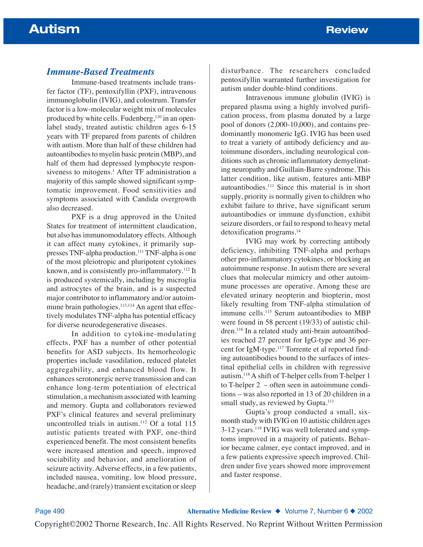## *Immune-Based Treatments*

Immune-based treatments include transfer factor (TF), pentoxifyllin (PXF), intravenous immunoglobulin (IVIG), and colostrum. Transfer factor is a low-molecular weight mix of molecules produced by white cells. Fudenberg,<sup>110</sup> in an openlabel study, treated autistic children ages 6-15 years with TF prepared from parents of children with autism. More than half of these children had autoantibodies to myelin basic protein (MBP), and half of them had depressed lymphocyte responsiveness to mitogens.<sup>1</sup> After TF administration a majority of this sample showed significant symptomatic improvement. Food sensitivities and symptoms associated with Candida overgrowth also decreased.

PXF is a drug approved in the United States for treatment of intermittent claudication, but also has immunomodulatory effects. Although it can affect many cytokines, it primarily suppresses TNF-alpha production.111 TNF-alpha is one of the most pleiotropic and pluripotent cytokines known, and is consistently pro-inflammatory.112 It is produced systemically, including by microglia and astrocytes of the brain, and is a suspected major contributor to inflammatory and/or autoimmune brain pathologies.<sup>113,114</sup> An agent that effectively modulates TNF-alpha has potential efficacy for diverse neurodegenerative diseases.

In addition to cytokine-modulating effects, PXF has a number of other potential benefits for ASD subjects. Its hemorheologic properties include vasodilation, reduced platelet aggregability, and enhanced blood flow. It enhances serotonergic nerve transmission and can enhance long-term potentiation of electrical stimulation, a mechanism associated with learning and memory. Gupta and collaborators reviewed PXF's clinical features and several preliminary uncontrolled trials in autism.<sup>112</sup> Of a total 115 autistic patients treated with PXF, one-third experienced benefit. The most consistent benefits were increased attention and speech, improved sociability and behavior, and amelioration of seizure activity. Adverse effects, in a few patients, included nausea, vomiting, low blood pressure, headache, and (rarely) transient excitation or sleep disturbance. The researchers concluded pentoxifyllin warranted further investigation for autism under double-blind conditions.

Intravenous immune globulin (IVIG) is prepared plasma using a highly involved purification process, from plasma donated by a large pool of donors (2,000-10,000), and contains predominantly monomeric IgG. IVIG has been used to treat a variety of antibody deficiency and autoimmune disorders, including neurological conditions such as chronic inflammatory demyelinating neuropathy and Guillain-Barre syndrome. This latter condition, like autism, features anti-MBP autoantibodies.111 Since this material is in short supply, priority is normally given to children who exhibit failure to thrive, have significant serum autoantibodies or immune dysfunction, exhibit seizure disorders, or fail to respond to heavy metal detoxification programs.<sup>14</sup>

IVIG may work by correcting antibody deficiency, inhibiting TNF-alpha and perhaps other pro-inflammatory cytokines, or blocking an autoimmune response. In autism there are several clues that molecular mimicry and other autoimmune processes are operative. Among these are elevated urinary neopterin and biopterin, most likely resulting from TNF-alpha stimulation of immune cells.<sup>115</sup> Serum autoantibodies to MBP were found in 58 percent (19/33) of autistic children.116 In a related study anti-brain autoantibodies reached 27 percent for IgG-type and 36 percent for IgM-type.117 Torrente et al reported finding autoantibodies bound to the surfaces of intestinal epithelial cells in children with regressive autism.118A shift of T-helper cells from T-helper 1 to T-helper 2 – often seen in autoimmune conditions – was also reported in 13 of 20 children in a small study, as reviewed by Gupta.<sup>111</sup>

Gupta's group conducted a small, sixmonth study with IVIG on 10 autistic children ages 3-12 years.119 IVIG was well tolerated and symptoms improved in a majority of patients. Behavior became calmer, eye contact improved, and in a few patients expressive speech improved. Children under five years showed more improvement and faster response.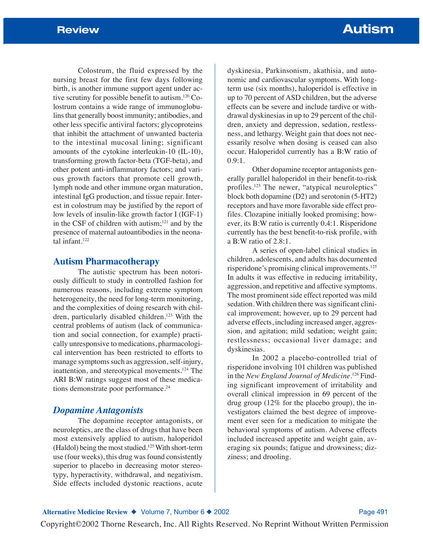Colostrum, the fluid expressed by the nursing breast for the first few days following birth, is another immune support agent under active scrutiny for possible benefit to autism.120 Colostrum contains a wide range of immunoglobulins that generally boost immunity; antibodies, and other less specific antiviral factors; glycoproteins that inhibit the attachment of unwanted bacteria to the intestinal mucosal lining; significant amounts of the cytokine interleukin-10 (IL-10), transforming growth factor-beta (TGF-beta), and other potent anti-inflammatory factors; and various growth factors that promote cell growth, lymph node and other immune organ maturation, intestinal IgG production, and tissue repair. Interest in colostrum may be justified by the report of low levels of insulin-like growth factor I (IGF-1) in the CSF of children with autism; $121$  and by the presence of maternal autoantibodies in the neonatal infant.122

### **Autism Pharmacotherapy**

The autistic spectrum has been notoriously difficult to study in controlled fashion for numerous reasons, including extreme symptom heterogeneity, the need for long-term monitoring, and the complexities of doing research with children, particularly disabled children.<sup>123</sup> With the central problems of autism (lack of communication and social connection, for example) practically unresponsive to medications, pharmacological intervention has been restricted to efforts to manage symptoms such as aggression, self-injury, inattention, and stereotypical movements.124 The ARI B:W ratings suggest most of these medications demonstrate poor performance.<sup>24</sup>

#### *Dopamine Antagonists*

The dopamine receptor antagonists, or neuroleptics, are the class of drugs that have been most extensively applied to autism, haloperidol (Haldol) being the most studied.<sup>125</sup> With short-term use (four weeks), this drug was found consistently superior to placebo in decreasing motor stereotypy, hyperactivity, withdrawal, and negativism. Side effects included dystonic reactions, acute

dyskinesia, Parkinsonism, akathisia, and autonomic and cardiovascular symptoms. With longterm use (six months), haloperidol is effective in up to 70 percent of ASD children, but the adverse effects can be severe and include tardive or withdrawal dyskinesias in up to 29 percent of the children, anxiety and depression, sedation, restlessness, and lethargy. Weight gain that does not necessarily resolve when dosing is ceased can also occur. Haloperidol currently has a B:W ratio of 0.9:1.

Other dopamine receptor antagonists generally parallel haloperidol in their benefit-to-risk profiles.125 The newer, "atypical neuroleptics" block both dopamine (D2) and serotonin (5-HT2) receptors and have more favorable side effect profiles. Clozapine initially looked promising; however, its B:W ratio is currently 0.4:1. Risperidone currently has the best benefit-to-risk profile, with a B:W ratio of 2.8:1.

A series of open-label clinical studies in children, adolescents, and adults has documented risperidone's promising clinical improvements.125 In adults it was effective in reducing irritability, aggression, and repetitive and affective symptoms. The most prominent side effect reported was mild sedation. With children there was significant clinical improvement; however, up to 29 percent had adverse effects, including increased anger, aggression, and agitation; mild sedation; weight gain; restlessness; occasional liver damage; and dyskinesias.

In 2002 a placebo-controlled trial of risperidone involving 101 children was published in the *New England Journal of Medicine*. <sup>126</sup> Finding significant improvement of irritability and overall clinical impression in 69 percent of the drug group (12% for the placebo group), the investigators claimed the best degree of improvement ever seen for a medication to mitigate the behavioral symptoms of autism. Adverse effects included increased appetite and weight gain, averaging six pounds; fatigue and drowsiness; dizziness; and drooling.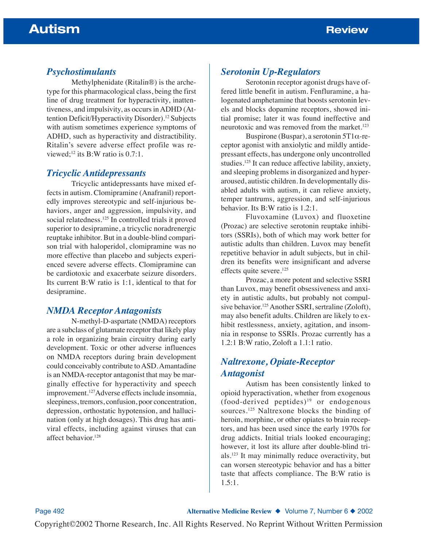# *Psychostimulants*

Methylphenidate (Ritalin®) is the archetype for this pharmacological class, being the first line of drug treatment for hyperactivity, inattentiveness, and impulsivity, as occurs in ADHD (Attention Deficit/Hyperactivity Disorder).<sup>12</sup> Subjects with autism sometimes experience symptoms of ADHD, such as hyperactivity and distractibility. Ritalin's severe adverse effect profile was reviewed;<sup>12</sup> its B:W ratio is 0.7:1.

### *Tricyclic Antidepressants*

Tricyclic antidepressants have mixed effects in autism. Clomipramine (Anafranil) reportedly improves stereotypic and self-injurious behaviors, anger and aggression, impulsivity, and social relatedness.<sup>125</sup> In controlled trials it proved superior to desipramine, a tricyclic noradrenergic reuptake inhibitor. But in a double-blind comparison trial with haloperidol, clomipramine was no more effective than placebo and subjects experienced severe adverse effects. Clomipramine can be cardiotoxic and exacerbate seizure disorders. Its current B:W ratio is 1:1, identical to that for desipramine.

# *NMDA Receptor Antagonists*

N-methyl-D-aspartate (NMDA) receptors are a subclass of glutamate receptor that likely play a role in organizing brain circuitry during early development. Toxic or other adverse influences on NMDA receptors during brain development could conceivably contribute to ASD. Amantadine is an NMDA-receptor antagonist that may be marginally effective for hyperactivity and speech improvement.127Adverse effects include insomnia, sleepiness, tremors, confusion, poor concentration, depression, orthostatic hypotension, and hallucination (only at high dosages). This drug has antiviral effects, including against viruses that can affect behavior.<sup>128</sup>

## *Serotonin Up-Regulators*

Serotonin receptor agonist drugs have offered little benefit in autism. Fenfluramine, a halogenated amphetamine that boosts serotonin levels and blocks dopamine receptors, showed initial promise; later it was found ineffective and neurotoxic and was removed from the market.<sup>123</sup>

Buspirone (Buspar), a serotonin  $5T1\alpha$ -receptor agonist with anxiolytic and mildly antidepressant effects, has undergone only uncontrolled studies.125 It can reduce affective lability, anxiety, and sleeping problems in disorganized and hyperaroused, autistic children. In developmentally disabled adults with autism, it can relieve anxiety, temper tantrums, aggression, and self-injurious behavior. Its B:W ratio is 1.2:1.

Fluvoxamine (Luvox) and fluoxetine (Prozac) are selective serotonin reuptake inhibitors (SSRIs), both of which may work better for autistic adults than children. Luvox may benefit repetitive behavior in adult subjects, but in children its benefits were insignificant and adverse effects quite severe.<sup>125</sup>

Prozac, a more potent and selective SSRI than Luvox, may benefit obsessiveness and anxiety in autistic adults, but probably not compulsive behavior.<sup>125</sup> Another SSRI, sertraline (Zoloft), may also benefit adults. Children are likely to exhibit restlessness, anxiety, agitation, and insomnia in response to SSRIs. Prozac currently has a 1.2:1 B:W ratio, Zoloft a 1.1:1 ratio.

# *Naltrexone, Opiate-Receptor Antagonist*

Autism has been consistently linked to opioid hyperactivation, whether from exogenous  $(food-derived$  peptides)<sup>19</sup> or endogenous sources.125 Naltrexone blocks the binding of heroin, morphine, or other opiates to brain receptors, and has been used since the early 1970s for drug addicts. Initial trials looked encouraging; however, it lost its allure after double-blind trials.123 It may minimally reduce overactivity, but can worsen stereotypic behavior and has a bitter taste that affects compliance. The B:W ratio is 1.5:1.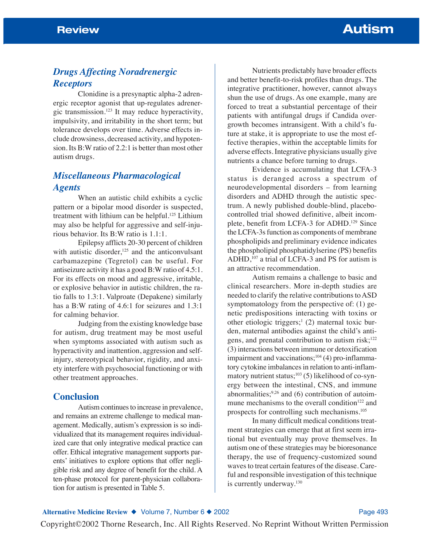# *Drugs Affecting Noradrenergic Receptors*

Clonidine is a presynaptic alpha-2 adrenergic receptor agonist that up-regulates adrenergic transmission.123 It may reduce hyperactivity, impulsivity, and irritability in the short term; but tolerance develops over time. Adverse effects include drowsiness, decreased activity, and hypotension. Its B:W ratio of 2.2:1 is better than most other autism drugs.

# *Miscellaneous Pharmacological Agents*

When an autistic child exhibits a cyclic pattern or a bipolar mood disorder is suspected, treatment with lithium can be helpful.125 Lithium may also be helpful for aggressive and self-injurious behavior. Its B:W ratio is 1.1:1.

Epilepsy afflicts 20-30 percent of children with autistic disorder, $125$  and the anticonvulsant carbamazepine (Tegretol) can be useful. For antiseizure activity it has a good B:W ratio of 4.5:1. For its effects on mood and aggressive, irritable, or explosive behavior in autistic children, the ratio falls to 1.3:1. Valproate (Depakene) similarly has a B:W rating of 4.6:1 for seizures and 1.3:1 for calming behavior.

Judging from the existing knowledge base for autism, drug treatment may be most useful when symptoms associated with autism such as hyperactivity and inattention, aggression and selfinjury, stereotypical behavior, rigidity, and anxiety interfere with psychosocial functioning or with other treatment approaches.

## **Conclusion**

Autism continues to increase in prevalence, and remains an extreme challenge to medical management. Medically, autism's expression is so individualized that its management requires individualized care that only integrative medical practice can offer. Ethical integrative management supports parents' initiatives to explore options that offer negligible risk and any degree of benefit for the child. A ten-phase protocol for parent-physician collaboration for autism is presented in Table 5.

Nutrients predictably have broader effects and better benefit-to-risk profiles than drugs. The integrative practitioner, however, cannot always shun the use of drugs. As one example, many are forced to treat a substantial percentage of their patients with antifungal drugs if Candida overgrowth becomes intransigent. With a child's future at stake, it is appropriate to use the most effective therapies, within the acceptable limits for adverse effects. Integrative physicians usually give nutrients a chance before turning to drugs.

Evidence is accumulating that LCFA-3 status is deranged across a spectrum of neurodevelopmental disorders – from learning disorders and ADHD through the autistic spectrum. A newly published double-blind, placebocontrolled trial showed definitive, albeit incomplete, benefit from LCFA-3 for ADHD.129 Since the LCFA-3s function as components of membrane phospholipids and preliminary evidence indicates the phospholipid phosphatidylserine (PS) benefits ADHD,<sup>107</sup> a trial of LCFA-3 and PS for autism is an attractive recommendation.

Autism remains a challenge to basic and clinical researchers. More in-depth studies are needed to clarify the relative contributions to ASD symptomatology from the perspective of: (1) genetic predispositions interacting with toxins or other etiologic triggers;<sup>1</sup> (2) maternal toxic burden, maternal antibodies against the child's antigens, and prenatal contribution to autism risk; $122$ (3) interactions between immune or detoxification impairment and vaccinations; $104$  (4) pro-inflammatory cytokine imbalances in relation to anti-inflammatory nutrient status;<sup>103</sup> (5) likelihood of co-synergy between the intestinal, CNS, and immune abnormalities; $^{9,26}$  and (6) contribution of autoimmune mechanisms to the overall condition<sup>122</sup> and prospects for controlling such mechanisms.105

In many difficult medical conditions treatment strategies can emerge that at first seem irrational but eventually may prove themselves. In autism one of these strategies may be bioresonance therapy, the use of frequency-customized sound waves to treat certain features of the disease. Careful and responsible investigation of this technique is currently underway.<sup>130</sup>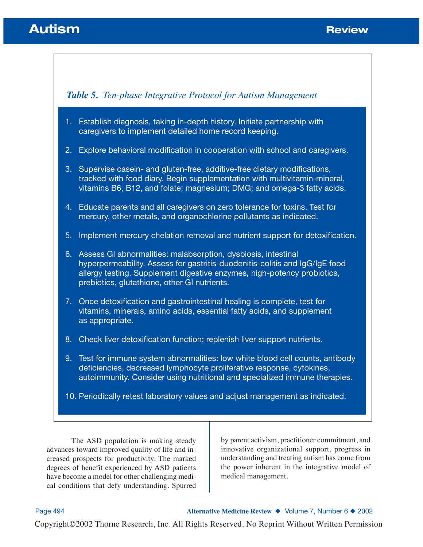# **Autism Burger Community Community Community Community Community Community Community Community Community Community**



The ASD population is making steady advances toward improved quality of life and increased prospects for productivity. The marked degrees of benefit experienced by ASD patients have become a model for other challenging medical conditions that defy understanding. Spurred

by parent activism, practitioner commitment, and innovative organizational support, progress in understanding and treating autism has come from the power inherent in the integrative model of medical management.

Page 494 **Alternative Medicine Review** ◆ Volume 7, Number 6 ◆ 2002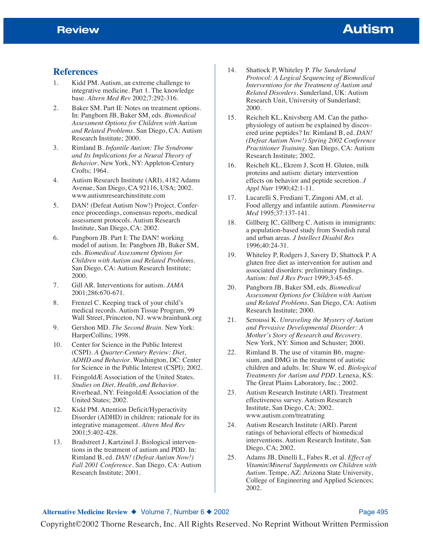### **References**

- 1. Kidd PM. Autism, an extreme challenge to integrative medicine. Part 1. The knowledge base. *Altern Med Rev* 2002;7:292-316.
- 2. Baker SM. Part II: Notes on treatment options. In: Pangborn JB, Baker SM, eds. *Biomedical Assessment Options for Children with Autism and Related Problems*. San Diego, CA: Autism Research Institute; 2000.
- 3. Rimland B. *Infantile Autism: The Syndrome and Its Implications for a Neural Theory of Behavior*. New York, NY: Appleton-Century Crofts; 1964.
- 4. Autism Research Institute (ARI), 4182 Adams Avenue, San Diego, CA 92116, USA; 2002. www.autismresearchinstitute.com
- 5. DAN! (Defeat Autism Now!) Project. Conference proceedings, consensus reports, medical assessment protocols. Autism Research Institute, San Diego, CA: 2002.
- 6. Pangborn JB. Part I: The DAN! working model of autism. In: Pangborn JB, Baker SM, eds. *Biomedical Assessment Options for Children with Autism and Related Problems*. San Diego, CA: Autism Research Institute; 2000.
- 7. Gill AR. Interventions for autism. *JAMA* 2001;286:670-671.
- 8. Frenzel C. Keeping track of your child's medical records. Autism Tissue Program, 99 Wall Street, Princeton, NJ. www.brainbank.org
- 9. Gershon MD. *The Second Brain*. New York: HarperCollins; 1998.
- 10. Center for Science in the Public Interest (CSPI). *A Quarter-Century Review: Diet, ADHD and Behavior*. Washington, DC: Center for Science in the Public Interest (CSPI); 2002.
- 11. FeingoldÆ Association of the United States. *Studies on Diet, Health, and Behavior*. Riverhead, NY: FeingoldÆ Association of the United States; 2002.
- 12. Kidd PM. Attention Deficit/Hyperactivity Disorder (ADHD) in children: rationale for its integrative management. *Altern Med Rev* 2001;5:402-428.
- 13. Bradstreet J, Kartzinel J. Biological interventions in the treatment of autism and PDD. In: Rimland B, ed. *DAN! (Defeat Autism Now!) Fall 2001 Conference*. San Diego, CA: Autism Research Institute; 2001.
- 14. Shattock P, Whiteley P. *The Sunderland Protocol: A Logical Sequencing of Biomedical Interventions for the Treatment of Autism and Related Disorders*. Sunderland, UK: Autism Research Unit, University of Sunderland; 2000.
- 15. Reichelt KL, Knivsberg AM. Can the pathophysiology of autism be explained by discovered urine peptides? In: Rimland B, ed. *DAN! (Defeat Autism Now!) Spring 2002 Conference Practitioner Training*. San Diego, CA: Autism Research Institute; 2002.
- 16. Reichelt KL, Ekrem J, Scott H. Gluten, milk proteins and autism: dietary intervention effects on behavior and peptide secretion. *J Appl Nutr* 1990;42:1-11.
- 17. Lucarelli S, Frediani T, Zingoni AM, et al. Food allergy and infantile autism. *Panminerva Med* 1995;37:137-141.
- 18. Gillberg IC, Gillberg C. Autism in immigrants: a population-based study from Swedish rural and urban areas. *J Intellect Disabil Res* 1996;40:24-31.
- 19. Whiteley P, Rodgers J, Savery D, Shattock P. A gluten free diet as intervention for autism and associated disorders: preliminary findings. *Autism: Intl J Res Pract* 1999;3:45-65.
- 20. Pangborn JB, Baker SM, eds. *Biomedical Assessment Options for Children with Autism and Related Problems*. San Diego, CA: Autism Research Institute; 2000.
- 21. Seroussi K. *Unraveling the Mystery of Autism and Pervasive Developmental Disorder: A Mother's Story of Research and Recovery*. New York, NY: Simon and Schuster; 2000.
- 22. Rimland B. The use of vitamin B6, magnesium, and DMG in the treatment of autistic children and adults. In: Shaw W, ed. *Biological Treatments for Autism and PDD*. Lenexa, KS: The Great Plains Laboratory, Inc.; 2002.
- 23. Autism Research Institute (ARI). Treatment effectiveness survey. Autism Research Institute, San Diego, CA; 2002. www.autism.com/treatrating
- 24. Autism Research Institute (ARI). Parent ratings of behavioral effects of biomedical interventions. Autism Research Institute, San Diego, CA; 2002.
- 25. Adams JB, Dinelli L, Fabes R, et al. *Effect of Vitamin/Mineral Supplements on Children with Autism*. Tempe, AZ: Arizona State University, College of Engineering and Applied Sciences; 2002.

#### Alternative Medicine Review ◆ Volume 7, Number 6 ◆ 2002 **Page 495** Page 495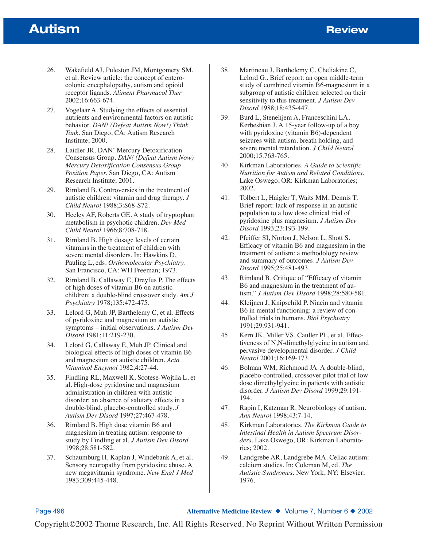# **Autism Burger Review Review**

- 26. Wakefield AJ, Puleston JM, Montgomery SM, et al. Review article: the concept of enterocolonic encephalopathy, autism and opioid receptor ligands. *Aliment Pharmacol Ther* 2002;16:663-674.
- 27. Vogelaar A. Studying the effects of essential nutrients and environmental factors on autistic behavior. *DAN! (Defeat Autism Now!) Think Tank*. San Diego, CA: Autism Research Institute; 2000.
- 28. Laidler JR. DAN! Mercury Detoxification Consensus Group. *DAN! (Defeat Autism Now) Mercury Detoxification Consensus Group Position Paper.* San Diego, CA: Autism Research Institute; 2001.
- 29. Rimland B. Controversies in the treatment of autistic children: vitamin and drug therapy. *J Child Neurol* 1988;3:S68-S72.
- 30. Heeley AF, Roberts GE. A study of tryptophan metabolism in psychotic children. *Dev Med Child Neurol* 1966;8:708-718.
- 31. Rimland B. High dosage levels of certain vitamins in the treatment of children with severe mental disorders. In: Hawkins D, Pauling L, eds. *Orthomolecular Psychiatry*. San Francisco, CA: WH Freeman; 1973.
- 32. Rimland B, Callaway E, Dreyfus P. The effects of high doses of vitamin B6 on autistic children: a double-blind crossover study. *Am J Psychiatry* 1978;135:472-475.
- 33. Lelord G, Muh JP, Barthelemy C, et al. Effects of pyridoxine and magnesium on autistic symptoms – initial observations. *J Autism Dev Disord* 1981;11:219-230.
- 34. Lelord G, Callaway E, Muh JP. Clinical and biological effects of high doses of vitamin B6 and magnesium on autistic children. *Acta Vitaminol Enzymol* 1982;4:27-44.
- 35. Findling RL, Maxwell K, Scotese-Wojtila L, et al. High-dose pyridoxine and magnesium administration in children with autistic disorder: an absence of salutary effects in a double-blind, placebo-controlled study. *J Autism Dev Disord* 1997;27:467-478.
- 36. Rimland B. High dose vitamin B6 and magnesium in treating autism: response to study by Findling et al. *J Autism Dev Disord* 1998;28:581-582.
- 37. Schaumburg H, Kaplan J, Windebank A, et al. Sensory neuropathy from pyridoxine abuse. A new megavitamin syndrome. *New Engl J Med* 1983;309:445-448.
- 38. Martineau J, Barthelemy C, Cheliakine C, Lelord G.. Brief report: an open middle-term study of combined vitamin B6-magnesium in a subgroup of autistic children selected on their sensitivity to this treatment. *J Autism Dev Disord* 1988;18:435-447.
- 39. Burd L, Stenehjem A, Franceschini LA, Kerbeshian J. A 15-year follow-up of a boy with pyridoxine (vitamin B6)-dependent seizures with autism, breath holding, and severe mental retardation. *J Child Neurol* 2000;15:763-765.
- 40. Kirkman Laboratories. *A Guide to Scientific Nutrition for Autism and Related Conditions*. Lake Oswego, OR: Kirkman Laboratories; 2002.
- 41. Tolbert L, Haigler T, Waits MM, Dennis T. Brief report: lack of response in an autistic population to a low dose clinical trial of pyridoxine plus magnesium. *J Autism Dev Disord* 1993;23:193-199.
- 42. Pfeiffer SI, Norton J, Nelson L, Shott S. Efficacy of vitamin B6 and magnesium in the treatment of autism: a methodology review and summary of outcomes. *J Autism Dev Disord* 1995;25:481-493.
- 43. Rimland B. Critique of "Efficacy of vitamin B6 and magnesium in the treatment of autism." *J Autism Dev Disord* 1998;28:580-581.
- 44. Kleijnen J, Knipschild P. Niacin and vitamin B6 in mental functioning: a review of controlled trials in humans. *Biol Psychiatry* 1991;29:931-941.
- 45. Kern JK, Miller VS, Cauller PL, et al. Effectiveness of N,N-dimethylglycine in autism and pervasive developmental disorder. *J Child Neurol* 2001;16:169-173.
- 46. Bolman WM, Richmond JA. A double-blind, placebo-controlled, crossover pilot trial of low dose dimethylglycine in patients with autistic disorder. *J Autism Dev Disord* 1999;29:191- 194.
- 47. Rapin I, Katzman R. Neurobiology of autism. *Ann Neurol* 1998;43:7-14.
- 48. Kirkman Laboratories. *The Kirkman Guide to Intestinal Health in Autism Spectrum Disorders*. Lake Oswego, OR: Kirkman Laboratories; 2002.
- 49. Landgrebe AR, Landgrebe MA. Celiac autism: calcium studies. In: Coleman M, ed. *The Autistic Syndromes*. New York, NY: Elsevier; 1976.

Page 496 **Alternative Medicine Review ◆ Volume 7, Number 6 ◆ 2002**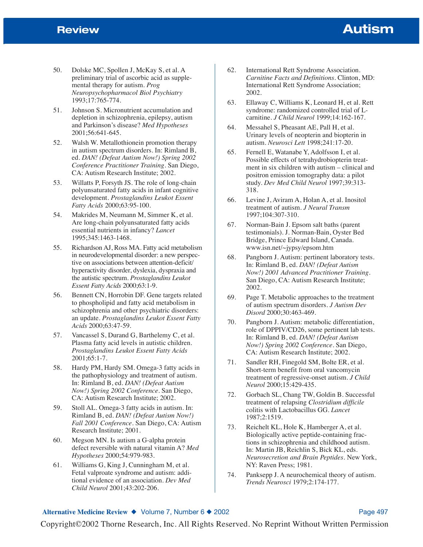- 50. Dolske MC, Spollen J, McKay S, et al. A preliminary trial of ascorbic acid as supplemental therapy for autism. *Prog Neuropsychopharmacol Biol Psychiatry* 1993;17:765-774.
- 51. Johnson S. Micronutrient accumulation and depletion in schizophrenia, epilepsy, autism and Parkinson's disease? *Med Hypotheses* 2001;56:641-645.
- 52. Walsh W. Metallothionein promotion therapy in autism spectrum disorders. In: Rimland B, ed. *DAN! (Defeat Autism Now!) Spring 2002 Conference Practitioner Training*. San Diego, CA: Autism Research Institute; 2002.
- 53. Willatts P, Forsyth JS. The role of long-chain polyunsaturated fatty acids in infant cognitive development. *Prostaglandins Leukot Essent Fatty Acids* 2000;63:95-100.
- 54. Makrides M, Neumann M, Simmer K, et al. Are long-chain polyunsaturated fatty acids essential nutrients in infancy? *Lancet* 1995;345:1463-1468.
- 55. Richardson AJ, Ross MA. Fatty acid metabolism in neurodevelopmental disorder: a new perspective on associations between attention-deficit/ hyperactivity disorder, dyslexia, dyspraxia and the autistic spectrum. *Prostaglandins Leukot Essent Fatty Acids* 2000;63:1-9.
- 56. Bennett CN, Horrobin DF. Gene targets related to phospholipid and fatty acid metabolism in schizophrenia and other psychiatric disorders: an update. *Prostaglandins Leukot Essent Fatty Acids* 2000;63:47-59.
- 57. Vancassel S, Durand G, Barthelemy C, et al. Plasma fatty acid levels in autistic children. *Prostaglandins Leukot Essent Fatty Acids* 2001;65:1-7.
- 58. Hardy PM, Hardy SM. Omega-3 fatty acids in the pathophysiology and treatment of autism. In: Rimland B, ed. *DAN! (Defeat Autism Now!) Spring 2002 Conference*. San Diego, CA: Autism Research Institute; 2002.
- 59. Stoll AL. Omega-3 fatty acids in autism. In: Rimland B, ed. *DAN! (Defeat Autism Now!) Fall 2001 Conference*. San Diego, CA: Autism Research Institute; 2001.
- 60. Megson MN. Is autism a G-alpha protein defect reversible with natural vitamin A? *Med Hypotheses* 2000;54:979-983.
- 61. Williams G, King J, Cunningham M, et al. Fetal valproate syndrome and autism: additional evidence of an association. *Dev Med Child Neurol* 2001;43:202-206.
- 62. International Rett Syndrome Association. *Carnitine Facts and Definitions*. Clinton, MD: International Rett Syndrome Association; 2002.
- 63. Ellaway C, Williams K, Leonard H, et al. Rett syndrome: randomized controlled trial of Lcarnitine. *J Child Neurol* 1999;14:162-167.
- 64. Messahel S, Pheasant AE, Pall H, et al. Urinary levels of neopterin and biopterin in autism. *Neurosci Lett* 1998;241:17-20.
- 65. Fernell E, Watanabe Y, Adolfsson I, et al. Possible effects of tetrahydrobiopterin treatment in six children with autism – clinical and positron emission tomography data: a pilot study. *Dev Med Child Neurol* 1997;39:313- 318.
- 66. Levine J, Aviram A, Holan A, et al. Inositol treatment of autism. *J Neural Transm* 1997;104:307-310.
- 67. Norman-Bain J. Epsom salt baths (parent testimonials). J. Norman-Bain, Oyster Bed Bridge, Prince Edward Island, Canada. www.isn.net/~jypsy/epsom.htm
- 68. Pangborn J. Autism: pertinent laboratory tests. In: Rimland B, ed. *DAN! (Defeat Autism Now!) 2001 Advanced Practitioner Training*. San Diego, CA: Autism Research Institute; 2002.
- 69. Page T. Metabolic approaches to the treatment of autism spectrum disorders. *J Autism Dev Disord* 2000;30:463-469.
- 70. Pangborn J. Autism: metabolic differentiation, role of DPPIV/CD26, some pertinent lab tests. In: Rimland B, ed. *DAN! (Defeat Autism Now!) Spring 2002 Conference*. San Diego, CA: Autism Research Institute; 2002.
- 71. Sandler RH, Finegold SM, Bolte ER, et al. Short-term benefit from oral vancomycin treatment of regressive-onset autism. *J Child Neurol* 2000;15:429-435.
- 72. Gorbach SL, Chang TW, Goldin B. Successful treatment of relapsing *Clostridium difficile* colitis with Lactobacillus GG. *Lancet* 1987;2:1519.
- 73. Reichelt KL, Hole K, Hamberger A, et al. Biologically active peptide-containing fractions in schizophrenia and childhood autism. In: Martin JB, Reichlin S, Bick KL, eds. *Neurosecretion and Brain Peptides*. New York, NY: Raven Press; 1981.
- 74. Panksepp J. A neurochemical theory of autism. *Trends Neurosci* 1979;2:174-177.

#### **Alternative Medicine Review ◆ Volume 7, Number 6 ◆ 2002 Page 497 Page 497**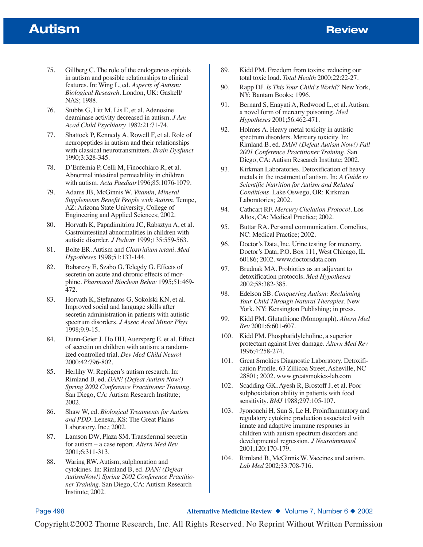# **Autism Burger Review Review**

- 75. Gillberg C. The role of the endogenous opioids in autism and possible relationships to clinical features. In: Wing L, ed. *Aspects of Autism: Biological Research*. London, UK: Gaskell/ NAS; 1988.
- 76. Stubbs G, Litt M, Lis E, et al. Adenosine deaminase activity decreased in autism. *J Am Acad Child Psychiatry* 1982;21:71-74.
- 77. Shattock P, Kennedy A, Rowell F, et al. Role of neuropeptides in autism and their relationships with classical neurotransmitters. *Brain Dysfunct* 1990;3:328-345.
- 78. D'Eufemia P, Celli M, Finocchiaro R, et al. Abnormal intestinal permeability in children with autism. *Acta Paediatr*1996;85:1076-1079.
- 79. Adams JB, McGinnis W. *Vitamin, Mineral Supplements Benefit People with Autism*. Tempe, AZ: Arizona State University, College of Engineering and Applied Sciences; 2002.
- 80. Horvath K, Papadimitriou JC, Rabsztyn A, et al. Gastrointestinal abnormalities in children with autistic disorder. *J Pediatr* 1999;135:559-563.
- 81. Bolte ER. Autism and *Clostridium tetani*. *Med Hypotheses* 1998;51:133-144.
- 82. Babarczy E, Szabo G, Telegdy G. Effects of secretin on acute and chronic effects of morphine. *Pharmacol Biochem Behav* 1995;51:469- 472.
- 83. Horvath K, Stefanatos G, Sokolski KN, et al. Improved social and language skills after secretin administration in patients with autistic spectrum disorders. *J Assoc Acad Minor Phys* 1998;9:9-15.
- 84. Dunn-Geier J, Ho HH, Auersperg E, et al. Effect of secretin on children with autism: a randomized controlled trial. *Dev Med Child Neurol* 2000;42:796-802.
- 85. Herlihy W. Repligen's autism research. In: Rimland B, ed. *DAN! (Defeat Autism Now!) Spring 2002 Conference Practitioner Training*. San Diego, CA: Autism Research Institute; 2002.
- 86. Shaw W, ed. *Biological Treatments for Autism and PDD*. Lenexa, KS: The Great Plains Laboratory, Inc.; 2002.
- 87. Lamson DW, Plaza SM. Transdermal secretin for autism – a case report. *Altern Med Rev* 2001;6:311-313.
- 88. Waring RW. Autism, sulphonation and cytokines. In: Rimland B, ed. *DAN! (Defeat AutismNow!) Spring 2002 Conference Practitioner Training*. San Diego, CA: Autism Research Institute; 2002.
- 89. Kidd PM. Freedom from toxins: reducing our total toxic load. *Total Health* 2000;22:22-27.
- 90. Rapp DJ. *Is This Your Child's World?* New York, NY: Bantam Books; 1996.
- 91. Bernard S, Enayati A, Redwood L, et al. Autism: a novel form of mercury poisoning. *Med Hypotheses* 2001;56:462-471.
- 92. Holmes A. Heavy metal toxicity in autistic spectrum disorders. Mercury toxicity. In: Rimland B, ed. *DAN! (Defeat Autism Now!) Fall 2001 Conference Practitioner Training*. San Diego, CA: Autism Research Institute; 2002.
- 93. Kirkman Laboratories. Detoxification of heavy metals in the treatment of autism. In: *A Guide to Scientific Nutrition for Autism and Related Conditions*. Lake Oswego, OR: Kirkman Laboratories; 2002.
- 94. Cathcart RF. *Mercury Chelation Protocol*. Los Altos, CA: Medical Practice; 2002.
- 95. Buttar RA. Personal communication. Cornelius, NC: Medical Practice; 2002.
- 96. Doctor's Data, Inc. Urine testing for mercury. Doctor's Data, P.O. Box 111, West Chicago, IL 60186; 2002. www.doctorsdata.com
- 97. Brudnak MA. Probiotics as an adjuvant to detoxification protocols. *Med Hypotheses* 2002;58:382-385.
- 98. Edelson SB. *Conquering Autism: Reclaiming Your Child Through Natural Therapies*. New York, NY: Kensington Publishing; in press.
- 99. Kidd PM. Glutathione (Monograph). *Altern Med Rev* 2001;6:601-607.
- 100. Kidd PM. Phosphatidylcholine, a superior protectant against liver damage. *Altern Med Rev* 1996;4:258-274.
- 101. Great Smokies Diagnostic Laboratory. Detoxification Profile. 63 Zillicoa Street, Asheville, NC 28801; 2002. www.greatsmokies-lab.com
- 102. Scadding GK, Ayesh R, Brostoff J, et al. Poor sulphoxidation ability in patients with food sensitivity. *BMJ* 1988;297:105-107.
- 103. Jyonouchi H, Sun S, Le H. Proinflammatory and regulatory cytokine production associated with innate and adaptive immune responses in children with autism spectrum disorders and developmental regression. *J Neuroimmunol* 2001;120:170-179.
- 104. Rimland B, McGinnis W. Vaccines and autism. *Lab Med* 2002;33:708-716.

Page 498 **Alternative Medicine Review** ◆ Volume 7, Number 6 ◆ 2002